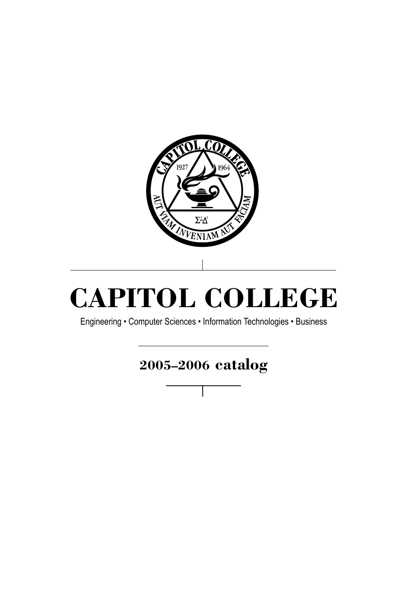

# **CAPITOL COLLEGE**

Engineering • Computer Sciences • Information Technologies • Business

## **2005–2006 catalog**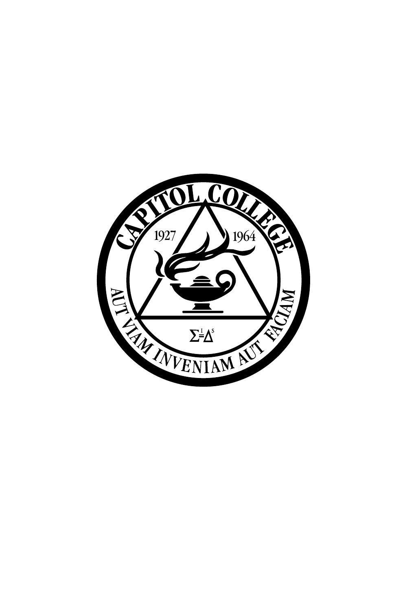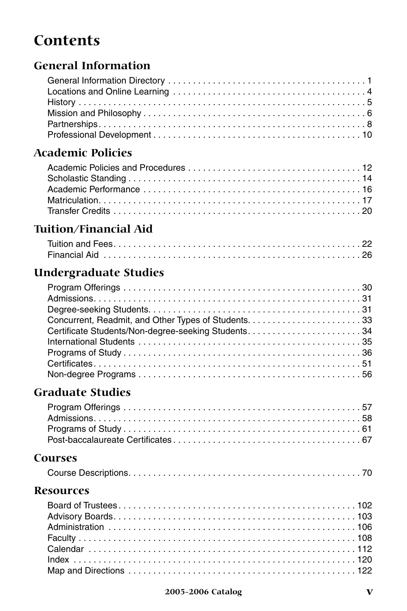## **Contents**

## **General Information**

## **Academic Policies**

## **Tuition/Financial Aid**

## **Undergraduate Studies**

## **Graduate Studies**

## **Courses**

|--|--|--|

## **Resources**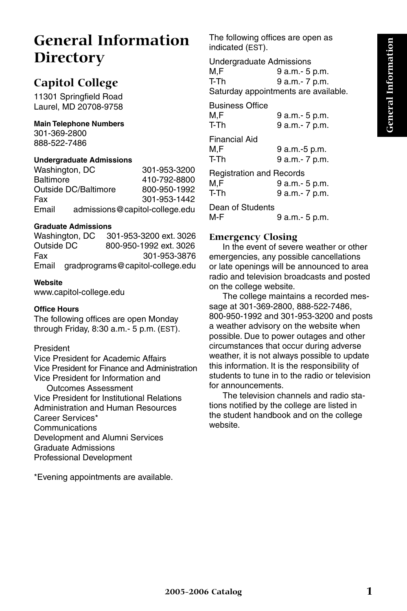## **General Information Directory**

## **Capitol College**

11301 Springfield Road Laurel, MD 20708-9758

#### **Main Telephone Numbers**

301-369-2800 888-522-7486

#### **Undergraduate Admissions**

Washington, DC 301-953-3200 Baltimore 410-792-8800 Outside DC/Baltimore 800-950-1992 Fax 301-953-1442 Email admissions@capitol-college.edu

#### **Graduate Admissions**

Washington, DC 301-953-3200 ext. 3026 Outside DC 800-950-1992 ext. 3026 Fax 301-953-3876 Email gradprograms@capitol-college.edu

#### **Website**

www.capitol-college.edu

#### **Office Hours**

The following offices are open Monday through Friday, 8:30 a.m.- 5 p.m. (EST).

#### President

Vice President for Academic Affairs Vice President for Finance and Administration Vice President for Information and Outcomes Assessment Vice President for Institutional Relations Administration and Human Resources Career Services\* **Communications** Development and Alumni Services Graduate Admissions Professional Development

\*Evening appointments are available.

The following offices are open as indicated (EST).

Undergraduate Admissions M,F 9 a.m.- 5 p.m. T-Th 9 a.m.- 7 p.m. Saturday appointments are available.

Business Office M, F 9 a.m. - 5 p.m. T-Th 9 a.m.- 7 p.m.

Financial Aid M,F 9 a.m.-5 p.m. T-Th 9 a.m.- 7 p.m. Registration and Records

| Registration and Records |                 |
|--------------------------|-----------------|
| M.F                      | 9 a.m. - 5 p.m. |
| T-Th                     | 9 a.m. - 7 p.m. |
| Dean of Students         |                 |
| M-F                      | 9 a.m. - 5 p.m. |

#### **Emergency Closing**

In the event of severe weather or other emergencies, any possible cancellations or late openings will be announced to area radio and television broadcasts and posted on the college website.

The college maintains a recorded message at 301-369-2800, 888-522-7486, 800-950-1992 and 301-953-3200 and posts a weather advisory on the website when possible. Due to power outages and other circumstances that occur during adverse weather, it is not always possible to update this information. It is the responsibility of students to tune in to the radio or television for announcements.

The television channels and radio stations notified by the college are listed in the student handbook and on the college website.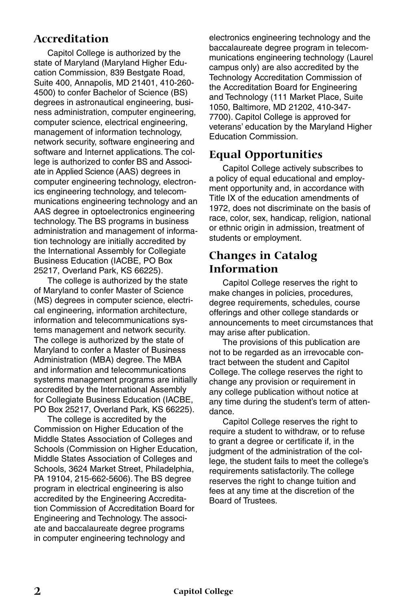## **Accreditation**

Capitol College is authorized by the state of Maryland (Maryland Higher Education Commission, 839 Bestgate Road, Suite 400, Annapolis, MD 21401, 410-260- 4500) to confer Bachelor of Science (BS) degrees in astronautical engineering, business administration, computer engineering, computer science, electrical engineering, management of information technology, network security, software engineering and software and Internet applications. The college is authorized to confer BS and Associate in Applied Science (AAS) degrees in computer engineering technology, electronics engineering technology, and telecommunications engineering technology and an AAS degree in optoelectronics engineering technology. The BS programs in business administration and management of information technology are initially accredited by the International Assembly for Collegiate Business Education (IACBE, PO Box 25217, Overland Park, KS 66225).

The college is authorized by the state of Maryland to confer Master of Science (MS) degrees in computer science, electrical engineering, information architecture, information and telecommunications systems management and network security. The college is authorized by the state of Maryland to confer a Master of Business Administration (MBA) degree. The MBA and information and telecommunications systems management programs are initially accredited by the International Assembly for Collegiate Business Education (IACBE, PO Box 25217, Overland Park, KS 66225).

The college is accredited by the Commission on Higher Education of the Middle States Association of Colleges and Schools (Commission on Higher Education, Middle States Association of Colleges and Schools, 3624 Market Street, Philadelphia, PA 19104, 215-662-5606). The BS degree program in electrical engineering is also accredited by the Engineering Accreditation Commission of Accreditation Board for Engineering and Technology. The associate and baccalaureate degree programs in computer engineering technology and

electronics engineering technology and the baccalaureate degree program in telecommunications engineering technology (Laurel campus only) are also accredited by the Technology Accreditation Commission of the Accreditation Board for Engineering and Technology (111 Market Place, Suite 1050, Baltimore, MD 21202, 410-347- 7700). Capitol College is approved for veterans' education by the Maryland Higher Education Commission.

### **Equal Opportunities**

Capitol College actively subscribes to a policy of equal educational and employment opportunity and, in accordance with Title IX of the education amendments of 1972, does not discriminate on the basis of race, color, sex, handicap, religion, national or ethnic origin in admission, treatment of students or employment.

### **Changes in Catalog Information**

Capitol College reserves the right to make changes in policies, procedures, degree requirements, schedules, course offerings and other college standards or announcements to meet circumstances that may arise after publication.

The provisions of this publication are not to be regarded as an irrevocable contract between the student and Capitol College. The college reserves the right to change any provision or requirement in any college publication without notice at any time during the student's term of attendance.

Capitol College reserves the right to require a student to withdraw, or to refuse to grant a degree or certificate if, in the judgment of the administration of the college, the student fails to meet the college's requirements satisfactorily. The college reserves the right to change tuition and fees at any time at the discretion of the Board of Trustees.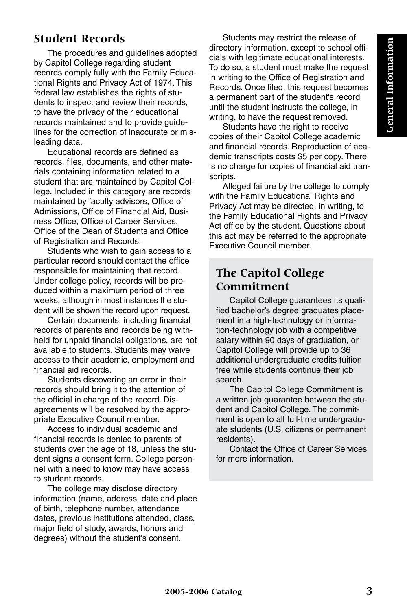## **Student Records**

The procedures and guidelines adopted by Capitol College regarding student records comply fully with the Family Educational Rights and Privacy Act of 1974. This federal law establishes the rights of students to inspect and review their records, to have the privacy of their educational records maintained and to provide guidelines for the correction of inaccurate or misleading data.

Educational records are defined as records, files, documents, and other materials containing information related to a student that are maintained by Capitol College. Included in this category are records maintained by faculty advisors, Office of Admissions, Office of Financial Aid, Business Office, Office of Career Services, Office of the Dean of Students and Office of Registration and Records.

Students who wish to gain access to a particular record should contact the office responsible for maintaining that record. Under college policy, records will be produced within a maximum period of three weeks, although in most instances the student will be shown the record upon request.

Certain documents, including financial records of parents and records being withheld for unpaid financial obligations, are not available to students. Students may waive access to their academic, employment and financial aid records.

Students discovering an error in their records should bring it to the attention of the official in charge of the record. Disagreements will be resolved by the appropriate Executive Council member.

Access to individual academic and financial records is denied to parents of students over the age of 18, unless the student signs a consent form. College personnel with a need to know may have access to student records.

The college may disclose directory information (name, address, date and place of birth, telephone number, attendance dates, previous institutions attended, class, major field of study, awards, honors and degrees) without the student's consent.

Students may restrict the release of directory information, except to school officials with legitimate educational interests. To do so, a student must make the request in writing to the Office of Registration and Records. Once filed, this request becomes a permanent part of the student's record until the student instructs the college, in writing, to have the request removed.

Students have the right to receive copies of their Capitol College academic and financial records. Reproduction of academic transcripts costs \$5 per copy. There is no charge for copies of financial aid transcripts.

Alleged failure by the college to comply with the Family Educational Rights and Privacy Act may be directed, in writing, to the Family Educational Rights and Privacy Act office by the student. Questions about this act may be referred to the appropriate Executive Council member.

## **The Capitol College Commitment**

Capitol College guarantees its qualified bachelor's degree graduates placement in a high-technology or information-technology job with a competitive salary within 90 days of graduation, or Capitol College will provide up to 36 additional undergraduate credits tuition free while students continue their job search.

The Capitol College Commitment is a written job guarantee between the student and Capitol College. The commitment is open to all full-time undergraduate students (U.S. citizens or permanent residents).

Contact the Office of Career Services for more information.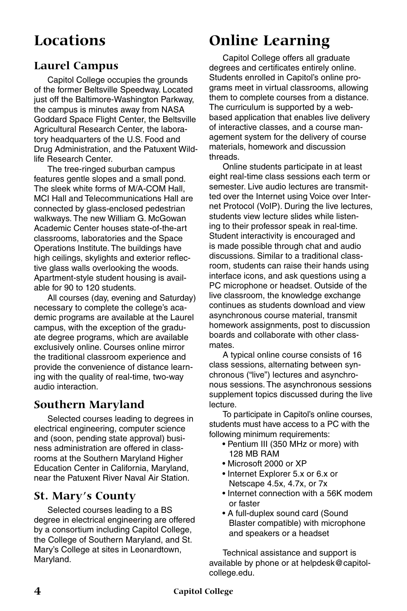## **Locations**

## **Laurel Campus**

Capitol College occupies the grounds of the former Beltsville Speedway. Located just off the Baltimore-Washington Parkway, the campus is minutes away from NASA Goddard Space Flight Center, the Beltsville Agricultural Research Center, the laboratory headquarters of the U.S. Food and Drug Administration, and the Patuxent Wildlife Research Center.

The tree-ringed suburban campus features gentle slopes and a small pond. The sleek white forms of M/A-COM Hall, MCI Hall and Telecommunications Hall are connected by glass-enclosed pedestrian walkways. The new William G. McGowan Academic Center houses state-of-the-art classrooms, laboratories and the Space Operations Institute. The buildings have high ceilings, skylights and exterior reflective glass walls overlooking the woods. Apartment-style student housing is available for 90 to 120 students.

All courses (day, evening and Saturday) necessary to complete the college's academic programs are available at the Laurel campus, with the exception of the graduate degree programs, which are available exclusively online. Courses online mirror the traditional classroom experience and provide the convenience of distance learning with the quality of real-time, two-way audio interaction.

## **Southern Maryland**

Selected courses leading to degrees in electrical engineering, computer science and (soon, pending state approval) business administration are offered in classrooms at the Southern Maryland Higher Education Center in California, Maryland, near the Patuxent River Naval Air Station.

## **St. Mary's County**

Selected courses leading to a BS degree in electrical engineering are offered by a consortium including Capitol College, the College of Southern Maryland, and St. Mary's College at sites in Leonardtown, Maryland.

## **Online Learning**

Capitol College offers all graduate degrees and certificates entirely online. Students enrolled in Capitol's online programs meet in virtual classrooms, allowing them to complete courses from a distance. The curriculum is supported by a webbased application that enables live delivery of interactive classes, and a course management system for the delivery of course materials, homework and discussion threads.

Online students participate in at least eight real-time class sessions each term or semester. Live audio lectures are transmitted over the Internet using Voice over Internet Protocol (VoIP). During the live lectures, students view lecture slides while listening to their professor speak in real-time. Student interactivity is encouraged and is made possible through chat and audio discussions. Similar to a traditional classroom, students can raise their hands using interface icons, and ask questions using a PC microphone or headset. Outside of the live classroom, the knowledge exchange continues as students download and view asynchronous course material, transmit homework assignments, post to discussion boards and collaborate with other classmates.

A typical online course consists of 16 class sessions, alternating between synchronous ("live") lectures and asynchronous sessions. The asynchronous sessions supplement topics discussed during the live lecture.

To participate in Capitol's online courses, students must have access to a PC with the following minimum requirements:

- Pentium III (350 MHz or more) with 128 MB RAM
- Microsoft 2000 or XP
- Internet Explorer 5.x or 6.x or Netscape 4.5x, 4.7x, or 7x
- Internet connection with a 56K modem or faster
- A full-duplex sound card (Sound Blaster compatible) with microphone and speakers or a headset

Technical assistance and support is available by phone or at helpdesk@capitolcollege.edu.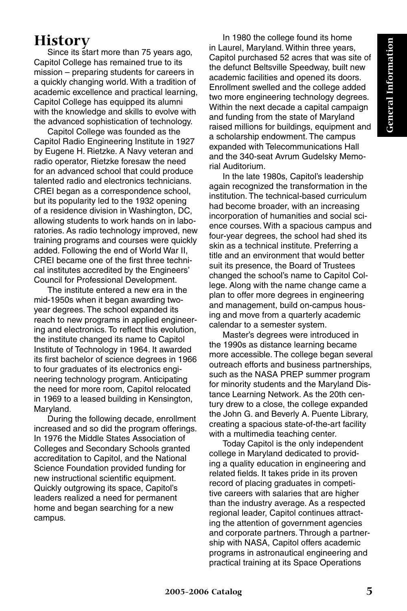## **History**

Since its start more than 75 years ago, Capitol College has remained true to its mission – preparing students for careers in a quickly changing world. With a tradition of academic excellence and practical learning, Capitol College has equipped its alumni with the knowledge and skills to evolve with the advanced sophistication of technology.

Capitol College was founded as the Capitol Radio Engineering Institute in 1927 by Eugene H. Rietzke. A Navy veteran and radio operator, Rietzke foresaw the need for an advanced school that could produce talented radio and electronics technicians. CREI began as a correspondence school, but its popularity led to the 1932 opening of a residence division in Washington, DC, allowing students to work hands on in laboratories. As radio technology improved, new training programs and courses were quickly added. Following the end of World War II, CREI became one of the first three technical institutes accredited by the Engineers' Council for Professional Development.

The institute entered a new era in the mid-1950s when it began awarding twoyear degrees. The school expanded its reach to new programs in applied engineering and electronics. To reflect this evolution, the institute changed its name to Capitol Institute of Technology in 1964. It awarded its first bachelor of science degrees in 1966 to four graduates of its electronics engineering technology program. Anticipating the need for more room, Capitol relocated in 1969 to a leased building in Kensington, Maryland.

During the following decade, enrollment increased and so did the program offerings. In 1976 the Middle States Association of Colleges and Secondary Schools granted accreditation to Capitol, and the National Science Foundation provided funding for new instructional scientific equipment. Quickly outgrowing its space, Capitol's leaders realized a need for permanent home and began searching for a new campus.

In 1980 the college found its home in Laurel, Maryland. Within three years, Capitol purchased 52 acres that was site of the defunct Beltsville Speedway, built new academic facilities and opened its doors. Enrollment swelled and the college added two more engineering technology degrees. Within the next decade a capital campaign and funding from the state of Maryland raised millions for buildings, equipment and a scholarship endowment. The campus expanded with Telecommunications Hall and the 340-seat Avrum Gudelsky Memorial Auditorium.

In the late 1980s, Capitol's leadership again recognized the transformation in the institution. The technical-based curriculum had become broader, with an increasing incorporation of humanities and social science courses. With a spacious campus and four-year degrees, the school had shed its skin as a technical institute. Preferring a title and an environment that would better suit its presence, the Board of Trustees changed the school's name to Capitol College. Along with the name change came a plan to offer more degrees in engineering and management, build on-campus housing and move from a quarterly academic calendar to a semester system.

Master's degrees were introduced in the 1990s as distance learning became more accessible. The college began several outreach efforts and business partnerships, such as the NASA PREP summer program for minority students and the Maryland Distance Learning Network. As the 20th century drew to a close, the college expanded the John G. and Beverly A. Puente Library, creating a spacious state-of-the-art facility with a multimedia teaching center.

Today Capitol is the only independent college in Maryland dedicated to providing a quality education in engineering and related fields. It takes pride in its proven record of placing graduates in competitive careers with salaries that are higher than the industry average. As a respected regional leader, Capitol continues attracting the attention of government agencies and corporate partners. Through a partnership with NASA, Capitol offers academic programs in astronautical engineering and practical training at its Space Operations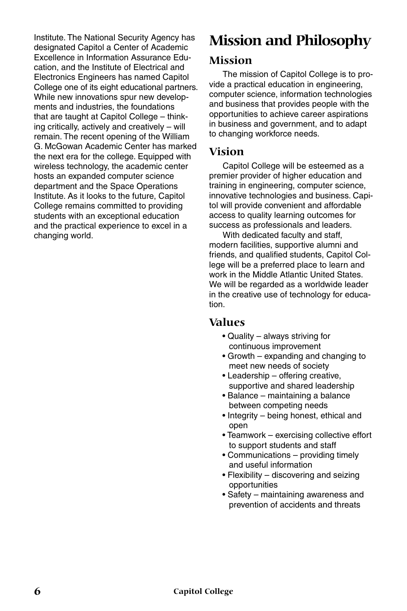Institute. The National Security Agency has designated Capitol a Center of Academic Excellence in Information Assurance Education, and the Institute of Electrical and Electronics Engineers has named Capitol College one of its eight educational partners. While new innovations spur new developments and industries, the foundations that are taught at Capitol College – thinking critically, actively and creatively – will remain. The recent opening of the William G. McGowan Academic Center has marked the next era for the college. Equipped with wireless technology, the academic center hosts an expanded computer science department and the Space Operations Institute. As it looks to the future, Capitol College remains committed to providing students with an exceptional education and the practical experience to excel in a changing world.

## **Mission and Philosophy**

### **Mission**

The mission of Capitol College is to provide a practical education in engineering, computer science, information technologies and business that provides people with the opportunities to achieve career aspirations in business and government, and to adapt to changing workforce needs.

### **Vision**

Capitol College will be esteemed as a premier provider of higher education and training in engineering, computer science, innovative technologies and business. Capitol will provide convenient and affordable access to quality learning outcomes for success as professionals and leaders.

With dedicated faculty and staff, modern facilities, supportive alumni and friends, and qualified students, Capitol College will be a preferred place to learn and work in the Middle Atlantic United States. We will be regarded as a worldwide leader in the creative use of technology for education.

## **Values**

- Quality always striving for continuous improvement
- Growth expanding and changing to meet new needs of society
- Leadership offering creative, supportive and shared leadership
- Balance maintaining a balance between competing needs
- Integrity being honest, ethical and open
- Teamwork exercising collective effort to support students and staff
- Communications providing timely and useful information
- Flexibility discovering and seizing opportunities
- Safety maintaining awareness and prevention of accidents and threats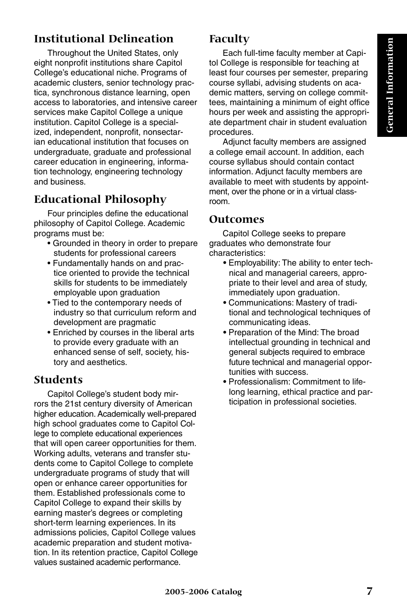## **Institutional Delineation**

Throughout the United States, only eight nonprofit institutions share Capitol College's educational niche. Programs of academic clusters, senior technology practica, synchronous distance learning, open access to laboratories, and intensive career services make Capitol College a unique institution. Capitol College is a specialized, independent, nonprofit, nonsectarian educational institution that focuses on undergraduate, graduate and professional career education in engineering, information technology, engineering technology and business.

## **Educational Philosophy**

Four principles define the educational philosophy of Capitol College. Academic programs must be:

- Grounded in theory in order to prepare students for professional careers
- Fundamentally hands on and practice oriented to provide the technical skills for students to be immediately employable upon graduation
- Tied to the contemporary needs of industry so that curriculum reform and development are pragmatic
- Enriched by courses in the liberal arts to provide every graduate with an enhanced sense of self, society, history and aesthetics.

## **Students**

Capitol College's student body mirrors the 21st century diversity of American higher education. Academically well-prepared high school graduates come to Capitol College to complete educational experiences that will open career opportunities for them. Working adults, veterans and transfer students come to Capitol College to complete undergraduate programs of study that will open or enhance career opportunities for them. Established professionals come to Capitol College to expand their skills by earning master's degrees or completing short-term learning experiences. In its admissions policies, Capitol College values academic preparation and student motivation. In its retention practice, Capitol College values sustained academic performance.

## **Faculty**

Each full-time faculty member at Capitol College is responsible for teaching at least four courses per semester, preparing course syllabi, advising students on academic matters, serving on college committees, maintaining a minimum of eight office hours per week and assisting the appropriate department chair in student evaluation procedures.

Adjunct faculty members are assigned a college email account. In addition, each course syllabus should contain contact information. Adjunct faculty members are available to meet with students by appointment, over the phone or in a virtual classroom.

### **Outcomes**

Capitol College seeks to prepare graduates who demonstrate four characteristics:

- Employability: The ability to enter technical and managerial careers, appropriate to their level and area of study, immediately upon graduation.
- Communications: Mastery of traditional and technological techniques of communicating ideas.
- Preparation of the Mind: The broad intellectual grounding in technical and general subjects required to embrace future technical and managerial opportunities with success.
- Professionalism: Commitment to lifelong learning, ethical practice and participation in professional societies.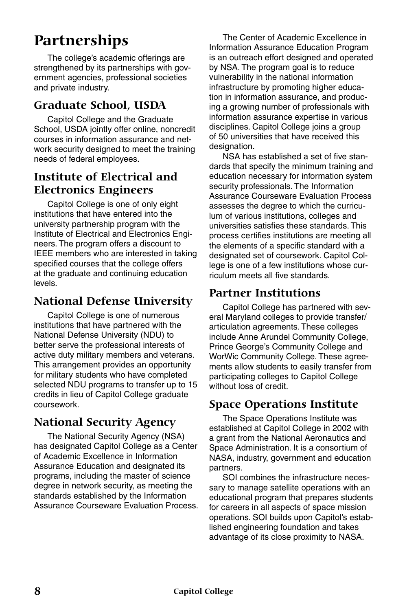## **Partnerships**

The college's academic offerings are strengthened by its partnerships with government agencies, professional societies and private industry.

## **Graduate School, USDA**

Capitol College and the Graduate School, USDA jointly offer online, noncredit courses in information assurance and network security designed to meet the training needs of federal employees.

## **Institute of Electrical and Electronics Engineers**

Capitol College is one of only eight institutions that have entered into the university partnership program with the Institute of Electrical and Electronics Engineers. The program offers a discount to IEEE members who are interested in taking specified courses that the college offers at the graduate and continuing education levels.

## **National Defense University**

Capitol College is one of numerous institutions that have partnered with the National Defense University (NDU) to better serve the professional interests of active duty military members and veterans. This arrangement provides an opportunity for military students who have completed selected NDU programs to transfer up to 15 credits in lieu of Capitol College graduate coursework.

## **National Security Agency**

The National Security Agency (NSA) has designated Capitol College as a Center of Academic Excellence in Information Assurance Education and designated its programs, including the master of science degree in network security, as meeting the standards established by the Information Assurance Courseware Evaluation Process.

The Center of Academic Excellence in Information Assurance Education Program is an outreach effort designed and operated by NSA. The program goal is to reduce vulnerability in the national information infrastructure by promoting higher education in information assurance, and producing a growing number of professionals with information assurance expertise in various disciplines. Capitol College joins a group of 50 universities that have received this designation.

NSA has established a set of five standards that specify the minimum training and education necessary for information system security professionals. The Information Assurance Courseware Evaluation Process assesses the degree to which the curriculum of various institutions, colleges and universities satisfies these standards. This process certifies institutions are meeting all the elements of a specific standard with a designated set of coursework. Capitol College is one of a few institutions whose curriculum meets all five standards.

## **Partner Institutions**

Capitol College has partnered with several Maryland colleges to provide transfer/ articulation agreements. These colleges include Anne Arundel Community College, Prince George's Community College and WorWic Community College. These agreements allow students to easily transfer from participating colleges to Capitol College without loss of credit.

## **Space Operations Institute**

The Space Operations Institute was established at Capitol College in 2002 with a grant from the National Aeronautics and Space Administration. It is a consortium of NASA, industry, government and education partners.

SOI combines the infrastructure necessary to manage satellite operations with an educational program that prepares students for careers in all aspects of space mission operations. SOI builds upon Capitol's established engineering foundation and takes advantage of its close proximity to NASA.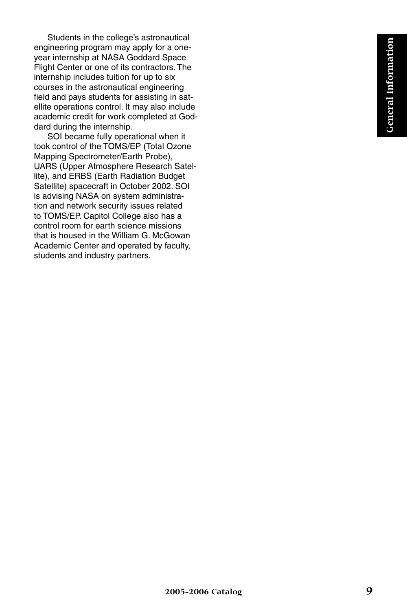Students in the college's astronautical engineering program may apply for a oneyear internship at NASA Goddard Space Flight Center or one of its contractors. The internship includes tuition for up to six courses in the astronautical engineering field and pays students for assisting in satellite operations control. It may also include academic credit for work completed at Goddard during the internship.

SOI became fully operational when it took control of the TOMS/EP (Total Ozone Mapping Spectrometer/Earth Probe), UARS (Upper Atmosphere Research Satellite), and ERBS (Earth Radiation Budget Satellite) spacecraft in October 2002. SOI is advising NASA on system administration and network security issues related to TOMS/EP. Capitol College also has a control room for earth science missions that is housed in the William G. McGowan Academic Center and operated by faculty, students and industry partners.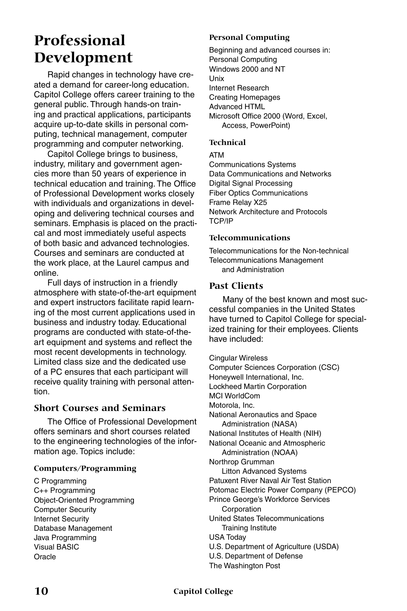## **Professional Development**

Rapid changes in technology have created a demand for career-long education. Capitol College offers career training to the general public. Through hands-on training and practical applications, participants acquire up-to-date skills in personal computing, technical management, computer programming and computer networking.

Capitol College brings to business, industry, military and government agencies more than 50 years of experience in technical education and training. The Office of Professional Development works closely with individuals and organizations in developing and delivering technical courses and seminars. Emphasis is placed on the practical and most immediately useful aspects of both basic and advanced technologies. Courses and seminars are conducted at the work place, at the Laurel campus and online.

Full days of instruction in a friendly atmosphere with state-of-the-art equipment and expert instructors facilitate rapid learning of the most current applications used in business and industry today. Educational programs are conducted with state-of-theart equipment and systems and reflect the most recent developments in technology. Limited class size and the dedicated use of a PC ensures that each participant will receive quality training with personal attention.

#### **Short Courses and Seminars**

The Office of Professional Development offers seminars and short courses related to the engineering technologies of the information age. Topics include:

#### **Computers/Programming**

C Programming C++ Programming Object-Oriented Programming Computer Security Internet Security Database Management Java Programming Visual BASIC **Oracle** 

#### **Personal Computing**

Beginning and advanced courses in: Personal Computing Windows 2000 and NT Unix Internet Research Creating Homepages Advanced HTML Microsoft Office 2000 (Word, Excel, Access, PowerPoint)

#### **Technical**

ATM

Communications Systems Data Communications and Networks Digital Signal Processing Fiber Optics Communications Frame Relay X25 Network Architecture and Protocols TCP/IP

#### **Telecommunications**

Telecommunications for the Non-technical Telecommunications Management and Administration

#### **Past Clients**

Many of the best known and most successful companies in the United States have turned to Capitol College for specialized training for their employees. Clients have included:

Cingular Wireless Computer Sciences Corporation (CSC) Honeywell International, Inc. Lockheed Martin Corporation MCI WorldCom Motorola, Inc. National Aeronautics and Space Administration (NASA) National Institutes of Health (NIH) National Oceanic and Atmospheric Administration (NOAA) Northrop Grumman Litton Advanced Systems Patuxent River Naval Air Test Station Potomac Electric Power Company (PEPCO) Prince George's Workforce Services Corporation United States Telecommunications Training Institute USA Today U.S. Department of Agriculture (USDA) U.S. Department of Defense The Washington Post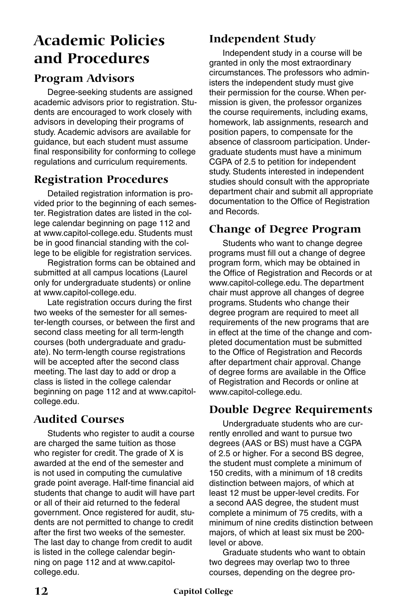## **Academic Policies and Procedures**

## **Program Advisors**

Degree-seeking students are assigned academic advisors prior to registration. Students are encouraged to work closely with advisors in developing their programs of study. Academic advisors are available for guidance, but each student must assume final responsibility for conforming to college regulations and curriculum requirements.

## **Registration Procedures**

Detailed registration information is provided prior to the beginning of each semester. Registration dates are listed in the college calendar beginning on page 112 and at www.capitol-college.edu. Students must be in good financial standing with the college to be eligible for registration services.

Registration forms can be obtained and submitted at all campus locations (Laurel only for undergraduate students) or online at www.capitol-college.edu.

Late registration occurs during the first two weeks of the semester for all semester-length courses, or between the first and second class meeting for all term-length courses (both undergraduate and graduate). No term-length course registrations will be accepted after the second class meeting. The last day to add or drop a class is listed in the college calendar beginning on page 112 and at www.capitolcollege.edu.

## **Audited Courses**

Students who register to audit a course are charged the same tuition as those who register for credit. The grade of X is awarded at the end of the semester and is not used in computing the cumulative grade point average. Half-time financial aid students that change to audit will have part or all of their aid returned to the federal government. Once registered for audit, students are not permitted to change to credit after the first two weeks of the semester. The last day to change from credit to audit is listed in the college calendar beginning on page 112 and at www.capitolcollege.edu.

## **Independent Study**

Independent study in a course will be granted in only the most extraordinary circumstances. The professors who administers the independent study must give their permission for the course. When permission is given, the professor organizes the course requirements, including exams, homework, lab assignments, research and position papers, to compensate for the absence of classroom participation. Undergraduate students must have a minimum CGPA of 2.5 to petition for independent study. Students interested in independent studies should consult with the appropriate department chair and submit all appropriate documentation to the Office of Registration and Records.

## **Change of Degree Program**

Students who want to change degree programs must fill out a change of degree program form, which may be obtained in the Office of Registration and Records or at www.capitol-college.edu. The department chair must approve all changes of degree programs. Students who change their degree program are required to meet all requirements of the new programs that are in effect at the time of the change and completed documentation must be submitted to the Office of Registration and Records after department chair approval. Change of degree forms are available in the Office of Registration and Records or online at www.capitol-college.edu.

## **Double Degree Requirements**

Undergraduate students who are currently enrolled and want to pursue two degrees (AAS or BS) must have a CGPA of 2.5 or higher. For a second BS degree, the student must complete a minimum of 150 credits, with a minimum of 18 credits distinction between majors, of which at least 12 must be upper-level credits. For a second AAS degree, the student must complete a minimum of 75 credits, with a minimum of nine credits distinction between majors, of which at least six must be 200 level or above.

Graduate students who want to obtain two degrees may overlap two to three courses, depending on the degree pro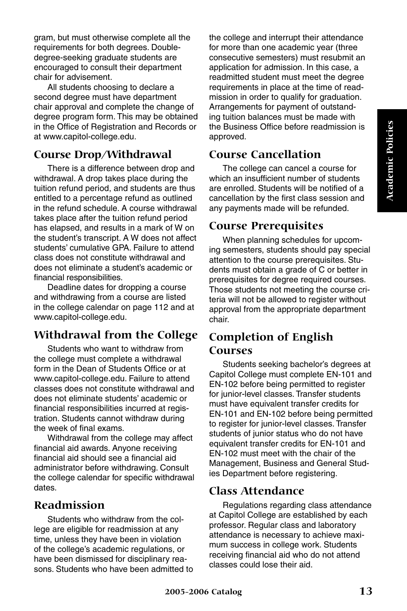gram, but must otherwise complete all the requirements for both degrees. Doubledegree-seeking graduate students are encouraged to consult their department chair for advisement.

All students choosing to declare a second degree must have department chair approval and complete the change of degree program form. This may be obtained in the Office of Registration and Records or at www.capitol-college.edu.

## **Course Drop/Withdrawal**

There is a difference between drop and withdrawal. A drop takes place during the tuition refund period, and students are thus entitled to a percentage refund as outlined in the refund schedule. A course withdrawal takes place after the tuition refund period has elapsed, and results in a mark of W on the student's transcript. A W does not affect students' cumulative GPA. Failure to attend class does not constitute withdrawal and does not eliminate a student's academic or financial responsibilities.

Deadline dates for dropping a course and withdrawing from a course are listed in the college calendar on page 112 and at www.capitol-college.edu.

## **Withdrawal from the College**

Students who want to withdraw from the college must complete a withdrawal form in the Dean of Students Office or at www.capitol-college.edu. Failure to attend classes does not constitute withdrawal and does not eliminate students' academic or financial responsibilities incurred at registration. Students cannot withdraw during the week of final exams.

Withdrawal from the college may affect financial aid awards. Anyone receiving financial aid should see a financial aid administrator before withdrawing. Consult the college calendar for specific withdrawal dates.

## **Readmission**

Students who withdraw from the college are eligible for readmission at any time, unless they have been in violation of the college's academic regulations, or have been dismissed for disciplinary reasons. Students who have been admitted to the college and interrupt their attendance for more than one academic year (three consecutive semesters) must resubmit an application for admission. In this case, a readmitted student must meet the degree requirements in place at the time of readmission in order to qualify for graduation. Arrangements for payment of outstanding tuition balances must be made with the Business Office before readmission is approved.

### **Course Cancellation**

The college can cancel a course for which an insufficient number of students are enrolled. Students will be notified of a cancellation by the first class session and any payments made will be refunded.

### **Course Prerequisites**

When planning schedules for upcoming semesters, students should pay special attention to the course prerequisites. Students must obtain a grade of C or better in prerequisites for degree required courses. Those students not meeting the course criteria will not be allowed to register without approval from the appropriate department chair.

## **Completion of English Courses**

Students seeking bachelor's degrees at Capitol College must complete EN-101 and EN-102 before being permitted to register for junior-level classes. Transfer students must have equivalent transfer credits for EN-101 and EN-102 before being permitted to register for junior-level classes. Transfer students of junior status who do not have equivalent transfer credits for EN-101 and EN-102 must meet with the chair of the Management, Business and General Studies Department before registering.

### **Class Attendance**

Regulations regarding class attendance at Capitol College are established by each professor. Regular class and laboratory attendance is necessary to achieve maximum success in college work. Students receiving financial aid who do not attend classes could lose their aid.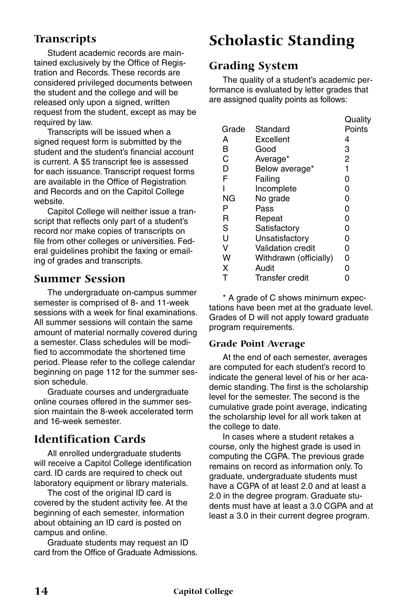## **Transcripts**

Student academic records are maintained exclusively by the Office of Registration and Records. These records are considered privileged documents between the student and the college and will be released only upon a signed, written request from the student, except as may be required by law.

Transcripts will be issued when a signed request form is submitted by the student and the student's financial account is current. A \$5 transcript fee is assessed for each issuance. Transcript request forms are available in the Office of Registration and Records and on the Capitol College website.

Capitol College will neither issue a transcript that reflects only part of a student's record nor make copies of transcripts on file from other colleges or universities. Federal guidelines prohibit the faxing or emailing of grades and transcripts.

### **Summer Session**

The undergraduate on-campus summer semester is comprised of 8- and 11-week sessions with a week for final examinations. All summer sessions will contain the same amount of material normally covered during a semester. Class schedules will be modified to accommodate the shortened time period. Please refer to the college calendar beginning on page 112 for the summer session schedule.

Graduate courses and undergraduate online courses offered in the summer session maintain the 8-week accelerated term and 16-week semester.

## **Identification Cards**

All enrolled undergraduate students will receive a Capitol College identification card. ID cards are required to check out laboratory equipment or library materials.

The cost of the original ID card is covered by the student activity fee. At the beginning of each semester, information about obtaining an ID card is posted on campus and online.

Graduate students may request an ID card from the Office of Graduate Admissions.

## **Scholastic Standing**

## **Grading System**

The quality of a student's academic performance is evaluated by letter grades that are assigned quality points as follows:

|                          | Quality |
|--------------------------|---------|
| Standard                 | Points  |
| Excellent                | 4       |
| Good                     | 3       |
| Average*                 | 2       |
| Below average*           | 1       |
| Failing                  | 0       |
| Incomplete               | 0       |
| No grade                 | 0       |
| Pass                     | 0       |
| Repeat                   | 0       |
| Satisfactory             | 0       |
| Unsatisfactory           | 0       |
| <b>Validation credit</b> | 0       |
| Withdrawn (officially)   | 0       |
| Audit                    | 0       |
| Transfer credit          | ი       |
|                          |         |

\* A grade of C shows minimum expectations have been met at the graduate level. Grades of D will not apply toward graduate program requirements.

#### **Grade Point Average**

At the end of each semester, averages are computed for each student's record to indicate the general level of his or her academic standing. The first is the scholarship level for the semester. The second is the cumulative grade point average, indicating the scholarship level for all work taken at the college to date.

In cases where a student retakes a course, only the highest grade is used in computing the CGPA. The previous grade remains on record as information only. To graduate, undergraduate students must have a CGPA of at least 2.0 and at least a 2.0 in the degree program. Graduate students must have at least a 3.0 CGPA and at least a 3.0 in their current degree program.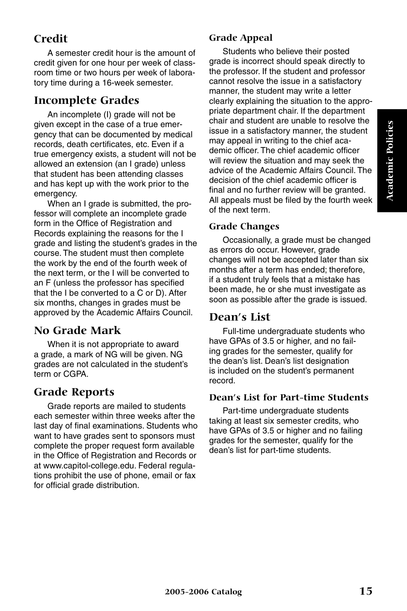## **Credit**

A semester credit hour is the amount of credit given for one hour per week of classroom time or two hours per week of laboratory time during a 16-week semester.

## **Incomplete Grades**

An incomplete (I) grade will not be given except in the case of a true emergency that can be documented by medical records, death certificates, etc. Even if a true emergency exists, a student will not be allowed an extension (an I grade) unless that student has been attending classes and has kept up with the work prior to the emergency.

When an I grade is submitted, the professor will complete an incomplete grade form in the Office of Registration and Records explaining the reasons for the I grade and listing the student's grades in the course. The student must then complete the work by the end of the fourth week of the next term, or the I will be converted to an F (unless the professor has specified that the I be converted to a C or D). After six months, changes in grades must be approved by the Academic Affairs Council.

## **No Grade Mark**

When it is not appropriate to award a grade, a mark of NG will be given. NG grades are not calculated in the student's term or CGPA

## **Grade Reports**

Grade reports are mailed to students each semester within three weeks after the last day of final examinations. Students who want to have grades sent to sponsors must complete the proper request form available in the Office of Registration and Records or at www.capitol-college.edu. Federal regulations prohibit the use of phone, email or fax for official grade distribution.

### **Grade Appeal**

Students who believe their posted grade is incorrect should speak directly to the professor. If the student and professor cannot resolve the issue in a satisfactory manner, the student may write a letter clearly explaining the situation to the appropriate department chair. If the department chair and student are unable to resolve the issue in a satisfactory manner, the student may appeal in writing to the chief academic officer. The chief academic officer will review the situation and may seek the advice of the Academic Affairs Council. The decision of the chief academic officer is final and no further review will be granted. All appeals must be filed by the fourth week of the next term.

#### **Grade Changes**

Occasionally, a grade must be changed as errors do occur. However, grade changes will not be accepted later than six months after a term has ended; therefore, if a student truly feels that a mistake has been made, he or she must investigate as soon as possible after the grade is issued.

### **Dean's List**

Full-time undergraduate students who have GPAs of 3.5 or higher, and no failing grades for the semester, qualify for the dean's list. Dean's list designation is included on the student's permanent record.

#### **Dean's List for Part-time Students**

Part-time undergraduate students taking at least six semester credits, who have GPAs of 3.5 or higher and no failing grades for the semester, qualify for the dean's list for part-time students.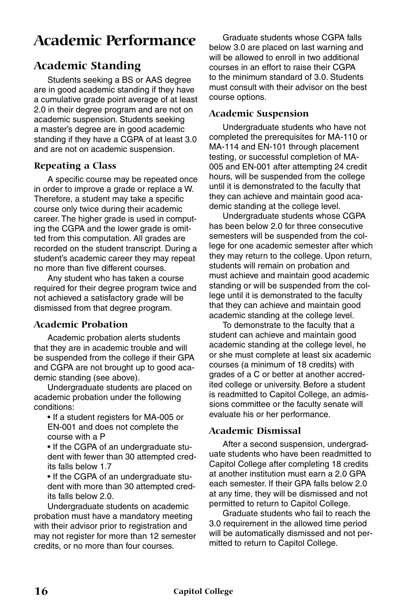## **Academic Performance**

## **Academic Standing**

Students seeking a BS or AAS degree are in good academic standing if they have a cumulative grade point average of at least 2.0 in their degree program and are not on academic suspension. Students seeking a master's degree are in good academic standing if they have a CGPA of at least 3.0 and are not on academic suspension.

#### **Repeating a Class**

A specific course may be repeated once in order to improve a grade or replace a W. Therefore, a student may take a specific course only twice during their academic career. The higher grade is used in computing the CGPA and the lower grade is omitted from this computation. All grades are recorded on the student transcript. During a student's academic career they may repeat no more than five different courses.

Any student who has taken a course required for their degree program twice and not achieved a satisfactory grade will be dismissed from that degree program.

#### **Academic Probation**

Academic probation alerts students that they are in academic trouble and will be suspended from the college if their GPA and CGPA are not brought up to good academic standing (see above).

Undergraduate students are placed on academic probation under the following conditions:

- If a student registers for MA-005 or EN-001 and does not complete the course with a P
- If the CGPA of an undergraduate student with fewer than 30 attempted credits falls below 1.7
- If the CGPA of an undergraduate student with more than 30 attempted credits falls below 2.0.

Undergraduate students on academic probation must have a mandatory meeting with their advisor prior to registration and may not register for more than 12 semester credits, or no more than four courses.

Graduate students whose CGPA falls below 3.0 are placed on last warning and will be allowed to enroll in two additional courses in an effort to raise their CGPA to the minimum standard of 3.0. Students must consult with their advisor on the best course options.

#### **Academic Suspension**

Undergraduate students who have not completed the prerequisites for MA-110 or MA-114 and EN-101 through placement testing, or successful completion of MA-005 and EN-001 after attempting 24 credit hours, will be suspended from the college until it is demonstrated to the faculty that they can achieve and maintain good academic standing at the college level.

Undergraduate students whose CGPA has been below 2.0 for three consecutive semesters will be suspended from the college for one academic semester after which they may return to the college. Upon return, students will remain on probation and must achieve and maintain good academic standing or will be suspended from the college until it is demonstrated to the faculty that they can achieve and maintain good academic standing at the college level.

To demonstrate to the faculty that a student can achieve and maintain good academic standing at the college level, he or she must complete at least six academic courses (a minimum of 18 credits) with grades of a C or better at another accredited college or university. Before a student is readmitted to Capitol College, an admissions committee or the faculty senate will evaluate his or her performance.

#### **Academic Dismissal**

After a second suspension, undergraduate students who have been readmitted to Capitol College after completing 18 credits at another institution must earn a 2.0 GPA each semester. If their GPA falls below 2.0 at any time, they will be dismissed and not permitted to return to Capitol College.

Graduate students who fail to reach the 3.0 requirement in the allowed time period will be automatically dismissed and not permitted to return to Capitol College.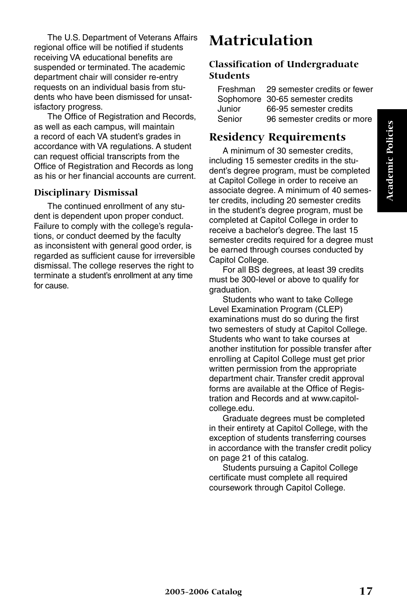The U.S. Department of Veterans Affairs regional office will be notified if students receiving VA educational benefits are suspended or terminated. The academic department chair will consider re-entry requests on an individual basis from students who have been dismissed for unsatisfactory progress.

The Office of Registration and Records, as well as each campus, will maintain a record of each VA student's grades in accordance with VA regulations. A student can request official transcripts from the Office of Registration and Records as long as his or her financial accounts are current.

### **Disciplinary Dismissal**

The continued enrollment of any student is dependent upon proper conduct. Failure to comply with the college's regulations, or conduct deemed by the faculty as inconsistent with general good order, is regarded as sufficient cause for irreversible dismissal. The college reserves the right to terminate a student's enrollment at any time for cause.

## **Matriculation**

#### **Classification of Undergraduate Students**

| Freshman | 29 semester credits or fewer     |
|----------|----------------------------------|
|          | Sophomore 30-65 semester credits |
| Junior   | 66-95 semester credits           |
| Senior   | 96 semester credits or more      |

## **Residency Requirements**

A minimum of 30 semester credits, including 15 semester credits in the student's degree program, must be completed at Capitol College in order to receive an associate degree. A minimum of 40 semester credits, including 20 semester credits in the student's degree program, must be completed at Capitol College in order to receive a bachelor's degree. The last 15 semester credits required for a degree must be earned through courses conducted by Capitol College.

For all BS degrees, at least 39 credits must be 300-level or above to qualify for graduation.

Students who want to take College Level Examination Program (CLEP) examinations must do so during the first two semesters of study at Capitol College. Students who want to take courses at another institution for possible transfer after enrolling at Capitol College must get prior written permission from the appropriate department chair. Transfer credit approval forms are available at the Office of Registration and Records and at www.capitolcollege.edu.

Graduate degrees must be completed in their entirety at Capitol College, with the exception of students transferring courses in accordance with the transfer credit policy on page 21 of this catalog.

Students pursuing a Capitol College certificate must complete all required coursework through Capitol College.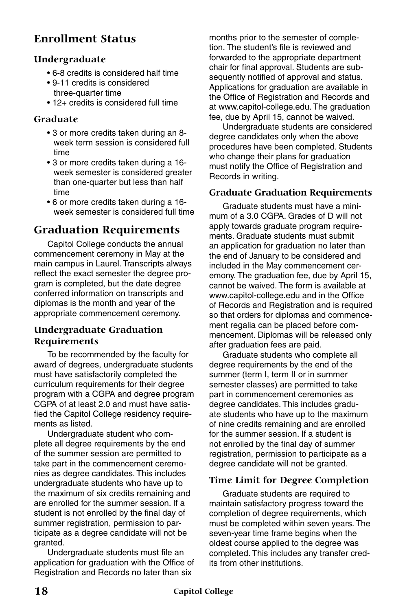## **Enrollment Status**

#### **Undergraduate**

- 6-8 credits is considered half time
- 9-11 credits is considered three-quarter time
- 12+ credits is considered full time

#### **Graduate**

- 3 or more credits taken during an 8 week term session is considered full time
- 3 or more credits taken during a 16 week semester is considered greater than one-quarter but less than half time
- 6 or more credits taken during a 16 week semester is considered full time

## **Graduation Requirements**

Capitol College conducts the annual commencement ceremony in May at the main campus in Laurel. Transcripts always reflect the exact semester the degree program is completed, but the date degree conferred information on transcripts and diplomas is the month and year of the appropriate commencement ceremony.

#### **Undergraduate Graduation Requirements**

To be recommended by the faculty for award of degrees, undergraduate students must have satisfactorily completed the curriculum requirements for their degree program with a CGPA and degree program CGPA of at least 2.0 and must have satisfied the Capitol College residency requirements as listed.

Undergraduate student who complete all degree requirements by the end of the summer session are permitted to take part in the commencement ceremonies as degree candidates. This includes undergraduate students who have up to the maximum of six credits remaining and are enrolled for the summer session. If a student is not enrolled by the final day of summer registration, permission to participate as a degree candidate will not be granted.

Undergraduate students must file an application for graduation with the Office of Registration and Records no later than six

months prior to the semester of completion. The student's file is reviewed and forwarded to the appropriate department chair for final approval. Students are subsequently notified of approval and status. Applications for graduation are available in the Office of Registration and Records and at www.capitol-college.edu. The graduation fee, due by April 15, cannot be waived.

Undergraduate students are considered degree candidates only when the above procedures have been completed. Students who change their plans for graduation must notify the Office of Registration and Records in writing.

#### **Graduate Graduation Requirements**

Graduate students must have a minimum of a 3.0 CGPA. Grades of D will not apply towards graduate program requirements. Graduate students must submit an application for graduation no later than the end of January to be considered and included in the May commencement ceremony. The graduation fee, due by April 15, cannot be waived. The form is available at www.capitol-college.edu and in the Office of Records and Registration and is required so that orders for diplomas and commencement regalia can be placed before commencement. Diplomas will be released only after graduation fees are paid.

Graduate students who complete all degree requirements by the end of the summer (term I, term II or in summer semester classes) are permitted to take part in commencement ceremonies as degree candidates. This includes graduate students who have up to the maximum of nine credits remaining and are enrolled for the summer session. If a student is not enrolled by the final day of summer registration, permission to participate as a degree candidate will not be granted.

#### **Time Limit for Degree Completion**

Graduate students are required to maintain satisfactory progress toward the completion of degree requirements, which must be completed within seven years. The seven-year time frame begins when the oldest course applied to the degree was completed. This includes any transfer credits from other institutions.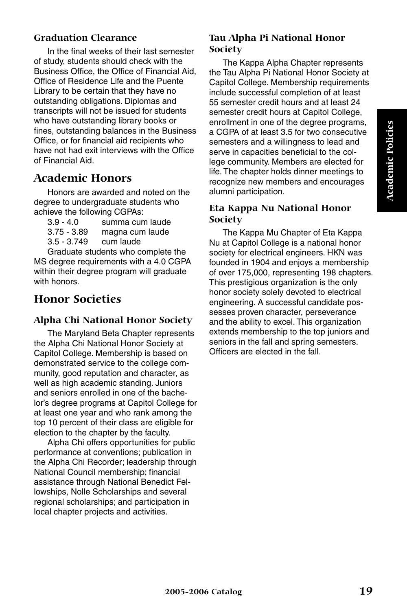#### **Graduation Clearance**

In the final weeks of their last semester of study, students should check with the Business Office, the Office of Financial Aid, Office of Residence Life and the Puente Library to be certain that they have no outstanding obligations. Diplomas and transcripts will not be issued for students who have outstanding library books or fines, outstanding balances in the Business Office, or for financial aid recipients who have not had exit interviews with the Office of Financial Aid.

## **Academic Honors**

Honors are awarded and noted on the degree to undergraduate students who achieve the following CGPAs:

| $3.9 - 4.0$   | summa cum laude |
|---------------|-----------------|
| $3.75 - 3.89$ | magna cum laude |
| $3.5 - 3.749$ | cum laude       |
|               | .<br>. .        |

Graduate students who complete the MS degree requirements with a 4.0 CGPA within their degree program will graduate with honors.

## **Honor Societies**

#### **Alpha Chi National Honor Society**

The Maryland Beta Chapter represents the Alpha Chi National Honor Society at Capitol College. Membership is based on demonstrated service to the college community, good reputation and character, as well as high academic standing. Juniors and seniors enrolled in one of the bachelor's degree programs at Capitol College for at least one year and who rank among the top 10 percent of their class are eligible for election to the chapter by the faculty.

Alpha Chi offers opportunities for public performance at conventions; publication in the Alpha Chi Recorder; leadership through National Council membership; financial assistance through National Benedict Fellowships, Nolle Scholarships and several regional scholarships; and participation in local chapter projects and activities.

#### **Tau Alpha Pi National Honor Society**

The Kappa Alpha Chapter represents the Tau Alpha Pi National Honor Society at Capitol College. Membership requirements include successful completion of at least 55 semester credit hours and at least 24 semester credit hours at Capitol College, enrollment in one of the degree programs, a CGPA of at least 3.5 for two consecutive semesters and a willingness to lead and serve in capacities beneficial to the college community. Members are elected for life. The chapter holds dinner meetings to recognize new members and encourages alumni participation.

#### **Eta Kappa Nu National Honor Society**

The Kappa Mu Chapter of Eta Kappa Nu at Capitol College is a national honor society for electrical engineers. HKN was founded in 1904 and enjoys a membership of over 175,000, representing 198 chapters. This prestigious organization is the only honor society solely devoted to electrical engineering. A successful candidate possesses proven character, perseverance and the ability to excel. This organization extends membership to the top juniors and seniors in the fall and spring semesters. Officers are elected in the fall.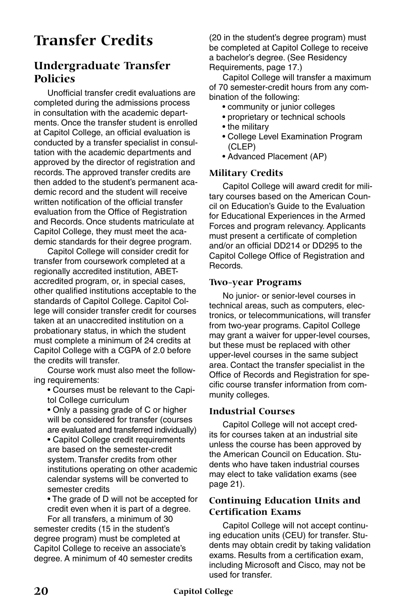## **Transfer Credits**

## **Undergraduate Transfer Policies**

Unofficial transfer credit evaluations are completed during the admissions process in consultation with the academic departments. Once the transfer student is enrolled at Capitol College, an official evaluation is conducted by a transfer specialist in consultation with the academic departments and approved by the director of registration and records. The approved transfer credits are then added to the student's permanent academic record and the student will receive written notification of the official transfer evaluation from the Office of Registration and Records. Once students matriculate at Capitol College, they must meet the academic standards for their degree program.

Capitol College will consider credit for transfer from coursework completed at a regionally accredited institution, ABETaccredited program, or, in special cases, other qualified institutions acceptable to the standards of Capitol College. Capitol College will consider transfer credit for courses taken at an unaccredited institution on a probationary status, in which the student must complete a minimum of 24 credits at Capitol College with a CGPA of 2.0 before the credits will transfer.

Course work must also meet the following requirements:

- Courses must be relevant to the Capitol College curriculum
- Only a passing grade of C or higher will be considered for transfer (courses are evaluated and transferred individually)

• Capitol College credit requirements are based on the semester-credit system. Transfer credits from other institutions operating on other academic calendar systems will be converted to semester credits

• The grade of D will not be accepted for credit even when it is part of a degree.

For all transfers, a minimum of 30 semester credits (15 in the student's degree program) must be completed at Capitol College to receive an associate's degree. A minimum of 40 semester credits (20 in the student's degree program) must be completed at Capitol College to receive a bachelor's degree. (See Residency Requirements, page 17.)

Capitol College will transfer a maximum of 70 semester-credit hours from any combination of the following:

- community or junior colleges
- proprietary or technical schools
- the military
- College Level Examination Program (CLEP)
- Advanced Placement (AP)

#### **Military Credits**

Capitol College will award credit for military courses based on the American Council on Education's Guide to the Evaluation for Educational Experiences in the Armed Forces and program relevancy. Applicants must present a certificate of completion and/or an official DD214 or DD295 to the Capitol College Office of Registration and Records.

#### **Two-year Programs**

No junior- or senior-level courses in technical areas, such as computers, electronics, or telecommunications, will transfer from two-year programs. Capitol College may grant a waiver for upper-level courses, but these must be replaced with other upper-level courses in the same subject area. Contact the transfer specialist in the Office of Records and Registration for specific course transfer information from community colleges.

#### **Industrial Courses**

Capitol College will not accept credits for courses taken at an industrial site unless the course has been approved by the American Council on Education. Students who have taken industrial courses may elect to take validation exams (see page 21).

#### **Continuing Education Units and Certification Exams**

Capitol College will not accept continuing education units (CEU) for transfer. Students may obtain credit by taking validation exams. Results from a certification exam, including Microsoft and Cisco, may not be used for transfer.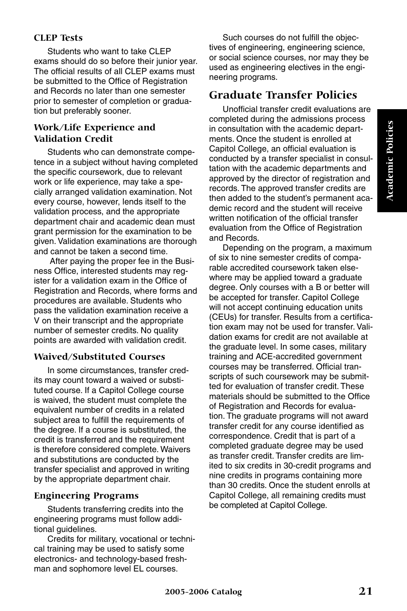#### **CLEP Tests**

Students who want to take CLEP exams should do so before their junior year. The official results of all CLEP exams must be submitted to the Office of Registration and Records no later than one semester prior to semester of completion or graduation but preferably sooner.

#### **Work/Life Experience and Validation Credit**

Students who can demonstrate competence in a subject without having completed the specific coursework, due to relevant work or life experience, may take a specially arranged validation examination. Not every course, however, lends itself to the validation process, and the appropriate department chair and academic dean must grant permission for the examination to be given. Validation examinations are thorough and cannot be taken a second time.

 After paying the proper fee in the Business Office, interested students may register for a validation exam in the Office of Registration and Records, where forms and procedures are available. Students who pass the validation examination receive a V on their transcript and the appropriate number of semester credits. No quality points are awarded with validation credit.

#### **Waived/Substituted Courses**

In some circumstances, transfer credits may count toward a waived or substituted course. If a Capitol College course is waived, the student must complete the equivalent number of credits in a related subject area to fulfill the requirements of the degree. If a course is substituted, the credit is transferred and the requirement is therefore considered complete. Waivers and substitutions are conducted by the transfer specialist and approved in writing by the appropriate department chair.

#### **Engineering Programs**

Students transferring credits into the engineering programs must follow additional guidelines.

Credits for military, vocational or technical training may be used to satisfy some electronics- and technology-based freshman and sophomore level EL courses.

Such courses do not fulfill the objectives of engineering, engineering science, or social science courses, nor may they be used as engineering electives in the engineering programs.

### **Graduate Transfer Policies**

Unofficial transfer credit evaluations are completed during the admissions process in consultation with the academic departments. Once the student is enrolled at Capitol College, an official evaluation is conducted by a transfer specialist in consultation with the academic departments and approved by the director of registration and records. The approved transfer credits are then added to the student's permanent academic record and the student will receive written notification of the official transfer evaluation from the Office of Registration and Records.

Depending on the program, a maximum of six to nine semester credits of comparable accredited coursework taken elsewhere may be applied toward a graduate degree. Only courses with a B or better will be accepted for transfer. Capitol College will not accept continuing education units (CEUs) for transfer. Results from a certification exam may not be used for transfer. Validation exams for credit are not available at the graduate level. In some cases, military training and ACE-accredited government courses may be transferred. Official transcripts of such coursework may be submitted for evaluation of transfer credit. These materials should be submitted to the Office of Registration and Records for evaluation. The graduate programs will not award transfer credit for any course identified as correspondence. Credit that is part of a completed graduate degree may be used as transfer credit. Transfer credits are limited to six credits in 30-credit programs and nine credits in programs containing more than 30 credits. Once the student enrolls at Capitol College, all remaining credits must be completed at Capitol College.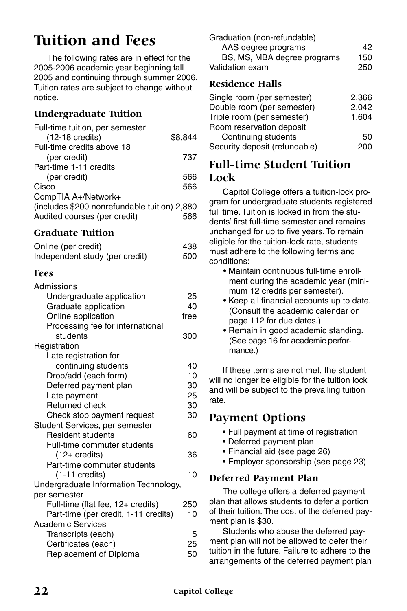## **Tuition and Fees**

The following rates are in effect for the 2005-2006 academic year beginning fall 2005 and continuing through summer 2006. Tuition rates are subject to change without notice.

### **Undergraduate Tuition**

| Full-time tuition, per semester              |         |
|----------------------------------------------|---------|
| $(12-18 \text{ credits})$                    | \$8.844 |
| Full-time credits above 18                   |         |
| (per credit)                                 | 737     |
| Part-time 1-11 credits                       |         |
| (per credit)                                 | 566     |
| Cisco                                        | 566     |
| CompTIA A+/Network+                          |         |
| (includes \$200 nonrefundable tuition) 2,880 |         |
| Audited courses (per credit)                 |         |

#### **Graduate Tuition**

| Online (per credit)            | 438 |
|--------------------------------|-----|
| Independent study (per credit) | 500 |

#### **Fees**

| Admissions                            |      |
|---------------------------------------|------|
| Undergraduate application             | 25   |
| Graduate application                  | 40   |
| Online application                    | free |
| Processing fee for international      |      |
| students                              | 300  |
| Registration                          |      |
| Late registration for                 |      |
| continuing students                   | 40   |
| Drop/add (each form)                  | 10   |
| Deferred payment plan                 | 30   |
| Late payment                          | 25   |
| Returned check                        | 30   |
| Check stop payment request            | 30   |
| Student Services, per semester        |      |
| <b>Resident students</b>              | 60   |
| Full-time commuter students           |      |
| (12+ credits)                         | 36   |
| Part-time commuter students           |      |
| (1-11 credits)                        | 10   |
| Undergraduate Information Technology, |      |
| per semester                          |      |
| Full-time (flat fee, 12+ credits)     | 250  |
| Part-time (per credit, 1-11 credits)  | 10   |
| <b>Academic Services</b>              |      |
| Transcripts (each)                    | 5    |
| Certificates (each)                   | 25   |
| Replacement of Diploma                | 50   |
|                                       |      |

| 42. |
|-----|
| 150 |
| 250 |
|     |

#### **Residence Halls**

| 2,366 |
|-------|
| 2.042 |
| 1.604 |
|       |
| 50    |
| 200   |
|       |

## **Full-time Student Tuition Lock**

Capitol College offers a tuition-lock program for undergraduate students registered full time. Tuition is locked in from the students' first full-time semester and remains unchanged for up to five years. To remain eligible for the tuition-lock rate, students must adhere to the following terms and conditions:

- Maintain continuous full-time enrollment during the academic year (minimum 12 credits per semester).
- Keep all financial accounts up to date. (Consult the academic calendar on page 112 for due dates.)
- Remain in good academic standing. (See page 16 for academic performance.)

If these terms are not met, the student will no longer be eligible for the tuition lock and will be subject to the prevailing tuition rate.

### **Payment Options**

- Full payment at time of registration
- Deferred payment plan
- Financial aid (see page 26)
- Employer sponsorship (see page 23)

#### **Deferred Payment Plan**

The college offers a deferred payment plan that allows students to defer a portion of their tuition. The cost of the deferred payment plan is \$30.

Students who abuse the deferred payment plan will not be allowed to defer their tuition in the future. Failure to adhere to the arrangements of the deferred payment plan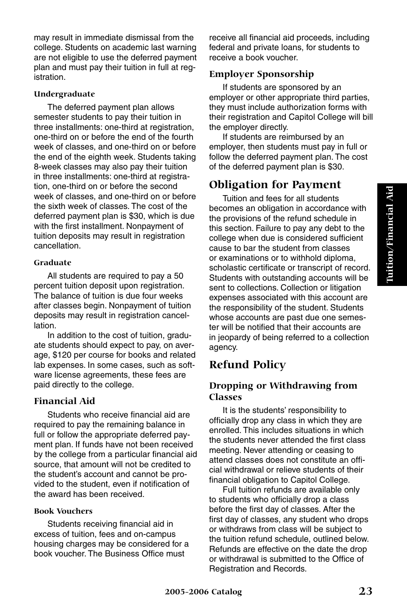may result in immediate dismissal from the college. Students on academic last warning are not eligible to use the deferred payment plan and must pay their tuition in full at registration.

#### **Undergraduate**

The deferred payment plan allows semester students to pay their tuition in three installments: one-third at registration, one-third on or before the end of the fourth week of classes, and one-third on or before the end of the eighth week. Students taking 8-week classes may also pay their tuition in three installments: one-third at registration, one-third on or before the second week of classes, and one-third on or before the sixth week of classes. The cost of the deferred payment plan is \$30, which is due with the first installment. Nonpayment of tuition deposits may result in registration cancellation.

#### **Graduate**

All students are required to pay a 50 percent tuition deposit upon registration. .<br>The balance of tuition is due four weeks. after classes begin. Nonpayment of tuition deposits may result in registration cancellation.

In addition to the cost of tuition, graduate students should expect to pay, on average, \$120 per course for books and related lab expenses. In some cases, such as software license agreements, these fees are paid directly to the college.

#### **Financial Aid**

Students who receive financial aid are required to pay the remaining balance in full or follow the appropriate deferred payment plan. If funds have not been received by the college from a particular financial aid source, that amount will not be credited to the student's account and cannot be provided to the student, even if notification of the award has been received.

#### **Book Vouchers**

Students receiving financial aid in excess of tuition, fees and on-campus housing charges may be considered for a book voucher. The Business Office must

receive all financial aid proceeds, including federal and private loans, for students to receive a book voucher.

#### **Employer Sponsorship**

If students are sponsored by an employer or other appropriate third parties, they must include authorization forms with their registration and Capitol College will bill the employer directly.

If students are reimbursed by an employer, then students must pay in full or follow the deferred payment plan. The cost of the deferred payment plan is \$30.

## **Obligation for Payment**

Tuition and fees for all students becomes an obligation in accordance with the provisions of the refund schedule in this section. Failure to pay any debt to the college when due is considered sufficient cause to bar the student from classes or examinations or to withhold diploma, scholastic certificate or transcript of record. Students with outstanding accounts will be sent to collections. Collection or litigation expenses associated with this account are the responsibility of the student. Students whose accounts are past due one semester will be notified that their accounts are in jeopardy of being referred to a collection agency.

## **Refund Policy**

#### **Dropping or Withdrawing from Classes**

It is the students' responsibility to officially drop any class in which they are enrolled. This includes situations in which the students never attended the first class meeting. Never attending or ceasing to attend classes does not constitute an official withdrawal or relieve students of their financial obligation to Capitol College.

Full tuition refunds are available only to students who officially drop a class before the first day of classes. After the first day of classes, any student who drops or withdraws from class will be subject to the tuition refund schedule, outlined below. Refunds are effective on the date the drop or withdrawal is submitted to the Office of Registration and Records.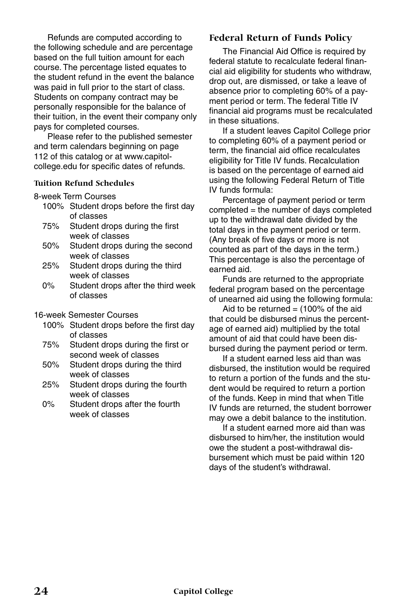Refunds are computed according to the following schedule and are percentage based on the full tuition amount for each course. The percentage listed equates to the student refund in the event the balance was paid in full prior to the start of class. Students on company contract may be personally responsible for the balance of their tuition, in the event their company only pays for completed courses.

Please refer to the published semester and term calendars beginning on page 112 of this catalog or at www.capitolcollege.edu for specific dates of refunds.

#### **Tuition Refund Schedules**

8-week Term Courses

- 100% Student drops before the first day of classes
- 75% Student drops during the first week of classes
- 50% Student drops during the second week of classes
- 25% Student drops during the third week of classes
- 0% Student drops after the third week of classes

#### 16-week Semester Courses

- 100% Student drops before the first day of classes
- 75% Student drops during the first or second week of classes
- 50% Student drops during the third week of classes
- 25% Student drops during the fourth week of classes
- 0% Student drops after the fourth week of classes

#### **Federal Return of Funds Policy**

The Financial Aid Office is required by federal statute to recalculate federal financial aid eligibility for students who withdraw, drop out, are dismissed, or take a leave of absence prior to completing 60% of a payment period or term. The federal Title IV financial aid programs must be recalculated in these situations.

If a student leaves Capitol College prior to completing 60% of a payment period or term, the financial aid office recalculates eligibility for Title IV funds. Recalculation is based on the percentage of earned aid using the following Federal Return of Title IV funds formula:

Percentage of payment period or term completed = the number of days completed up to the withdrawal date divided by the total days in the payment period or term. (Any break of five days or more is not counted as part of the days in the term.) This percentage is also the percentage of earned aid.

Funds are returned to the appropriate federal program based on the percentage of unearned aid using the following formula:

Aid to be returned  $=$  (100% of the aid that could be disbursed minus the percentage of earned aid) multiplied by the total amount of aid that could have been disbursed during the payment period or term.

If a student earned less aid than was disbursed, the institution would be required to return a portion of the funds and the student would be required to return a portion of the funds. Keep in mind that when Title IV funds are returned, the student borrower may owe a debit balance to the institution.

If a student earned more aid than was disbursed to him/her, the institution would owe the student a post-withdrawal disbursement which must be paid within 120 days of the student's withdrawal.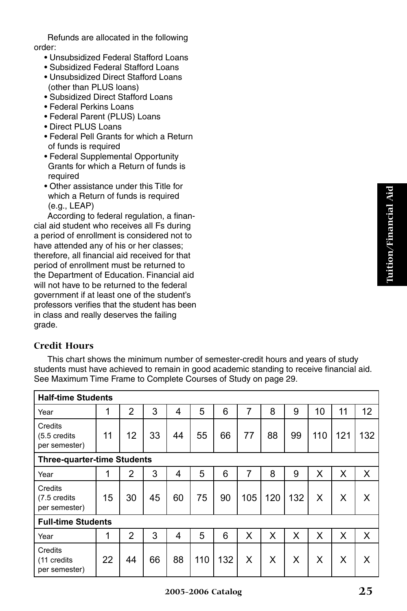Refunds are allocated in the following order:

- Unsubsidized Federal Stafford Loans
- Subsidized Federal Stafford Loans
- Unsubsidized Direct Stafford Loans (other than PLUS loans)
- Subsidized Direct Stafford Loans
- Federal Perkins Loans
- Federal Parent (PLUS) Loans
- Direct PLUS Loans
- Federal Pell Grants for which a Return of funds is required
- Federal Supplemental Opportunity Grants for which a Return of funds is required
- Other assistance under this Title for which a Return of funds is required (e.g., LEAP)

According to federal regulation, a financial aid student who receives all Fs during a period of enrollment is considered not to have attended any of his or her classes; therefore, all financial aid received for that period of enrollment must be returned to the Department of Education. Financial aid will not have to be returned to the federal government if at least one of the student's professors verifies that the student has been in class and really deserves the failing grade.

#### **Credit Hours**

This chart shows the minimum number of semester-credit hours and years of study students must have achieved to remain in good academic standing to receive financial aid. See Maximum Time Frame to Complete Courses of Study on page 29.

| <b>Half-time Students</b>                 |    |    |    |    |     |     |     |     |     |     |     |     |
|-------------------------------------------|----|----|----|----|-----|-----|-----|-----|-----|-----|-----|-----|
| Year                                      | 1  | 2  | 3  | 4  | 5   | 6   | 7   | 8   | 9   | 10  | 11  | 12  |
| Credits<br>(5.5 credits<br>per semester)  | 11 | 12 | 33 | 44 | 55  | 66  | 77  | 88  | 99  | 110 | 121 | 132 |
| <b>Three-quarter-time Students</b>        |    |    |    |    |     |     |     |     |     |     |     |     |
| Year                                      | 1  | 2  | 3  | 4  | 5   | 6   | 7   | 8   | 9   | x   | x   | X   |
| Credits<br>(7.5 credits)<br>per semester) | 15 | 30 | 45 | 60 | 75  | 90  | 105 | 120 | 132 | X   | X   | X   |
| <b>Full-time Students</b>                 |    |    |    |    |     |     |     |     |     |     |     |     |
| Year                                      | 1  | 2  | 3  | 4  | 5   | 6   | x   | X   | x   | x   | x   | X   |
| Credits<br>(11 credits<br>per semester)   | 22 | 44 | 66 | 88 | 110 | 132 | X   | X   | X   | x   | x   | X   |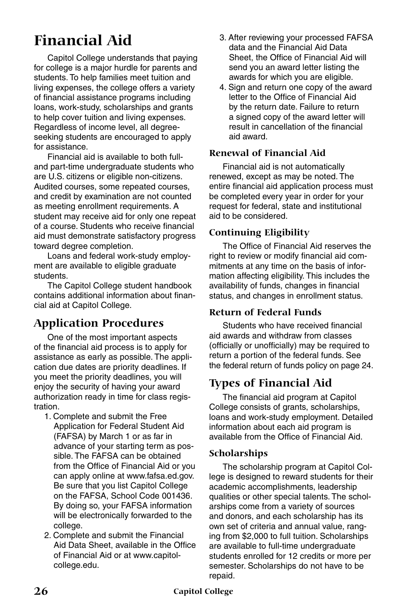## **Financial Aid**

Capitol College understands that paying for college is a major hurdle for parents and students. To help families meet tuition and living expenses, the college offers a variety of financial assistance programs including loans, work-study, scholarships and grants to help cover tuition and living expenses. Regardless of income level, all degreeseeking students are encouraged to apply for assistance.

Financial aid is available to both fulland part-time undergraduate students who are U.S. citizens or eligible non-citizens. Audited courses, some repeated courses, and credit by examination are not counted as meeting enrollment requirements. A student may receive aid for only one repeat of a course. Students who receive financial aid must demonstrate satisfactory progress toward degree completion.

Loans and federal work-study employment are available to eligible graduate students.

The Capitol College student handbook contains additional information about financial aid at Capitol College.

## **Application Procedures**

One of the most important aspects of the financial aid process is to apply for assistance as early as possible. The application due dates are priority deadlines. If you meet the priority deadlines, you will enjoy the security of having your award authorization ready in time for class registration.

- 1. Complete and submit the Free Application for Federal Student Aid (FAFSA) by March 1 or as far in advance of your starting term as possible. The FAFSA can be obtained from the Office of Financial Aid or you can apply online at www.fafsa.ed.gov. Be sure that you list Capitol College on the FAFSA, School Code 001436. By doing so, your FAFSA information will be electronically forwarded to the college.
- 2. Complete and submit the Financial Aid Data Sheet, available in the Office of Financial Aid or at www.capitolcollege.edu.
- 3. After reviewing your processed FAFSA data and the Financial Aid Data Sheet, the Office of Financial Aid will send you an award letter listing the awards for which you are eligible.
- 4. Sign and return one copy of the award letter to the Office of Financial Aid by the return date. Failure to return a signed copy of the award letter will result in cancellation of the financial aid award.

#### **Renewal of Financial Aid**

Financial aid is not automatically renewed, except as may be noted. The entire financial aid application process must be completed every year in order for your request for federal, state and institutional aid to be considered.

#### **Continuing Eligibility**

The Office of Financial Aid reserves the right to review or modify financial aid commitments at any time on the basis of information affecting eligibility. This includes the availability of funds, changes in financial status, and changes in enrollment status.

#### **Return of Federal Funds**

Students who have received financial aid awards and withdraw from classes (officially or unofficially) may be required to return a portion of the federal funds. See the federal return of funds policy on page 24.

## **Types of Financial Aid**

The financial aid program at Capitol College consists of grants, scholarships, loans and work-study employment. Detailed information about each aid program is available from the Office of Financial Aid.

#### **Scholarships**

The scholarship program at Capitol College is designed to reward students for their academic accomplishments, leadership qualities or other special talents. The scholarships come from a variety of sources and donors, and each scholarship has its own set of criteria and annual value, ranging from \$2,000 to full tuition. Scholarships are available to full-time undergraduate students enrolled for 12 credits or more per semester. Scholarships do not have to be repaid.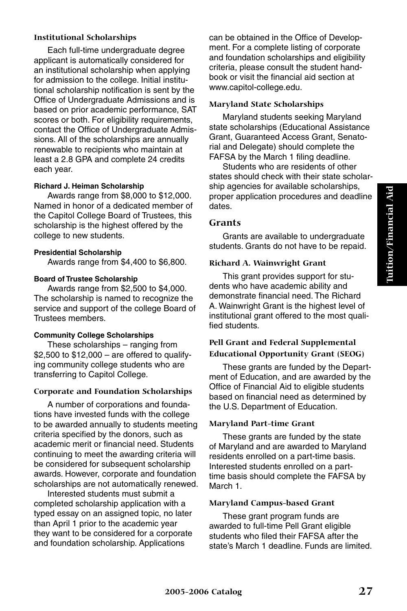#### **Institutional Scholarships**

Each full-time undergraduate degree applicant is automatically considered for an institutional scholarship when applying for admission to the college. Initial institutional scholarship notification is sent by the Office of Undergraduate Admissions and is based on prior academic performance, SAT scores or both. For eligibility requirements, contact the Office of Undergraduate Admissions. All of the scholarships are annually renewable to recipients who maintain at least a 2.8 GPA and complete 24 credits each year.

#### **Richard J. Heiman Scholarship**

Awards range from \$8,000 to \$12,000. Named in honor of a dedicated member of the Capitol College Board of Trustees, this scholarship is the highest offered by the college to new students.

#### **Presidential Scholarship**

Awards range from \$4,400 to \$6,800.

#### **Board of Trustee Scholarship**

Awards range from \$2,500 to \$4,000. The scholarship is named to recognize the service and support of the college Board of Trustees members.

#### **Community College Scholarships**

These scholarships – ranging from  $$2,500$  to  $$12,000 -$  are offered to qualifying community college students who are transferring to Capitol College.

#### **Corporate and Foundation Scholarships**

A number of corporations and foundations have invested funds with the college to be awarded annually to students meeting criteria specified by the donors, such as academic merit or financial need. Students continuing to meet the awarding criteria will be considered for subsequent scholarship awards. However, corporate and foundation scholarships are not automatically renewed.

Interested students must submit a completed scholarship application with a typed essay on an assigned topic, no later than April 1 prior to the academic year they want to be considered for a corporate and foundation scholarship. Applications

can be obtained in the Office of Development. For a complete listing of corporate and foundation scholarships and eligibility criteria, please consult the student handbook or visit the financial aid section at www.capitol-college.edu.

#### **Maryland State Scholarships**

Maryland students seeking Maryland state scholarships (Educational Assistance Grant, Guaranteed Access Grant, Senatorial and Delegate) should complete the FAFSA by the March 1 filing deadline.

Students who are residents of other states should check with their state scholarship agencies for available scholarships, proper application procedures and deadline dates.

#### **Grants**

Grants are available to undergraduate students. Grants do not have to be repaid.

#### **Richard A. Wainwright Grant**

This grant provides support for students who have academic ability and demonstrate financial need. The Richard A. Wainwright Grant is the highest level of institutional grant offered to the most qualified students.

#### **Pell Grant and Federal Supplemental Educational Opportunity Grant (SEOG)**

These grants are funded by the Department of Education, and are awarded by the Office of Financial Aid to eligible students based on financial need as determined by the U.S. Department of Education.

#### **Maryland Part-time Grant**

These grants are funded by the state of Maryland and are awarded to Maryland residents enrolled on a part-time basis. Interested students enrolled on a parttime basis should complete the FAFSA by March 1.

#### **Maryland Campus-based Grant**

These grant program funds are awarded to full-time Pell Grant eligible students who filed their FAFSA after the state's March 1 deadline. Funds are limited.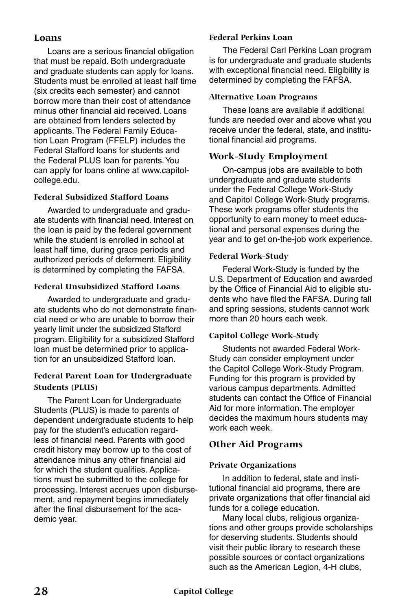#### **Loans**

Loans are a serious financial obligation that must be repaid. Both undergraduate and graduate students can apply for loans. Students must be enrolled at least half time (six credits each semester) and cannot borrow more than their cost of attendance minus other financial aid received. Loans are obtained from lenders selected by applicants. The Federal Family Education Loan Program (FFELP) includes the Federal Stafford loans for students and the Federal PLUS loan for parents. You can apply for loans online at www.capitolcollege.edu.

#### **Federal Subsidized Stafford Loans**

Awarded to undergraduate and graduate students with financial need. Interest on the loan is paid by the federal government while the student is enrolled in school at least half time, during grace periods and authorized periods of deferment. Eligibility is determined by completing the FAFSA.

#### **Federal Unsubsidized Stafford Loans**

Awarded to undergraduate and graduate students who do not demonstrate financial need or who are unable to borrow their yearly limit under the subsidized Stafford program. Eligibility for a subsidized Stafford loan must be determined prior to application for an unsubsidized Stafford loan.

#### **Federal Parent Loan for Undergraduate Students (PLUS)**

The Parent Loan for Undergraduate Students (PLUS) is made to parents of dependent undergraduate students to help pay for the student's education regardless of financial need. Parents with good credit history may borrow up to the cost of attendance minus any other financial aid for which the student qualifies. Applications must be submitted to the college for processing. Interest accrues upon disbursement, and repayment begins immediately after the final disbursement for the academic year.

#### **Federal Perkins Loan**

The Federal Carl Perkins Loan program is for undergraduate and graduate students with exceptional financial need. Eligibility is determined by completing the FAFSA.

#### **Alternative Loan Programs**

These loans are available if additional funds are needed over and above what you receive under the federal, state, and institutional financial aid programs.

#### **Work-Study Employment**

On-campus jobs are available to both undergraduate and graduate students under the Federal College Work-Study and Capitol College Work-Study programs. These work programs offer students the opportunity to earn money to meet educational and personal expenses during the year and to get on-the-job work experience.

#### **Federal Work-Study**

Federal Work-Study is funded by the U.S. Department of Education and awarded by the Office of Financial Aid to eligible students who have filed the FAFSA. During fall and spring sessions, students cannot work more than 20 hours each week.

#### **Capitol College Work-Study**

Students not awarded Federal Work-Study can consider employment under the Capitol College Work-Study Program. Funding for this program is provided by various campus departments. Admitted students can contact the Office of Financial Aid for more information. The employer decides the maximum hours students may work each week.

#### **Other Aid Programs**

#### **Private Organizations**

In addition to federal, state and institutional financial aid programs, there are private organizations that offer financial aid funds for a college education.

Many local clubs, religious organizations and other groups provide scholarships for deserving students. Students should visit their public library to research these possible sources or contact organizations such as the American Legion, 4-H clubs,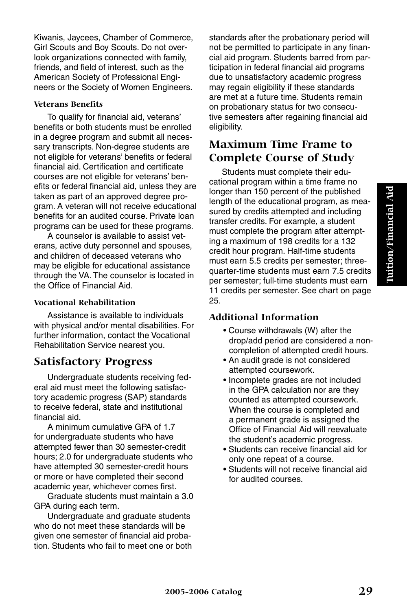Kiwanis, Jaycees, Chamber of Commerce, Girl Scouts and Boy Scouts. Do not overlook organizations connected with family, friends, and field of interest, such as the American Society of Professional Engineers or the Society of Women Engineers.

#### **Veterans Benefits**

To qualify for financial aid, veterans' benefits or both students must be enrolled in a degree program and submit all necessary transcripts. Non-degree students are not eligible for veterans' benefits or federal financial aid. Certification and certificate courses are not eligible for veterans' benefits or federal financial aid, unless they are taken as part of an approved degree program. A veteran will not receive educational benefits for an audited course. Private loan programs can be used for these programs.

A counselor is available to assist veterans, active duty personnel and spouses, and children of deceased veterans who may be eligible for educational assistance through the VA. The counselor is located in the Office of Financial Aid.

#### **Vocational Rehabilitation**

Assistance is available to individuals with physical and/or mental disabilities. For further information, contact the Vocational Rehabilitation Service nearest you.

### **Satisfactory Progress**

Undergraduate students receiving federal aid must meet the following satisfactory academic progress (SAP) standards to receive federal, state and institutional financial aid.

A minimum cumulative GPA of 1.7 for undergraduate students who have attempted fewer than 30 semester-credit hours; 2.0 for undergraduate students who have attempted 30 semester-credit hours or more or have completed their second academic year, whichever comes first.

Graduate students must maintain a 3.0 GPA during each term.

Undergraduate and graduate students who do not meet these standards will be given one semester of financial aid probation. Students who fail to meet one or both standards after the probationary period will not be permitted to participate in any financial aid program. Students barred from participation in federal financial aid programs due to unsatisfactory academic progress may regain eligibility if these standards are met at a future time. Students remain on probationary status for two consecutive semesters after regaining financial aid eligibility.

## **Maximum Time Frame to Complete Course of Study**

Students must complete their educational program within a time frame no longer than 150 percent of the published length of the educational program, as measured by credits attempted and including transfer credits. For example, a student must complete the program after attempting a maximum of 198 credits for a 132 credit hour program. Half-time students must earn 5.5 credits per semester; threequarter-time students must earn 7.5 credits per semester; full-time students must earn 11 credits per semester. See chart on page 25.

#### **Additional Information**

- Course withdrawals (W) after the drop/add period are considered a noncompletion of attempted credit hours.
- An audit grade is not considered attempted coursework.
- Incomplete grades are not included in the GPA calculation nor are they counted as attempted coursework. When the course is completed and a permanent grade is assigned the Office of Financial Aid will reevaluate the student's academic progress.
- Students can receive financial aid for only one repeat of a course.
- Students will not receive financial aid for audited courses.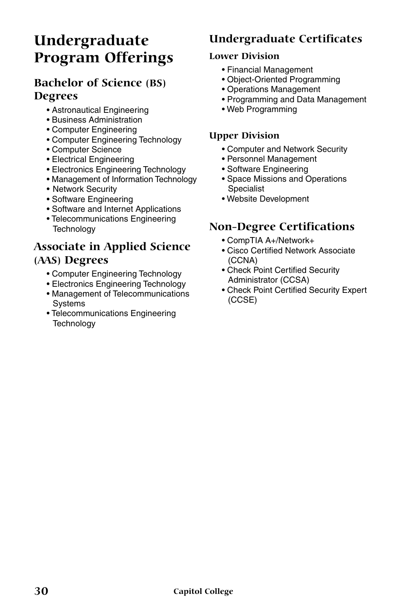## **Undergraduate Program Offerings**

## **Bachelor of Science (BS) Degrees**

- Astronautical Engineering
- Business Administration
- Computer Engineering
- Computer Engineering Technology
- Computer Science
- Electrical Engineering
- Electronics Engineering Technology
- Management of Information Technology
- Network Security
- Software Engineering
- Software and Internet Applications
- Telecommunications Engineering **Technology**

## **Associate in Applied Science (AAS) Degrees**

- Computer Engineering Technology
- Electronics Engineering Technology
- Management of Telecommunications Systems
- Telecommunications Engineering **Technology**

## **Undergraduate Certificates**

#### **Lower Division**

- Financial Management
- Object-Oriented Programming
- Operations Management
- Programming and Data Management
- Web Programming

#### **Upper Division**

- Computer and Network Security
- Personnel Management
- Software Engineering
- Space Missions and Operations Specialist
- Website Development

## **Non-Degree Certifications**

- CompTIA A+/Network+
- Cisco Certified Network Associate (CCNA)
- Check Point Certified Security Administrator (CCSA)
- Check Point Certified Security Expert (CCSE)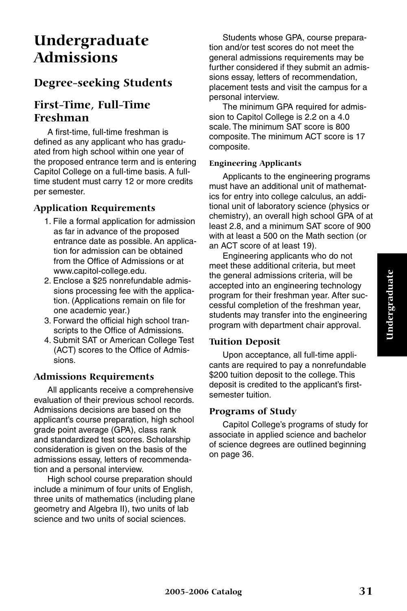## **Undergraduate Admissions**

## **Degree-seeking Students**

## **First-Time, Full-Time Freshman**

A first-time, full-time freshman is defined as any applicant who has graduated from high school within one year of the proposed entrance term and is entering Capitol College on a full-time basis. A fulltime student must carry 12 or more credits per semester.

### **Application Requirements**

- 1. File a formal application for admission as far in advance of the proposed entrance date as possible. An application for admission can be obtained from the Office of Admissions or at www.capitol-college.edu.
- 2. Enclose a \$25 nonrefundable admissions processing fee with the application. (Applications remain on file for one academic year.)
- 3. Forward the official high school transcripts to the Office of Admissions.
- 4. Submit SAT or American College Test (ACT) scores to the Office of Admissions.

### **Admissions Requirements**

All applicants receive a comprehensive evaluation of their previous school records. Admissions decisions are based on the applicant's course preparation, high school grade point average (GPA), class rank and standardized test scores. Scholarship consideration is given on the basis of the admissions essay, letters of recommendation and a personal interview.

High school course preparation should include a minimum of four units of English, three units of mathematics (including plane geometry and Algebra II), two units of lab science and two units of social sciences.

Students whose GPA, course preparation and/or test scores do not meet the general admissions requirements may be further considered if they submit an admissions essay, letters of recommendation, placement tests and visit the campus for a personal interview.

The minimum GPA required for admission to Capitol College is 2.2 on a 4.0 scale. The minimum SAT score is 800 composite. The minimum ACT score is 17 composite.

#### **Engineering Applicants**

Applicants to the engineering programs must have an additional unit of mathematics for entry into college calculus, an additional unit of laboratory science (physics or chemistry), an overall high school GPA of at least 2.8, and a minimum SAT score of 900 with at least a 500 on the Math section (or an ACT score of at least 19).

Engineering applicants who do not meet these additional criteria, but meet the general admissions criteria, will be accepted into an engineering technology program for their freshman year. After successful completion of the freshman year, students may transfer into the engineering program with department chair approval.

#### **Tuition Deposit**

Upon acceptance, all full-time applicants are required to pay a nonrefundable \$200 tuition deposit to the college. This deposit is credited to the applicant's firstsemester tuition.

#### **Programs of Study**

Capitol College's programs of study for associate in applied science and bachelor of science degrees are outlined beginning on page 36.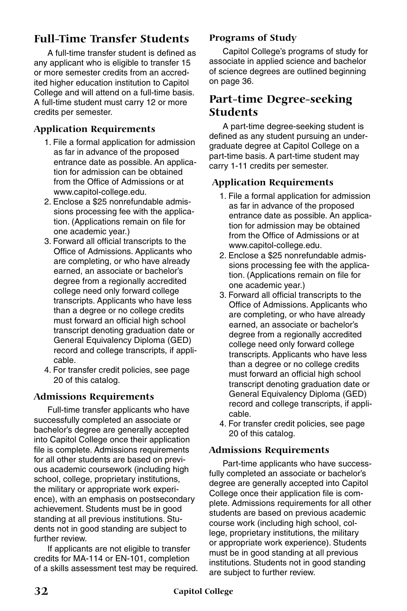## **Full-Time Transfer Students**

A full-time transfer student is defined as any applicant who is eligible to transfer 15 or more semester credits from an accredited higher education institution to Capitol College and will attend on a full-time basis. A full-time student must carry 12 or more credits per semester.

#### **Application Requirements**

- 1. File a formal application for admission as far in advance of the proposed entrance date as possible. An application for admission can be obtained from the Office of Admissions or at www.capitol-college.edu.
- 2. Enclose a \$25 nonrefundable admissions processing fee with the application. (Applications remain on file for one academic year.)
- 3. Forward all official transcripts to the Office of Admissions. Applicants who are completing, or who have already earned, an associate or bachelor's degree from a regionally accredited college need only forward college transcripts. Applicants who have less than a degree or no college credits must forward an official high school transcript denoting graduation date or General Equivalency Diploma (GED) record and college transcripts, if applicable.
- 4. For transfer credit policies, see page 20 of this catalog.

#### **Admissions Requirements**

Full-time transfer applicants who have successfully completed an associate or bachelor's degree are generally accepted into Capitol College once their application file is complete. Admissions requirements for all other students are based on previous academic coursework (including high school, college, proprietary institutions, the military or appropriate work experience), with an emphasis on postsecondary achievement. Students must be in good standing at all previous institutions. Students not in good standing are subject to further review.

If applicants are not eligible to transfer credits for MA-114 or EN-101, completion of a skills assessment test may be required.

#### **Programs of Study**

Capitol College's programs of study for associate in applied science and bachelor of science degrees are outlined beginning on page 36.

## **Part-time Degree-seeking Students**

A part-time degree-seeking student is defined as any student pursuing an undergraduate degree at Capitol College on a part-time basis. A part-time student may carry 1-11 credits per semester.

#### **Application Requirements**

- 1. File a formal application for admission as far in advance of the proposed entrance date as possible. An application for admission may be obtained from the Office of Admissions or at www.capitol-college.edu.
- 2. Enclose a \$25 nonrefundable admissions processing fee with the application. (Applications remain on file for one academic year.)
- 3. Forward all official transcripts to the Office of Admissions. Applicants who are completing, or who have already earned, an associate or bachelor's degree from a regionally accredited college need only forward college transcripts. Applicants who have less than a degree or no college credits must forward an official high school transcript denoting graduation date or General Equivalency Diploma (GED) record and college transcripts, if applicable.
- 4. For transfer credit policies, see page 20 of this catalog.

#### **Admissions Requirements**

Part-time applicants who have successfully completed an associate or bachelor's degree are generally accepted into Capitol College once their application file is complete. Admissions requirements for all other students are based on previous academic course work (including high school, college, proprietary institutions, the military or appropriate work experience). Students must be in good standing at all previous institutions. Students not in good standing are subject to further review.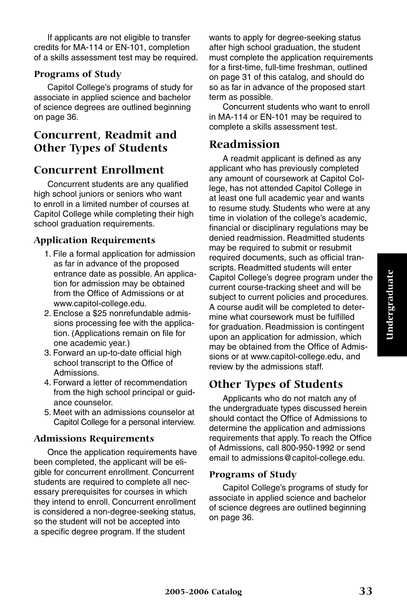If applicants are not eligible to transfer credits for MA-114 or EN-101, completion of a skills assessment test may be required.

#### **Programs of Study**

Capitol College's programs of study for associate in applied science and bachelor of science degrees are outlined beginning on page 36.

## **Concurrent, Readmit and Other Types of Students**

## **Concurrent Enrollment**

Concurrent students are any qualified high school juniors or seniors who want to enroll in a limited number of courses at Capitol College while completing their high school graduation requirements.

#### **Application Requirements**

- 1. File a formal application for admission as far in advance of the proposed entrance date as possible. An application for admission may be obtained from the Office of Admissions or at www.capitol-college.edu.
- 2. Enclose a \$25 nonrefundable admissions processing fee with the application. (Applications remain on file for one academic year.)
- 3. Forward an up-to-date official high school transcript to the Office of Admissions.
- 4. Forward a letter of recommendation from the high school principal or guidance counselor.
- 5. Meet with an admissions counselor at Capitol College for a personal interview.

#### **Admissions Requirements**

Once the application requirements have been completed, the applicant will be eligible for concurrent enrollment. Concurrent students are required to complete all necessary prerequisites for courses in which they intend to enroll. Concurrent enrollment is considered a non-degree-seeking status, so the student will not be accepted into a specific degree program. If the student

wants to apply for degree-seeking status after high school graduation, the student must complete the application requirements for a first-time, full-time freshman, outlined on page 31 of this catalog, and should do so as far in advance of the proposed start term as possible.

Concurrent students who want to enroll in MA-114 or EN-101 may be required to complete a skills assessment test.

### **Readmission**

A readmit applicant is defined as any applicant who has previously completed any amount of coursework at Capitol College, has not attended Capitol College in at least one full academic year and wants to resume study. Students who were at any time in violation of the college's academic, financial or disciplinary regulations may be denied readmission. Readmitted students may be required to submit or resubmit required documents, such as official transcripts. Readmitted students will enter Capitol College's degree program under the current course-tracking sheet and will be subject to current policies and procedures. A course audit will be completed to determine what coursework must be fulfilled for graduation. Readmission is contingent upon an application for admission, which may be obtained from the Office of Admissions or at www.capitol-college.edu, and review by the admissions staff.

## **Other Types of Students**

Applicants who do not match any of the undergraduate types discussed herein should contact the Office of Admissions to determine the application and admissions requirements that apply. To reach the Office of Admissions, call 800-950-1992 or send email to admissions@capitol-college.edu.

#### **Programs of Study**

Capitol College's programs of study for associate in applied science and bachelor of science degrees are outlined beginning on page 36.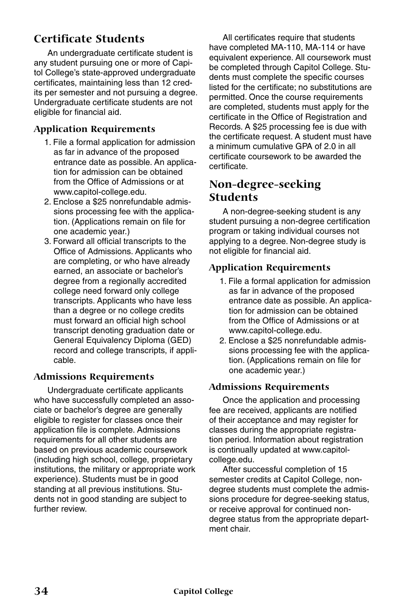## **Certificate Students**

An undergraduate certificate student is any student pursuing one or more of Capitol College's state-approved undergraduate certificates, maintaining less than 12 credits per semester and not pursuing a degree. Undergraduate certificate students are not eligible for financial aid.

#### **Application Requirements**

- 1. File a formal application for admission as far in advance of the proposed entrance date as possible. An application for admission can be obtained from the Office of Admissions or at www.capitol-college.edu.
- 2. Enclose a \$25 nonrefundable admissions processing fee with the application. (Applications remain on file for one academic year.)
- 3. Forward all official transcripts to the Office of Admissions. Applicants who are completing, or who have already earned, an associate or bachelor's degree from a regionally accredited college need forward only college transcripts. Applicants who have less than a degree or no college credits must forward an official high school transcript denoting graduation date or General Equivalency Diploma (GED) record and college transcripts, if applicable.

#### **Admissions Requirements**

Undergraduate certificate applicants who have successfully completed an associate or bachelor's degree are generally eligible to register for classes once their application file is complete. Admissions requirements for all other students are based on previous academic coursework (including high school, college, proprietary institutions, the military or appropriate work experience). Students must be in good standing at all previous institutions. Students not in good standing are subject to further review.

All certificates require that students have completed MA-110, MA-114 or have equivalent experience. All coursework must be completed through Capitol College. Students must complete the specific courses listed for the certificate; no substitutions are permitted. Once the course requirements are completed, students must apply for the certificate in the Office of Registration and Records. A \$25 processing fee is due with the certificate request. A student must have a minimum cumulative GPA of 2.0 in all certificate coursework to be awarded the certificate.

## **Non-degree-seeking Students**

A non-degree-seeking student is any student pursuing a non-degree certification program or taking individual courses not applying to a degree. Non-degree study is not eligible for financial aid.

#### **Application Requirements**

- 1. File a formal application for admission as far in advance of the proposed entrance date as possible. An application for admission can be obtained from the Office of Admissions or at www.capitol-college.edu.
- 2. Enclose a \$25 nonrefundable admissions processing fee with the application. (Applications remain on file for one academic year.)

#### **Admissions Requirements**

Once the application and processing fee are received, applicants are notified of their acceptance and may register for classes during the appropriate registration period. Information about registration is continually updated at www.capitolcollege.edu.

After successful completion of 15 semester credits at Capitol College, nondegree students must complete the admissions procedure for degree-seeking status, or receive approval for continued nondegree status from the appropriate department chair.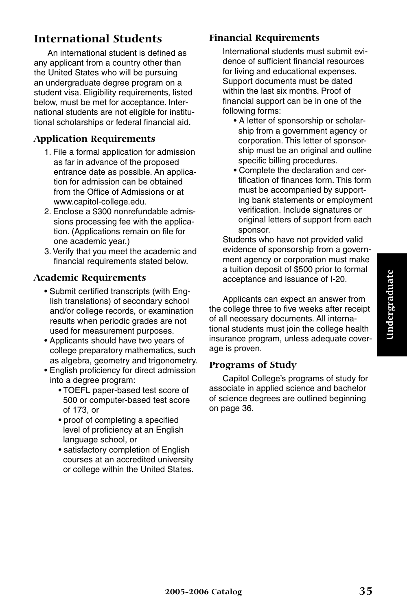## **International Students**

An international student is defined as any applicant from a country other than the United States who will be pursuing an undergraduate degree program on a student visa. Eligibility requirements, listed below, must be met for acceptance. International students are not eligible for institutional scholarships or federal financial aid.

#### **Application Requirements**

- 1. File a formal application for admission as far in advance of the proposed entrance date as possible. An application for admission can be obtained from the Office of Admissions or at www.capitol-college.edu.
- 2. Enclose a \$300 nonrefundable admissions processing fee with the application. (Applications remain on file for one academic year.)
- 3. Verify that you meet the academic and financial requirements stated below.

#### **Academic Requirements**

- Submit certified transcripts (with English translations) of secondary school and/or college records, or examination results when periodic grades are not used for measurement purposes.
- Applicants should have two years of college preparatory mathematics, such as algebra, geometry and trigonometry.
- English proficiency for direct admission into a degree program:
	- TOEFL paper-based test score of 500 or computer-based test score of 173, or
	- proof of completing a specified level of proficiency at an English language school, or
	- satisfactory completion of English courses at an accredited university or college within the United States.

#### **Financial Requirements**

International students must submit evidence of sufficient financial resources for living and educational expenses. Support documents must be dated within the last six months. Proof of financial support can be in one of the following forms:

- A letter of sponsorship or scholarship from a government agency or corporation. This letter of sponsorship must be an original and outline specific billing procedures.
- Complete the declaration and certification of finances form. This form must be accompanied by supporting bank statements or employment verification. Include signatures or original letters of support from each sponsor.

Students who have not provided valid evidence of sponsorship from a government agency or corporation must make a tuition deposit of \$500 prior to formal acceptance and issuance of I-20.

Applicants can expect an answer from the college three to five weeks after receipt of all necessary documents. All international students must join the college health insurance program, unless adequate coverage is proven.

#### **Programs of Study**

Capitol College's programs of study for associate in applied science and bachelor of science degrees are outlined beginning on page 36.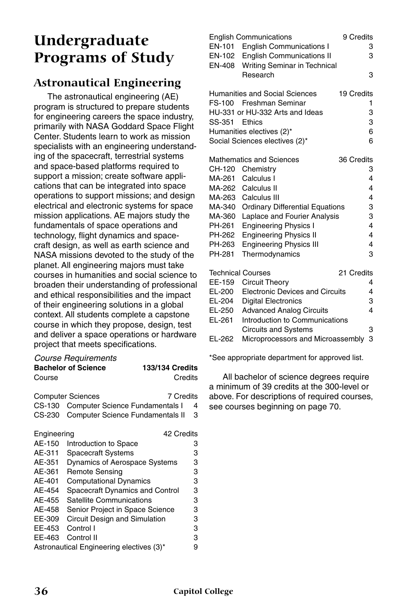## **Undergraduate Programs of Study**

## **Astronautical Engineering**

The astronautical engineering (AE) program is structured to prepare students for engineering careers the space industry, primarily with NASA Goddard Space Flight Center. Students learn to work as mission specialists with an engineering understanding of the spacecraft, terrestrial systems and space-based platforms required to support a mission; create software applications that can be integrated into space operations to support missions; and design electrical and electronic systems for space mission applications. AE majors study the fundamentals of space operations and technology, flight dynamics and spacecraft design, as well as earth science and NASA missions devoted to the study of the planet. All engineering majors must take courses in humanities and social science to broaden their understanding of professional and ethical responsibilities and the impact of their engineering solutions in a global context. All students complete a capstone course in which they propose, design, test and deliver a space operations or hardware project that meets specifications.

## *Course Requirements* **Bachelor of Science 133/134 Credits**

| Course      |                                          | Credits |
|-------------|------------------------------------------|---------|
|             | 7 Credits<br><b>Computer Sciences</b>    |         |
| CS-130      | <b>Computer Science Fundamentals I</b>   | 4       |
| CS-230      | Computer Science Fundamentals II         | 3       |
| Engineering | 42 Credits                               |         |
| AE-150      | Introduction to Space                    | 3       |
| AE-311      | <b>Spacecraft Systems</b>                | 3       |
| AE-351      | <b>Dynamics of Aerospace Systems</b>     | 3       |
| AE-361      | Remote Sensing                           | 3       |
| AE-401      | <b>Computational Dynamics</b>            | 3       |
| AE-454      | Spacecraft Dynamics and Control          | 3       |
| AE-455      | Satellite Communications                 | 3       |
| AE-458      | Senior Project in Space Science          | 3       |
| EE-309      | Circuit Design and Simulation            | 3       |
| EE-453      | Control I                                | 3       |
| EE-463      | Control II                               | 3       |
|             | Astronautical Engineering electives (3)* | 9       |

|               | <b>English Communications</b>          | 9 Credits  |                         |
|---------------|----------------------------------------|------------|-------------------------|
| EN-101        | <b>English Communications I</b>        |            | 3                       |
| EN-102        | <b>English Communications II</b>       |            | 3                       |
| <b>EN-408</b> | Writing Seminar in Technical           |            |                         |
|               | Research                               |            | 3                       |
|               |                                        |            |                         |
|               | Humanities and Social Sciences         | 19 Credits |                         |
|               | FS-100 Freshman Seminar                |            | 1                       |
|               | HU-331 or HU-332 Arts and Ideas        |            | 3                       |
| SS-351        | <b>Fthics</b>                          |            | 3                       |
|               | Humanities electives (2)*              |            | 6                       |
|               | Social Sciences electives (2)*         |            | 6                       |
|               |                                        |            |                         |
|               | Mathematics and Sciences               | 36 Credits |                         |
| CH-120        | Chemistry                              |            | 3                       |
| MA-261        | Calculus I                             |            | 4                       |
| MA-262        | Calculus II                            |            | 4                       |
| MA-263        | Calculus III                           |            | 4                       |
| MA-340        | <b>Ordinary Differential Equations</b> |            | 3                       |
| MA-360        | Laplace and Fourier Analysis           |            | 3                       |
| PH-261        | <b>Engineering Physics I</b>           |            | 4                       |
| PH-262        | <b>Engineering Physics II</b>          |            | 4                       |
| PH-263        | <b>Engineering Physics III</b>         |            | 4                       |
| PH-281        | Thermodynamics                         |            | 3                       |
|               |                                        |            |                         |
|               | <b>Technical Courses</b>               | 21 Credits |                         |
| EE-159        | Circuit Theory                         |            | 4                       |
| EL-200        | <b>Electronic Devices and Circuits</b> |            | 4                       |
| EL-204        | <b>Digital Electronics</b>             |            | 3                       |
| EL-250        | <b>Advanced Analog Circuits</b>        |            | $\overline{\mathbf{A}}$ |
| EL-261        | Introduction to Communications         |            |                         |
|               | <b>Circuits and Systems</b>            |            | 3                       |
| EL-262        | Microprocessors and Microassembly      |            | 3                       |
|               |                                        |            |                         |

\*See appropriate department for approved list.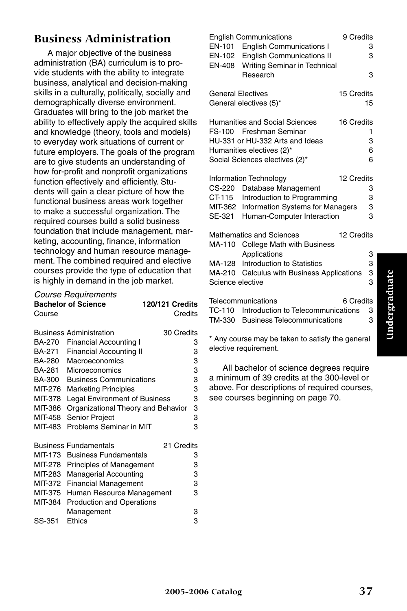## **Business Administration**

A major objective of the business administration (BA) curriculum is to provide students with the ability to integrate business, analytical and decision-making skills in a culturally, politically, socially and demographically diverse environment. Graduates will bring to the job market the ability to effectively apply the acquired skills and knowledge (theory, tools and models) to everyday work situations of current or future employers. The goals of the program are to give students an understanding of how for-profit and nonprofit organizations function effectively and efficiently. Students will gain a clear picture of how the functional business areas work together to make a successful organization. The required courses build a solid business foundation that include management, marketing, accounting, finance, information technology and human resource management. The combined required and elective courses provide the type of education that is highly in demand in the job market.

#### *Course Requirements* **Bachelor of Science 120/121 Credits** Course Credits

|         | <b>Business Administration</b>       | 30 Credits |   |
|---------|--------------------------------------|------------|---|
| BA-270  | <b>Financial Accounting I</b>        |            | 3 |
| BA-271  | <b>Financial Accounting II</b>       |            | 3 |
| BA-280  | Macroeconomics                       |            | 3 |
| BA-281  | Microeconomics                       |            | 3 |
| BA-300  | <b>Business Communications</b>       |            | 3 |
| MIT-276 | <b>Marketing Principles</b>          |            | 3 |
| MIT-378 | <b>Legal Environment of Business</b> |            | 3 |
| MIT-386 | Organizational Theory and Behavior   |            | 3 |
| MIT-458 | Senior Project                       |            | 3 |
| MIT-483 | Problems Seminar in MIT              |            | 3 |
|         |                                      |            |   |
|         | <b>Business Fundamentals</b>         | 21 Credits |   |
| MIT-173 | <b>Business Fundamentals</b>         |            | 3 |
| MIT-278 | <b>Principles of Management</b>      |            | 3 |
| MIT-283 | <b>Managerial Accounting</b>         |            | 3 |
|         |                                      |            |   |
| MIT-372 | <b>Financial Management</b>          |            | 3 |
| MIT-375 | Human Resource Management            |            | 3 |
| MIT-384 | <b>Production and Operations</b>     |            |   |
|         | Management                           |            | 3 |
| SS-351  | Ethics                               |            | З |

|                          | <b>English Communications</b>              | 9 Credits  |    |
|--------------------------|--------------------------------------------|------------|----|
|                          | EN-101 English Communications I            |            | 3  |
|                          | EN-102 English Communications II           |            | 3  |
|                          | EN-408 Writing Seminar in Technical        |            |    |
|                          | Research                                   |            | 3  |
| <b>General Electives</b> |                                            | 15 Credits |    |
|                          | General electives (5)*                     |            | 15 |
|                          | Humanities and Social Sciences             | 16 Credits |    |
|                          | FS-100 Freshman Seminar                    |            | 1  |
|                          | HU-331 or HU-332 Arts and Ideas            |            | 3  |
|                          | Humanities electives (2)*                  |            | 6  |
|                          | Social Sciences electives (2)*             |            | 6  |
|                          | <b>Information Technology</b>              | 12 Credits |    |
| CS-220                   | Database Management                        |            | 3  |
|                          | CT-115 Introduction to Programming         |            | 3  |
|                          | MIT-362 Information Systems for Managers   |            | 3  |
|                          | SE-321 Human-Computer Interaction          |            | 3  |
|                          | <b>Mathematics and Sciences</b>            | 12 Credits |    |
|                          | MA-110 College Math with Business          |            |    |
|                          | Applications                               |            | 3  |
|                          | MA-128 Introduction to Statistics          |            | 3  |
|                          | MA-210 Calculus with Business Applications |            | 3  |
| Science elective         |                                            |            | 3  |
|                          | Telecommunications                         | 6 Credits  |    |
|                          | TC-110 Introduction to Telecommunications  |            | 3  |
|                          | TM-330 Business Telecommunications         |            | 3  |

\* Any course may be taken to satisfy the general elective requirement.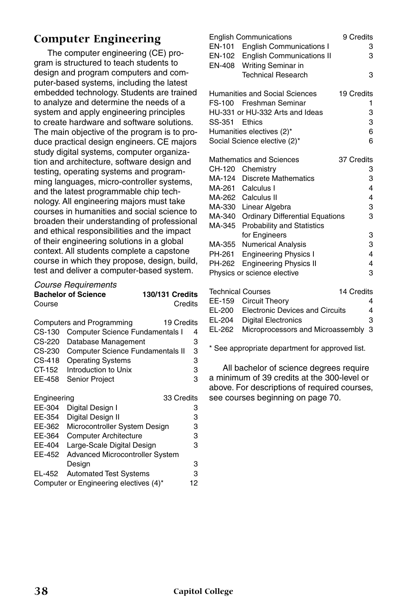## **Computer Engineering**

The computer engineering (CE) program is structured to teach students to design and program computers and computer-based systems, including the latest embedded technology. Students are trained to analyze and determine the needs of a system and apply engineering principles to create hardware and software solutions. The main objective of the program is to produce practical design engineers. CE majors study digital systems, computer organization and architecture, software design and testing, operating systems and programming languages, micro-controller systems, and the latest programmable chip technology. All engineering majors must take courses in humanities and social science to broaden their understanding of professional and ethical responsibilities and the impact of their engineering solutions in a global context. All students complete a capstone course in which they propose, design, build, test and deliver a computer-based system.

| <b>Course Requirements</b> |                        |
|----------------------------|------------------------|
| <b>Bachelor of Science</b> | <b>130/131 Credits</b> |
| Course                     | Credits                |

|             | Computers and Programming<br>19 Credits |   |
|-------------|-----------------------------------------|---|
| CS-130      | <b>Computer Science Fundamentals I</b>  | 4 |
| CS-220      | Database Management                     | 3 |
| CS-230      | <b>Computer Science Fundamentals II</b> | 3 |
| CS-418      | <b>Operating Systems</b>                | 3 |
| CT-152      | Introduction to Unix                    | 3 |
| EE-458      | <b>Senior Project</b>                   | 3 |
| Engineering | 33 Credits                              |   |
| EE-304      | Digital Design I                        | 3 |
| EE-354      | Digital Design II                       | 3 |
| EE-362      | Microcontroller System Design           | 3 |
| EE-364      | <b>Computer Architecture</b>            | 3 |

| EE-404 Large-Scale Digital Design      | з  |
|----------------------------------------|----|
| EE-452 Advanced Microcontroller System |    |
| Desian                                 | З  |
| EL-452 Automated Test Systems          | З  |
| Computer or Engineering electives (4)* | 12 |

|        | <b>English Communications</b>          | 9 Credits  |
|--------|----------------------------------------|------------|
|        | EN-101 English Communications I        | 3          |
|        | EN-102 English Communications II       | 3          |
|        | EN-408 Writing Seminar in              |            |
|        | <b>Technical Research</b>              | 3          |
|        | Humanities and Social Sciences         | 19 Credits |
|        | FS-100 Freshman Seminar                | 1          |
|        | HU-331 or HU-332 Arts and Ideas        | 3          |
| SS-351 | <b>Fthics</b>                          | 3          |
|        | Humanities electives (2)*              | 6          |
|        | Social Science elective (2)*           | 6          |
|        | <b>Mathematics and Sciences</b>        | 37 Credits |
|        | CH-120 Chemistry                       | 3          |
|        | MA-124 Discrete Mathematics            | 3          |
|        | MA-261 Calculus I                      | 4          |
|        | MA-262 Calculus II                     | 4          |
|        | MA-330 Linear Algebra                  | 3          |
|        | MA-340 Ordinary Differential Equations | 3          |
|        | MA-345 Probability and Statistics      |            |
|        | for Engineers                          | 3          |
|        | MA-355 Numerical Analysis              | 3          |
| PH-261 | <b>Engineering Physics I</b>           | 4          |
| PH-262 | <b>Engineering Physics II</b>          | 4          |
|        | Physics or science elective            | 3          |
|        | <b>Technical Courses</b>               | 14 Credits |
|        | EE-159 Circuit Theory                  | 4          |
|        |                                        |            |

| EE-159 Circuit Theory                      |   |
|--------------------------------------------|---|
| EL-200 Electronic Devices and Circuits     | 4 |
| EL-204 Digital Electronics                 | з |
| EL-262 Microprocessors and Microassembly 3 |   |

\* See appropriate department for approved list.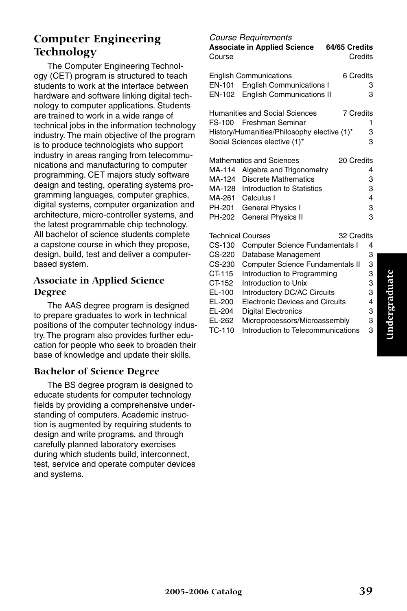## **Computer Engineering Technology**

The Computer Engineering Technology (CET) program is structured to teach students to work at the interface between hardware and software linking digital technology to computer applications. Students are trained to work in a wide range of technical jobs in the information technology industry. The main objective of the program is to produce technologists who support industry in areas ranging from telecommunications and manufacturing to computer programming. CET majors study software design and testing, operating systems programming languages, computer graphics, digital systems, computer organization and architecture, micro-controller systems, and the latest programmable chip technology. All bachelor of science students complete a capstone course in which they propose, design, build, test and deliver a computerbased system.

#### **Associate in Applied Science Degree**

The AAS degree program is designed to prepare graduates to work in technical positions of the computer technology industry. The program also provides further education for people who seek to broaden their base of knowledge and update their skills.

#### **Bachelor of Science Degree**

The BS degree program is designed to educate students for computer technology fields by providing a comprehensive understanding of computers. Academic instruction is augmented by requiring students to design and write programs, and through carefully planned laboratory exercises during which students build, interconnect, test, service and operate computer devices and systems.

*Course Requirements* **Associate in Applied Science 64/65 Credits** Course **Course** Credits English Communications 6 Credits EN-101 English Communications I 3 EN-102 English Communications II 3 Humanities and Social Sciences 7 Credits FS-100 Freshman Seminar 1 History/Humanities/Philosophy elective (1)\* 3 Social Sciences elective  $(1)^*$  3 Mathematics and Sciences 20 Credits MA-114 Algebra and Trigonometry 4 MA-124 Discrete Mathematics 3 MA-128 Introduction to Statistics 3 MA-261 Calculus I 4 PH-201 General Physics I 3 PH-202 General Physics II 3 Technical Courses 32 Credits CS-130 Computer Science Fundamentals I 4 CS-220 Database Management 3 CS-230 Computer Science Fundamentals II 3 CT-115 Introduction to Programming 3 CT-152 Introduction to Unix 3<br>EL-100 Introductory DC/AC Circuits 3 EL-100 Introductory DC/AC Circuits EL-200 Electronic Devices and Circuits 4 EL-204 Digital Electronics<br>EL-262 Microprocessors/Microassembly 3

- EL-262 Microprocessors/Microassembly 3
- TC-110 Introduction to Telecommunications 3

## Undergraduate **Undergraduate**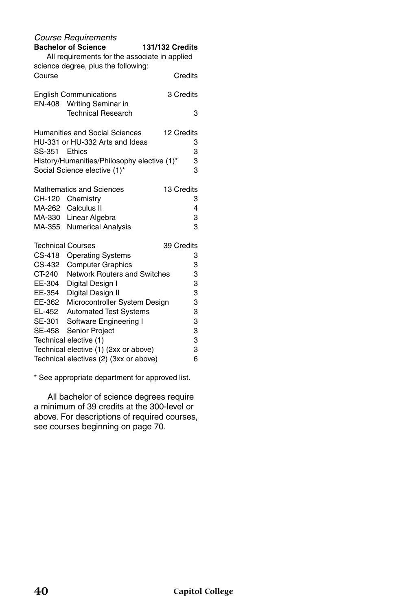|                          | <b>Course Requirements</b>                    |                 |
|--------------------------|-----------------------------------------------|-----------------|
|                          | <b>Bachelor of Science</b>                    | 131/132 Credits |
|                          | All requirements for the associate in applied |                 |
|                          | science degree, plus the following:           |                 |
| Course                   |                                               | Credits         |
|                          | <b>English Communications</b>                 | 3 Credits       |
| EN-408                   | Writing Seminar in                            |                 |
|                          | <b>Technical Research</b>                     | 3               |
|                          | <b>Humanities and Social Sciences</b>         | 12 Credits      |
|                          | HU-331 or HU-332 Arts and Ideas               | 3               |
| SS-351                   | Ethics                                        | 3               |
|                          | History/Humanities/Philosophy elective (1)*   | 3               |
|                          | Social Science elective (1)*                  | 3               |
|                          | <b>Mathematics and Sciences</b>               | 13 Credits      |
| CH-120                   | Chemistry                                     | 3               |
|                          | MA-262 Calculus II                            | 4               |
|                          | MA-330 Linear Algebra                         | 3               |
|                          | MA-355 Numerical Analysis                     | 3               |
| <b>Technical Courses</b> |                                               | 39 Credits      |
| CS-418                   | <b>Operating Systems</b>                      | 3               |
| CS-432                   | <b>Computer Graphics</b>                      | 3               |
| CT-240                   | Network Routers and Switches                  | 3               |
| EE-304                   | Digital Design I                              | 3               |
| EE-354                   | Digital Design II                             | 3               |
| EE-362                   | Microcontroller System Design                 | 3               |
| EL-452                   | <b>Automated Test Systems</b>                 | 3               |
| SE-301                   | Software Engineering I                        | 3               |
| SE-458                   | <b>Senior Project</b>                         | 3               |
|                          | Technical elective (1)                        | 3               |
|                          | Technical elective (1) (2xx or above)         | 3               |
|                          | Technical electives (2) (3xx or above)        | 6               |

\* See appropriate department for approved list.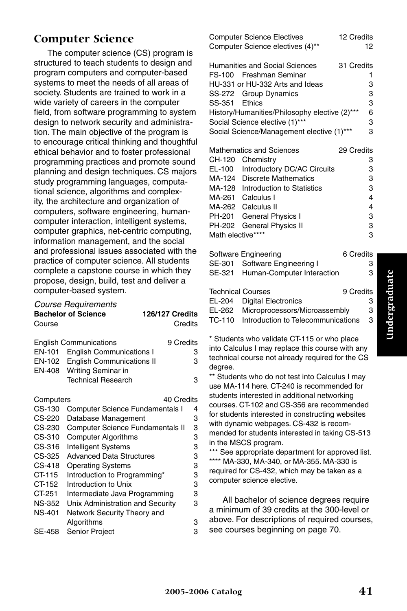## **Computer Science**

The computer science (CS) program is structured to teach students to design and program computers and computer-based systems to meet the needs of all areas of society. Students are trained to work in a wide variety of careers in the computer field, from software programming to system design to network security and administration. The main objective of the program is to encourage critical thinking and thoughtful ethical behavior and to foster professional programming practices and promote sound planning and design techniques. CS majors study programming languages, computational science, algorithms and complexity, the architecture and organization of computers, software engineering, humancomputer interaction, intelligent systems, computer graphics, net-centric computing, information management, and the social and professional issues associated with the practice of computer science. All students complete a capstone course in which they propose, design, build, test and deliver a computer-based system.

#### *Course Requirements*

| Course    | <b>OUGIUL TRYGGIULIUIIU</b><br><b>Bachelor of Science</b> | 126/127 Credits<br>Credits |
|-----------|-----------------------------------------------------------|----------------------------|
|           | <b>English Communications</b>                             | 9 Credits                  |
| EN-101    | <b>English Communications I</b>                           | 3                          |
| EN-102    | <b>English Communications II</b>                          | 3                          |
| EN-408    | Writing Seminar in                                        |                            |
|           | <b>Technical Research</b>                                 | 3                          |
| Computers |                                                           | 40 Credits                 |
| CS-130    | <b>Computer Science Fundamentals I</b>                    | 4                          |
| CS-220    | Database Management                                       | 3                          |
| CS-230    | <b>Computer Science Fundamentals II</b>                   | 3                          |
| CS-310    | <b>Computer Algorithms</b>                                | 3                          |
| CS-316    | <b>Intelligent Systems</b>                                | 3                          |
| CS-325    | <b>Advanced Data Structures</b>                           | 3                          |
| CS-418    | <b>Operating Systems</b>                                  | 3                          |
| CT-115    | Introduction to Programming*                              | 3                          |
|           |                                                           |                            |

#### CT-152 Introduction to Unix 3 CT-251 Intermediate Java Programming 3

NS-352 Unix Administration and Security 3 NS-401 Network Security Theory and

Algorithms 3<br>Senior Project 3 SE-458 Senior Project

|        | <b>Computer Science Electives</b>             | 12 Credits |
|--------|-----------------------------------------------|------------|
|        | Computer Science electives (4)**              | 12         |
|        | Humanities and Social Sciences                | 31 Credits |
|        | FS-100 Freshman Seminar                       |            |
|        | HU-331 or HU-332 Arts and Ideas               | 3          |
|        | SS-272 Group Dynamics                         | 3          |
| SS-351 | Ethics                                        | 3          |
|        | History/Humanities/Philosophy elective (2)*** | 6          |
|        | Social Science elective (1)***                | 3          |
|        | Social Science/Management elective (1)***     | 3          |
|        |                                               |            |
|        | Mathematics and Sciences                      | 29 Credits |
| CH-120 | Chemistry                                     | 3          |
| EL-100 | <b>Introductory DC/AC Circuits</b>            | 3          |
| MA-124 | <b>Discrete Mathematics</b>                   | 3          |
| MA-128 | Introduction to Statistics                    | З          |
| MA-261 | Calculus I                                    | 4          |
|        | MA-262 Calculus II                            | 4          |
| PH-201 | General Physics I                             | 3          |
| PH-202 | <b>General Physics II</b>                     | 3          |

|                          | Software Engineering                 | 6 Credits |   |
|--------------------------|--------------------------------------|-----------|---|
| SE-301                   | Software Engineering I               |           | з |
|                          | SE-321 Human-Computer Interaction    |           | 3 |
| <b>Technical Courses</b> |                                      | 9 Credits |   |
| EL-204                   | <b>Digital Electronics</b>           |           | з |
|                          | EL-262 Microprocessors/Microassembly |           | 3 |
| TC-110                   | Introduction to Telecommunications   |           | 3 |
|                          |                                      |           |   |

Math elective\*\*\*\* 3

\* Students who validate CT-115 or who place into Calculus I may replace this course with any technical course not already required for the CS degree.

\*\* Students who do not test into Calculus I may use MA-114 here. CT-240 is recommended for students interested in additional networking courses. CT-102 and CS-356 are recommended for students interested in constructing websites with dynamic webpages. CS-432 is recommended for students interested in taking CS-513 in the MSCS program.

\*\*\* See appropriate department for approved list. \*\*\*\* MA-330, MA-340, or MA-355. MA-330 is required for CS-432, which may be taken as a computer science elective.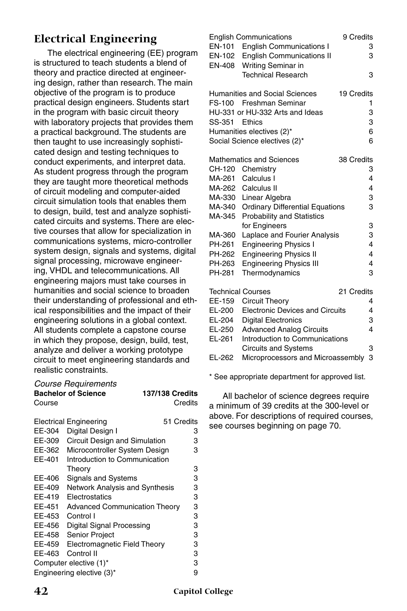## **Electrical Engineering**

The electrical engineering (EE) program is structured to teach students a blend of theory and practice directed at engineering design, rather than research. The main objective of the program is to produce practical design engineers. Students start in the program with basic circuit theory with laboratory projects that provides them a practical background. The students are then taught to use increasingly sophisticated design and testing techniques to conduct experiments, and interpret data. As student progress through the program they are taught more theoretical methods of circuit modeling and computer-aided circuit simulation tools that enables them to design, build, test and analyze sophisticated circuits and systems. There are elective courses that allow for specialization in communications systems, micro-controller system design, signals and systems, digital signal processing, microwave engineering, VHDL and telecommunications. All engineering majors must take courses in humanities and social science to broaden their understanding of professional and ethical responsibilities and the impact of their engineering solutions in a global context. All students complete a capstone course in which they propose, design, build, test, analyze and deliver a working prototype circuit to meet engineering standards and realistic constraints.

| Course                         | <b>Course Requirements</b><br><b>Bachelor of Science</b> | <b>137/138 Credits</b> | Credits    |
|--------------------------------|----------------------------------------------------------|------------------------|------------|
|                                | <b>Electrical Engineering</b>                            |                        | 51 Credits |
| EE-304                         | Digital Design I                                         |                        | 3          |
| EE-309                         | Circuit Design and Simulation                            |                        | 3          |
| EE-362                         | Microcontroller System Design                            |                        | 3          |
| EE-401                         | Introduction to Communication                            |                        |            |
|                                | Theory                                                   |                        | 3          |
| EE-406                         | <b>Signals and Systems</b>                               |                        | 3          |
| EE-409                         | <b>Network Analysis and Synthesis</b>                    |                        | 3          |
| EE-419                         | Electrostatics                                           |                        | 3          |
| EE-451                         | <b>Advanced Communication Theory</b>                     |                        | 3          |
| EE-453                         | Control I                                                |                        | 3          |
| EE-456                         | Digital Signal Processing                                |                        | 3          |
| EE-458                         | <b>Senior Project</b>                                    |                        | 3          |
| EE-459                         | Electromagnetic Field Theory                             |                        | 3          |
| EE-463                         | Control II                                               |                        | 3          |
| Computer elective (1)*         |                                                          |                        | 3          |
| 9<br>Engineering elective (3)* |                                                          |                        |            |

|                          | <b>English Communications</b>          | 9 Credits  |                         |
|--------------------------|----------------------------------------|------------|-------------------------|
| EN-101                   | <b>English Communications I</b>        |            | 3                       |
| EN-102                   | <b>English Communications II</b>       |            | 3                       |
| EN-408                   | Writing Seminar in                     |            |                         |
|                          | <b>Technical Research</b>              |            | 3                       |
|                          |                                        |            |                         |
|                          | Humanities and Social Sciences         | 19 Credits |                         |
| FS-100                   | Freshman Seminar                       |            | 1                       |
|                          | HU-331 or HU-332 Arts and Ideas        |            | 3                       |
| SS-351                   | <b>Fthics</b>                          |            | 3                       |
|                          | Humanities electives (2)*              |            | 6                       |
|                          | Social Science electives (2)*          |            | 6                       |
|                          |                                        |            |                         |
|                          | <b>Mathematics and Sciences</b>        | 38 Credits |                         |
| CH-120                   | Chemistry                              |            | 3                       |
| MA-261                   | Calculus I                             |            | 4                       |
| MA-262                   | Calculus II                            |            | 4                       |
| MA-330                   | Linear Algebra                         |            | 3                       |
| MA-340                   | <b>Ordinary Differential Equations</b> |            | 3                       |
| MA-345                   | <b>Probability and Statistics</b>      |            |                         |
|                          | for Engineers                          |            | 3                       |
| MA-360                   | Laplace and Fourier Analysis           |            | 3                       |
| PH-261                   | <b>Engineering Physics I</b>           |            | $\overline{\mathbf{4}}$ |
| PH-262                   | <b>Engineering Physics II</b>          |            | 4                       |
| PH-263                   | <b>Engineering Physics III</b>         |            | 4                       |
| PH-281                   | Thermodynamics                         |            | 3                       |
|                          |                                        |            |                         |
| <b>Technical Courses</b> |                                        | 21 Credits |                         |
| EE-159                   | Circuit Theory                         |            | 4                       |
| EL-200                   | <b>Electronic Devices and Circuits</b> |            | 4                       |
| EL-204                   | <b>Digital Electronics</b>             |            | 3                       |
| EL-250                   | <b>Advanced Analog Circuits</b>        |            | 4                       |
| EL-261                   | Introduction to Communications         |            |                         |
|                          | <b>Circuits and Systems</b>            |            | 3                       |
| EL-262                   | Microprocessors and Microassembly      |            | 3                       |
|                          |                                        |            |                         |

\* See appropriate department for approved list.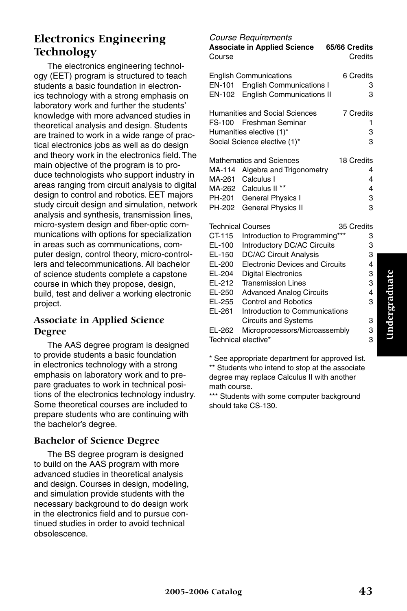## **Electronics Engineering Technology**

The electronics engineering technology (EET) program is structured to teach students a basic foundation in electronics technology with a strong emphasis on laboratory work and further the students' knowledge with more advanced studies in theoretical analysis and design. Students are trained to work in a wide range of practical electronics jobs as well as do design and theory work in the electronics field. The main objective of the program is to produce technologists who support industry in areas ranging from circuit analysis to digital design to control and robotics. EET majors study circuit design and simulation, network analysis and synthesis, transmission lines, micro-system design and fiber-optic communications with options for specialization in areas such as communications, computer design, control theory, micro-controllers and telecommunications. All bachelor of science students complete a capstone course in which they propose, design, build, test and deliver a working electronic project.

#### **Associate in Applied Science Degree**

The AAS degree program is designed to provide students a basic foundation in electronics technology with a strong emphasis on laboratory work and to prepare graduates to work in technical positions of the electronics technology industry. Some theoretical courses are included to prepare students who are continuing with the bachelor's degree.

#### **Bachelor of Science Degree**

The BS degree program is designed to build on the AAS program with more advanced studies in theoretical analysis and design. Courses in design, modeling, and simulation provide students with the necessary background to do design work in the electronics field and to pursue continued studies in order to avoid technical obsolescence.

#### *Course Requirements*

| Course                                                                     | ouroo moquiromonio<br><b>Associate in Applied Science</b>                                                                                                              | 65/66 Credits<br>Credits            |
|----------------------------------------------------------------------------|------------------------------------------------------------------------------------------------------------------------------------------------------------------------|-------------------------------------|
| EN-101                                                                     | <b>English Communications</b><br><b>English Communications I</b><br>EN-102 English Communications II                                                                   | 6 Credits<br>3<br>3                 |
| FS-100                                                                     | <b>Humanities and Social Sciences</b><br>Freshman Seminar<br>Humanities elective (1)*<br>Social Science elective (1)*                                                  | <b>7 Credits</b><br>1<br>3<br>3     |
| MA-114<br>MA-261<br>MA-262<br>PH-201<br>PH-202                             | <b>Mathematics and Sciences</b><br>Algebra and Trigonometry<br>Calculus I<br>Calculus II <sup>**</sup><br>General Physics I<br><b>General Physics II</b>               | 18 Credits<br>4<br>4<br>4<br>3<br>3 |
| <b>Technical Courses</b><br>CT-115<br>EL-100<br>EL-150<br>EL-200<br>EL-204 | Introduction to Programming***<br>Introductory DC/AC Circuits<br><b>DC/AC Circuit Analysis</b><br><b>Electronic Devices and Circuits</b><br><b>Digital Electronics</b> | 35 Credits<br>3<br>3<br>3<br>4<br>3 |
| EL-212<br>EL-250<br>EL-255                                                 | <b>Transmission Lines</b><br><b>Advanced Analog Circuits</b><br><b>Control and Robotics</b>                                                                            | 3<br>4<br>3                         |
| EL-261<br>EL-262<br>Technical elective*                                    | Introduction to Communications<br><b>Circuits and Systems</b><br>Microprocessors/Microassembly                                                                         | 3<br>3<br>3                         |

\* See appropriate department for approved list. \*\* Students who intend to stop at the associate degree may replace Calculus II with another math course.

\*\*\* Students with some computer background should take CS-130.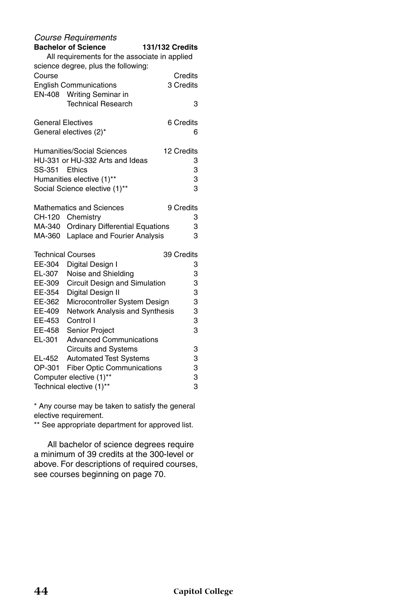|                          | <b>Course Requirements</b><br><b>Bachelor of Science</b><br>All requirements for the associate in applied<br>science degree, plus the following: | 131/132 Credits |  |
|--------------------------|--------------------------------------------------------------------------------------------------------------------------------------------------|-----------------|--|
| Course                   |                                                                                                                                                  | Credits         |  |
|                          | <b>English Communications</b>                                                                                                                    | 3 Credits       |  |
| EN-408                   | <b>Writing Seminar in</b><br><b>Technical Research</b>                                                                                           | 3               |  |
| <b>General Electives</b> |                                                                                                                                                  | 6 Credits       |  |
|                          | General electives (2)*                                                                                                                           | 6               |  |
|                          | <b>Humanities/Social Sciences</b>                                                                                                                | 12 Credits      |  |
|                          | HU-331 or HU-332 Arts and Ideas                                                                                                                  | 3               |  |
| SS-351                   | Ethics                                                                                                                                           | 3               |  |
|                          | Humanities elective (1)**                                                                                                                        | 3               |  |
|                          | Social Science elective (1)**                                                                                                                    | 3               |  |
|                          | <b>Mathematics and Sciences</b>                                                                                                                  | 9 Credits       |  |
|                          | CH-120 Chemistry                                                                                                                                 | 3               |  |
|                          | MA-340 Ordinary Differential Equations                                                                                                           | 3               |  |
| MA-360                   | Laplace and Fourier Analysis                                                                                                                     | 3               |  |
|                          | Technical Courses                                                                                                                                | 39 Credits      |  |
| EE-304                   | Digital Design I                                                                                                                                 | 3               |  |
| EL-307                   | Noise and Shielding                                                                                                                              | 3               |  |
| EE-309                   | Circuit Design and Simulation                                                                                                                    | 3               |  |
| EE-354                   | Digital Design II                                                                                                                                | 3               |  |
| EE-362                   | Microcontroller System Design                                                                                                                    | 3               |  |
| EE-409                   | Network Analysis and Synthesis                                                                                                                   | 3               |  |
| EE-453                   | Control I                                                                                                                                        | 3<br>3          |  |
| EE-458                   | <b>Senior Project</b>                                                                                                                            |                 |  |
| EL-301                   | <b>Advanced Communications</b>                                                                                                                   |                 |  |
| EL-452                   | <b>Circuits and Systems</b><br><b>Automated Test Systems</b>                                                                                     | 3<br>3          |  |
| OP-301                   | <b>Fiber Optic Communications</b>                                                                                                                | 3               |  |
|                          |                                                                                                                                                  | 3               |  |
|                          | Computer elective (1)**<br>3<br>Technical elective (1)**                                                                                         |                 |  |
|                          |                                                                                                                                                  |                 |  |

\* Any course may be taken to satisfy the general elective requirement.

\*\* See appropriate department for approved list.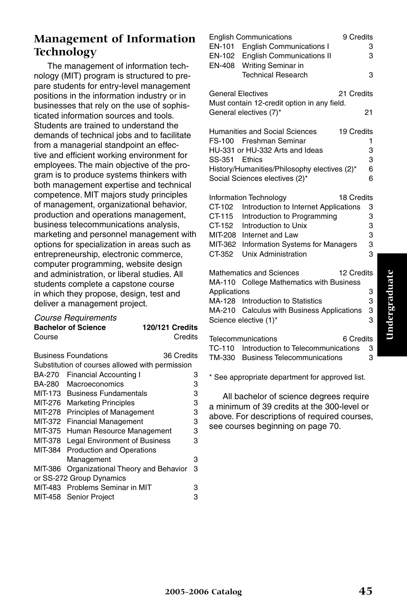## **Management of Information Technology**

The management of information technology (MIT) program is structured to prepare students for entry-level management positions in the information industry or in businesses that rely on the use of sophisticated information sources and tools. Students are trained to understand the demands of technical jobs and to facilitate from a managerial standpoint an effective and efficient working environment for employees. The main objective of the program is to produce systems thinkers with both management expertise and technical competence. MIT majors study principles of management, organizational behavior, production and operations management, business telecommunications analysis, marketing and personnel management with options for specialization in areas such as entrepreneurship, electronic commerce, computer programming, website design and administration, or liberal studies. All students complete a capstone course in which they propose, design, test and deliver a management project.

#### *Course Requirements*

|         | <b>Bachelor of Science</b>                      | <b>120/121 Credits</b> |   |
|---------|-------------------------------------------------|------------------------|---|
| Course  |                                                 | Credits                |   |
|         | <b>Business Foundations</b>                     | 36 Credits             |   |
|         | Substitution of courses allowed with permission |                        |   |
|         |                                                 |                        |   |
| BA-270  | <b>Financial Accounting I</b>                   |                        | з |
| BA-280  | Macroeconomics                                  |                        | 3 |
| MIT-173 | <b>Business Fundamentals</b>                    |                        | 3 |
| MIT-276 | <b>Marketing Principles</b>                     |                        | 3 |
| MIT-278 | <b>Principles of Management</b>                 |                        | 3 |
| MIT-372 | <b>Financial Management</b>                     |                        | 3 |
| MIT-375 | Human Resource Management                       |                        | 3 |
| MIT-378 | <b>Legal Environment of Business</b>            |                        | 3 |
| MIT-384 | <b>Production and Operations</b>                |                        |   |
|         | Management                                      |                        | 3 |
| MIT-386 | Organizational Theory and Behavior              |                        | 3 |
|         | or SS-272 Group Dynamics                        |                        |   |
|         | MIT-483 Problems Seminar in MIT                 |                        | з |
|         | MIT-458 Senior Project                          |                        | 3 |
|         |                                                 |                        |   |

| EN-408                   | <b>English Communications</b><br>9 Credits<br>EN-101 English Communications I<br>EN-102 English Communications II<br>Writing Seminar in | 3<br>3 |
|--------------------------|-----------------------------------------------------------------------------------------------------------------------------------------|--------|
|                          | <b>Technical Research</b>                                                                                                               | 3      |
| <b>General Electives</b> | 21 Credits<br>Must contain 12-credit option in any field.                                                                               |        |
|                          | General electives (7)*                                                                                                                  | 21     |
|                          | Humanities and Social Sciences<br>19 Credits                                                                                            |        |
|                          | FS-100 Freshman Seminar                                                                                                                 | 1      |
|                          | HU-331 or HU-332 Arts and Ideas                                                                                                         | 3      |
| SS-351 Ethics            |                                                                                                                                         | 3      |
|                          | History/Humanities/Philosophy electives (2)*                                                                                            | 6      |
|                          | Social Sciences electives (2)*                                                                                                          | 6      |
|                          | Information Technology<br>18 Credits                                                                                                    |        |
| CT-102                   | Introduction to Internet Applications                                                                                                   | 3      |
| CT-115                   | Introduction to Programming                                                                                                             | 3      |
| CT-152                   | Introduction to Unix                                                                                                                    | 3      |
|                          | MIT-208 Internet and Law                                                                                                                | 3      |
| MIT-362                  | <b>Information Systems for Managers</b>                                                                                                 | 3      |
| CT-352                   | <b>Unix Administration</b>                                                                                                              | 3      |
|                          | <b>Mathematics and Sciences</b><br>12 Credits                                                                                           |        |
|                          | MA-110 College Mathematics with Business                                                                                                |        |
| Applications             |                                                                                                                                         | 3      |
|                          | MA-128 Introduction to Statistics                                                                                                       | 3      |
|                          | MA-210 Calculus with Business Applications                                                                                              | 3      |
|                          | Science elective (1)*                                                                                                                   | 3      |
| $T - 1 - 2 - 4$          | والمناقص والمتعارض والمتعاري<br>0.044                                                                                                   |        |

| 6 Credits<br>Telecommunications           |    |
|-------------------------------------------|----|
| TC-110 Introduction to Telecommunications | -3 |
| TM-330 Business Telecommunications        | З  |

\* See appropriate department for approved list.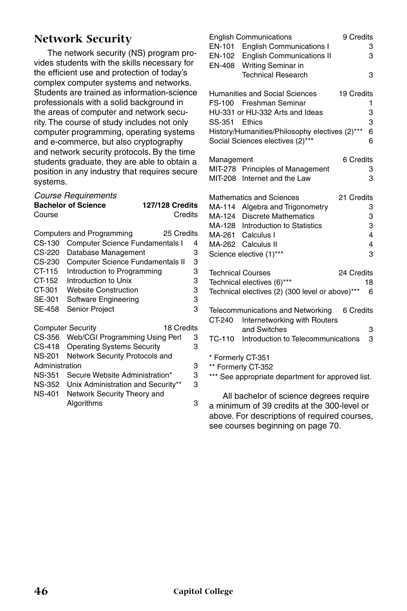## **Network Security**

The network security (NS) program provides students with the skills necessary for the efficient use and protection of today's complex computer systems and networks. Students are trained as information-science professionals with a solid background in the areas of computer and network security. The course of study includes not only computer programming, operating systems and e-commerce, but also cryptography and network security protocols. By the time students graduate, they are able to obtain a position in any industry that requires secure systems.

|        | <b>Course Requirements</b>             |                        |
|--------|----------------------------------------|------------------------|
|        | <b>Bachelor of Science</b>             | <b>127/128 Credits</b> |
| Course |                                        | Credits                |
|        | Computers and Programming              | 25 Credits             |
|        | CS-130 Computer Science Fundamentals I | 4                      |

| UU-100         | Computer Science Fundamentals i        | 4 |
|----------------|----------------------------------------|---|
| $CS-220$       | Database Management                    | 3 |
| CS-230         | Computer Science Fundamentals II       | 3 |
| CT-115         | Introduction to Programming            | 3 |
| CT-152         | Introduction to Unix                   | 3 |
| CT-301         | <b>Website Construction</b>            | 3 |
| SE-301         | Software Engineering                   | 3 |
| SE-458         | <b>Senior Project</b>                  | 3 |
|                | <b>Computer Security</b><br>18 Credits |   |
| CS-356         | Web/CGI Programming Using Perl         | 3 |
| $CS-418$       | <b>Operating Systems Security</b>      | 3 |
| <b>NS-201</b>  | Network Security Protocols and         |   |
| Administration |                                        | 3 |
| <b>NS-351</b>  | Secure Website Administration*         | 3 |
| NS-352         | Unix Administration and Security**     | 3 |
| NS-401         | Network Security Theory and            |   |
|                | Algorithms                             | 3 |
|                |                                        |   |

| EN-408           | <b>English Communications</b><br>EN-101 English Communications I<br>EN-102 English Communications II<br>Writing Seminar in<br><b>Technical Research</b>                                               | 9 Credits<br>3<br>3<br>3                              |
|------------------|-------------------------------------------------------------------------------------------------------------------------------------------------------------------------------------------------------|-------------------------------------------------------|
| SS-351 Ethics    | <b>Humanities and Social Sciences</b><br>FS-100 Freshman Seminar<br>HU-331 or HU-332 Arts and Ideas<br>History/Humanities/Philosophy electives (2)***<br>Social Sciences electives (2)***             | 19 Credits<br>1<br>3<br>3<br>6<br>6                   |
| Management       | MIT-278 Principles of Management<br>MIT-208 Internet and the Law                                                                                                                                      | 6 Credits<br>3<br>3                                   |
| MA-114<br>MA-124 | <b>Mathematics and Sciences</b><br>Algebra and Trigonometry<br><b>Discrete Mathematics</b><br>MA-128 Introduction to Statistics<br>MA-261 Calculus I<br>MA-262 Calculus II<br>Science elective (1)*** | 21 Credits<br>3<br>3<br>3<br>$\overline{4}$<br>4<br>3 |
|                  | <b>Technical Courses</b><br>Technical electives (6)***<br>Technical electives (2) (300 level or above)***                                                                                             | 24 Credits<br>18<br>6                                 |
| CT-240<br>TC-110 | Telecommunications and Networking<br>Internetworking with Routers<br>and Switches<br>Introduction to Telecommunications                                                                               | 6 Credits<br>3<br>3                                   |
|                  | * Formerly CT-351<br>** Formerly CT-352<br>*** See appropriate department for approved list.                                                                                                          |                                                       |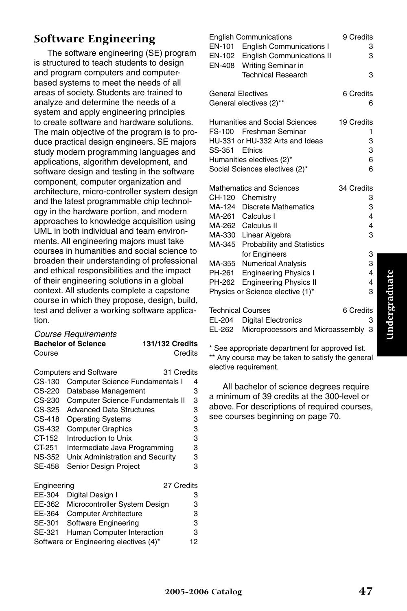## **Software Engineering**

The software engineering (SE) program is structured to teach students to design and program computers and computerbased systems to meet the needs of all areas of society. Students are trained to analyze and determine the needs of a system and apply engineering principles to create software and hardware solutions. The main objective of the program is to produce practical design engineers. SE majors study modern programming languages and applications, algorithm development, and software design and testing in the software component, computer organization and architecture, micro-controller system design and the latest programmable chip technology in the hardware portion, and modern approaches to knowledge acquisition using UML in both individual and team environments. All engineering majors must take courses in humanities and social science to broaden their understanding of professional and ethical responsibilities and the impact of their engineering solutions in a global context. All students complete a capstone course in which they propose, design, build, test and deliver a working software application.

| Course Requirements        |                        |
|----------------------------|------------------------|
| <b>Bachelor of Science</b> | <b>131/132 Credits</b> |
| Course                     | Credits                |

|               | <b>Computers and Software</b>           | 31 Credits |
|---------------|-----------------------------------------|------------|
| $CS-130$      | Computer Science Fundamentals I         | 4          |
| CS-220        | Database Management                     | 3          |
| CS-230        | <b>Computer Science Fundamentals II</b> | 3          |
| CS-325        | <b>Advanced Data Structures</b>         | 3          |
| $CS-418$      | <b>Operating Systems</b>                | 3          |
| CS-432        | <b>Computer Graphics</b>                | 3          |
| CT-152        | Introduction to Unix                    | 3          |
| CT-251        | Intermediate Java Programming           | 3          |
| <b>NS-352</b> | Unix Administration and Security        | 3          |
| <b>SE-458</b> | Senior Design Project                   | 3          |
| Engineering   |                                         | 27 Credits |
| EE-304        | Digital Design I                        | 3          |
| FF 000-       | $M = 1$                                 |            |

| EE-362 Microcontroller System Design   | З  |
|----------------------------------------|----|
| EE-364 Computer Architecture           | З  |
| SE-301 Software Engineering            | З  |
| SE-321 Human Computer Interaction      | з  |
| Software or Engineering electives (4)* | 12 |

| EN-101<br>EN-102<br>EN-408           | <b>English Communications</b><br><b>English Communications I</b><br><b>English Communications II</b><br>Writing Seminar in<br><b>Technical Research</b>                                                                                                                                                                                 | 9 Credits<br>3<br>3<br>3                                     |
|--------------------------------------|-----------------------------------------------------------------------------------------------------------------------------------------------------------------------------------------------------------------------------------------------------------------------------------------------------------------------------------------|--------------------------------------------------------------|
| <b>General Electives</b>             | General electives (2)**                                                                                                                                                                                                                                                                                                                 | 6 Credits<br>6                                               |
| FS-100<br>SS-351                     | Humanities and Social Sciences<br>Freshman Seminar<br>HU-331 or HU-332 Arts and Ideas<br>Ethics<br>Humanities electives (2)*<br>Social Sciences electives (2)*                                                                                                                                                                          | 19 Credits<br>1<br>3<br>3<br>6<br>6                          |
| CH-120<br>MA-355<br>PH-261<br>PH-262 | <b>Mathematics and Sciences</b><br>Chemistry<br>MA-124 Discrete Mathematics<br>MA-261 Calculus I<br>MA-262 Calculus II<br>MA-330 Linear Algebra<br>MA-345 Probability and Statistics<br>for Engineers<br><b>Numerical Analysis</b><br><b>Engineering Physics I</b><br><b>Engineering Physics II</b><br>Physics or Science elective (1)* | 34 Credits<br>3<br>3<br>4<br>4<br>3<br>3<br>3<br>4<br>4<br>3 |
| EL-204                               | <b>Technical Courses</b><br><b>Digital Electronics</b>                                                                                                                                                                                                                                                                                  | 6 Credits<br>3                                               |

| CL-204 | Digital Electronics                 |  |
|--------|-------------------------------------|--|
| EL-262 | Microprocessors and Microassembly 3 |  |

\* See appropriate department for approved list. \*\* Any course may be taken to satisfy the general elective requirement.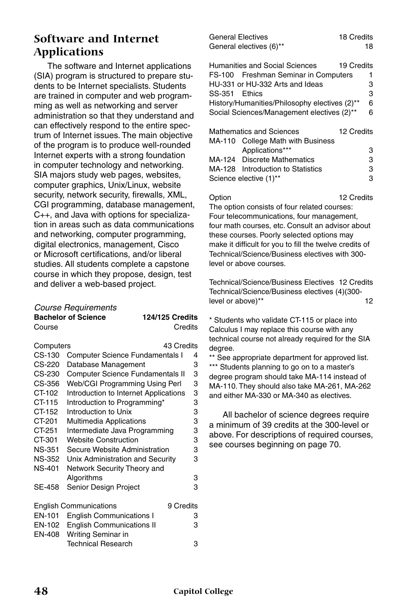## **Software and Internet Applications**

The software and Internet applications (SIA) program is structured to prepare students to be Internet specialists. Students are trained in computer and web programming as well as networking and server administration so that they understand and can effectively respond to the entire spectrum of Internet issues. The main objective of the program is to produce well-rounded Internet experts with a strong foundation in computer technology and networking. SIA majors study web pages, websites, computer graphics, Unix/Linux, website security, network security, firewalls, XML, CGI programming, database management, C++, and Java with options for specialization in areas such as data communications and networking, computer programming, digital electronics, management, Cisco or Microsoft certifications, and/or liberal studies. All students complete a capstone course in which they propose, design, test and deliver a web-based project.

#### *Course Requirements*

|               | <b>Bachelor of Science</b>              | <b>124/125 Credits</b> |   |
|---------------|-----------------------------------------|------------------------|---|
| Course        |                                         | Credits                |   |
| Computers     |                                         | 43 Credits             |   |
| CS-130        | <b>Computer Science Fundamentals I</b>  |                        | 4 |
| CS-220        | Database Management                     |                        | 3 |
| CS-230        | <b>Computer Science Fundamentals II</b> |                        | 3 |
| CS-356        | Web/CGI Programming Using Perl          |                        | 3 |
| CT-102        | Introduction to Internet Applications   |                        | 3 |
| CT-115        | Introduction to Programming*            |                        | 3 |
| CT-152        | Introduction to Unix                    |                        | 3 |
| CT-201        | <b>Multimedia Applications</b>          |                        | 3 |
| CT-251        | Intermediate Java Programming           |                        | 3 |
| CT-301        | <b>Website Construction</b>             |                        | 3 |
| <b>NS-351</b> | Secure Website Administration           |                        | 3 |
| NS-352        | Unix Administration and Security        |                        | 3 |
| <b>NS-401</b> | Network Security Theory and             |                        |   |
|               | Algorithms                              |                        | 3 |
| SE-458        | Senior Design Project                   |                        | 3 |
|               | <b>English Communications</b>           | 9 Credits              |   |
| EN-101        | <b>English Communications I</b>         |                        | 3 |
| EN-102        | <b>English Communications II</b>        |                        | 3 |
| EN-408        | Writing Seminar in                      |                        |   |
|               | <b>Technical Research</b>               |                        | 3 |

| General Electives       | 18 Credits |
|-------------------------|------------|
| General electives (6)** | 18         |

| <b>Humanities and Social Sciences</b>         | 19 Credits |
|-----------------------------------------------|------------|
| FS-100 Freshman Seminar in Computers          |            |
| HU-331 or HU-332 Arts and Ideas               | з          |
| SS-351 Ethics                                 | 3          |
| History/Humanities/Philosophy electives (2)** | 6          |
| Social Sciences/Management electives (2)**    |            |
|                                               |            |

| <b>Mathematics and Sciences</b> |                                   | 12 Credits |
|---------------------------------|-----------------------------------|------------|
|                                 | MA-110 College Math with Business |            |
|                                 | Applications***                   | 3          |
|                                 | MA-124 Discrete Mathematics       | 3          |
|                                 | MA-128 Introduction to Statistics | 3          |
| Science elective (1)**          |                                   | з          |

Option 12 Credits The option consists of four related courses: Four telecommunications, four management, four math courses, etc. Consult an advisor about these courses. Poorly selected options may make it difficult for you to fill the twelve credits of Technical/Science/Business electives with 300 level or above courses.

Technical/Science/Business Electives 12 Credits Technical/Science/Business electives (4)(300 level or above)\*\* 12

\* Students who validate CT-115 or place into Calculus I may replace this course with any technical course not already required for the SIA degree.

\*\* See appropriate department for approved list. \*\*\* Students planning to go on to a master's degree program should take MA-114 instead of MA-110. They should also take MA-261, MA-262 and either MA-330 or MA-340 as electives.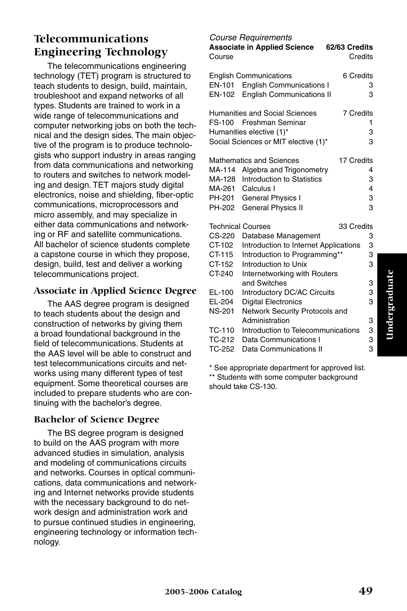## **Telecommunications Engineering Technology**

The telecommunications engineering technology (TET) program is structured to teach students to design, build, maintain, troubleshoot and expand networks of all types. Students are trained to work in a wide range of telecommunications and computer networking jobs on both the technical and the design sides. The main objective of the program is to produce technologists who support industry in areas ranging from data communications and networking to routers and switches to network modeling and design. TET majors study digital electronics, noise and shielding, fiber-optic communications, microprocessors and micro assembly, and may specialize in either data communications and networking or RF and satellite communications. All bachelor of science students complete a capstone course in which they propose, design, build, test and deliver a working telecommunications project.

#### **Associate in Applied Science Degree**

The AAS degree program is designed to teach students about the design and construction of networks by giving them a broad foundational background in the field of telecommunications. Students at the AAS level will be able to construct and test telecommunications circuits and networks using many different types of test equipment. Some theoretical courses are included to prepare students who are continuing with the bachelor's degree.

#### **Bachelor of Science Degree**

The BS degree program is designed to build on the AAS program with more advanced studies in simulation, analysis and modeling of communications circuits and networks. Courses in optical communications, data communications and networking and Internet networks provide students with the necessary background to do network design and administration work and to pursue continued studies in engineering, engineering technology or information technology.

*Course Requirements* **Associate in Applied Science 62/63 Credits** Course **Course** Credits English Communications 6 Credits EN-101 English Communications I 3 EN-102 English Communications II 3 Humanities and Social Sciences 7 Credits FS-100 Freshman Seminar 1 Humanities elective (1)<sup>\*</sup> 3 Social Sciences or MIT elective (1)\* 3 Mathematics and Sciences 17 Credits MA-114 Algebra and Trigonometry 4<br>MA-128 Introduction to Statistics 3 MA-128 Introduction to Statistics MA-261 Calculus I 4 PH-201 General Physics I 3 PH-202 General Physics II 3 Technical Courses **33 Credits** CS-220 Database Management 3 CT-102 Introduction to Internet Applications 3 CT-115 Introduction to Programming\*\* 3<br>CT-152 Introduction to Unix 3 Introduction to Unix CT-240 Internetworking with Routers and Switches 3 EL-100 Introductory DC/AC Circuits 3 EL-204 Digital Electronics 3 NS-201 Network Security Protocols and Administration 3 TC-110 Introduction to Telecommunications 3 TC-212 Data Communications I 3 TC-252 Data Communications II 3

\* See appropriate department for approved list. \*\* Students with some computer background should take CS-130.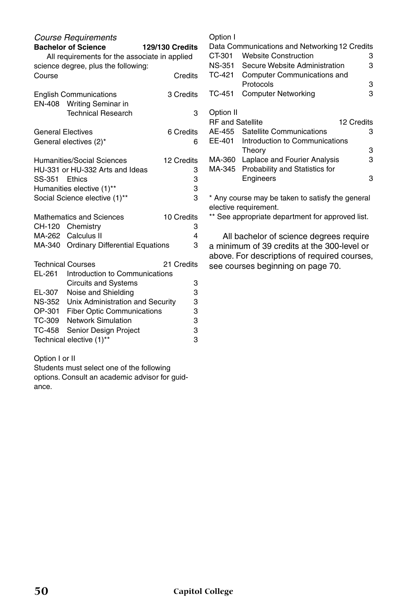|                          | <b>Course Requirements</b>                                     |                        |
|--------------------------|----------------------------------------------------------------|------------------------|
|                          | <b>Bachelor of Science</b>                                     | <b>129/130 Credits</b> |
|                          | All requirements for the associate in applied                  |                        |
| Course                   | science degree, plus the following:                            | Credits                |
|                          | <b>English Communications</b><br>EN-408 Writing Seminar in     | 3 Credits              |
|                          | <b>Technical Research</b>                                      | 3                      |
| <b>General Electives</b> |                                                                | 6 Credits              |
|                          | General electives (2)*                                         | 6                      |
|                          | <b>Humanities/Social Sciences</b>                              | 12 Credits             |
|                          | HU-331 or HU-332 Arts and Ideas                                | 3                      |
| SS-351 Ethics            |                                                                | 3                      |
|                          | Humanities elective (1)**                                      | 3                      |
|                          | Social Science elective (1)**                                  | 3                      |
|                          | <b>Mathematics and Sciences</b>                                | 10 Credits             |
|                          | CH-120 Chemistry                                               | 3                      |
|                          | MA-262 Calculus II                                             | 4                      |
|                          | MA-340 Ordinary Differential Equations                         | 3                      |
| <b>Technical Courses</b> |                                                                | 21 Credits             |
| EL-261                   | Introduction to Communications                                 |                        |
|                          | <b>Circuits and Systems</b>                                    | 3                      |
| EL-307                   | Noise and Shielding                                            | 3                      |
| <b>NS-352</b>            | Unix Administration and Security                               | 3                      |
| OP-301<br>TC-309         | <b>Fiber Optic Communications</b><br><b>Network Simulation</b> | 3<br>3                 |
| TC-458                   | Senior Design Project                                          | 3                      |
|                          | Technical elective (1)**                                       | 3                      |
|                          |                                                                |                        |

Option I

|                         | Data Communications and Networking 12 Credits |            |
|-------------------------|-----------------------------------------------|------------|
| CT-301                  | <b>Website Construction</b>                   | з          |
| <b>NS-351</b>           | Secure Website Administration                 | з          |
| TC-421                  | Computer Communications and                   |            |
|                         | Protocols                                     | 3          |
| TC-451                  | <b>Computer Networking</b>                    | з          |
|                         |                                               |            |
| Option II               |                                               |            |
|                         |                                               |            |
| <b>RF</b> and Satellite |                                               | 12 Credits |
| AE-455                  | Satellite Communications                      | з          |
| EE-401                  | Introduction to Communications                |            |
|                         | Theory                                        | 3          |
| MA-360                  | Laplace and Fourier Analysis                  | 3          |
| MA-345                  | Probability and Statistics for                |            |
|                         | Engineers                                     | з          |

\* Any course may be taken to satisfy the general elective requirement.

\*\* See appropriate department for approved list.

All bachelor of science degrees require a minimum of 39 credits at the 300-level or above. For descriptions of required courses, see courses beginning on page 70.

Option I or II

Students must select one of the following options. Consult an academic advisor for guidance.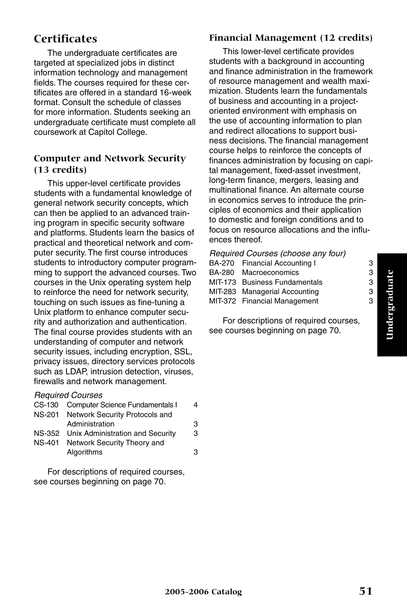## **Certificates**

The undergraduate certificates are targeted at specialized jobs in distinct information technology and management fields. The courses required for these certificates are offered in a standard 16-week format. Consult the schedule of classes for more information. Students seeking an undergraduate certificate must complete all coursework at Capitol College.

#### **Computer and Network Security (13 credits)**

This upper-level certificate provides students with a fundamental knowledge of general network security concepts, which can then be applied to an advanced training program in specific security software and platforms. Students learn the basics of practical and theoretical network and computer security. The first course introduces students to introductory computer programming to support the advanced courses. Two courses in the Unix operating system help to reinforce the need for network security, touching on such issues as fine-tuning a Unix platform to enhance computer security and authorization and authentication. The final course provides students with an understanding of computer and network security issues, including encryption, SSL, privacy issues, directory services protocols such as LDAP, intrusion detection, viruses, firewalls and network management.

#### *Required Courses*

| CS-130 Computer Science Fundamentals I  | 4 |
|-----------------------------------------|---|
| NS-201 Network Security Protocols and   |   |
| Administration                          | З |
| NS-352 Unix Administration and Security | З |
| NS-401 Network Security Theory and      |   |
| Algorithms                              | з |

For descriptions of required courses, see courses beginning on page 70.

#### **Financial Management (12 credits)**

This lower-level certificate provides students with a background in accounting and finance administration in the framework of resource management and wealth maximization. Students learn the fundamentals of business and accounting in a projectoriented environment with emphasis on the use of accounting information to plan and redirect allocations to support business decisions. The financial management course helps to reinforce the concepts of finances administration by focusing on capital management, fixed-asset investment, long-term finance, mergers, leasing and multinational finance. An alternate course in economics serves to introduce the principles of economics and their application to domestic and foreign conditions and to focus on resource allocations and the influences thereof.

| Required Courses (choose any four) |                               |   |  |
|------------------------------------|-------------------------------|---|--|
|                                    | BA-270 Financial Accounting I | З |  |
|                                    | BA-280 Macroeconomics         | З |  |
|                                    | MIT-173 Business Fundamentals | З |  |
|                                    | MIT-283 Managerial Accounting | З |  |
|                                    | MIT-372 Financial Management  | з |  |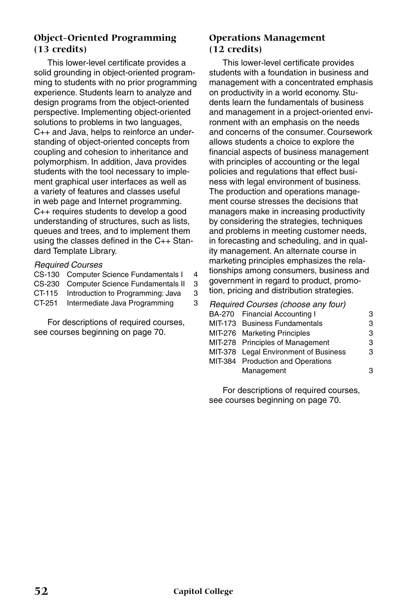#### **Object-Oriented Programming (13 credits)**

This lower-level certificate provides a solid grounding in object-oriented programming to students with no prior programming experience. Students learn to analyze and design programs from the object-oriented perspective. Implementing object-oriented solutions to problems in two languages, C++ and Java, helps to reinforce an understanding of object-oriented concepts from coupling and cohesion to inheritance and polymorphism. In addition, Java provides students with the tool necessary to implement graphical user interfaces as well as a variety of features and classes useful in web page and Internet programming. C++ requires students to develop a good understanding of structures, such as lists, queues and trees, and to implement them using the classes defined in the C++ Standard Template Library.

#### *Required Courses*

CS-130 Computer Science Fundamentals I 4 CS-230 Computer Science Fundamentals II 3<br>CT-115 Introduction to Programming: Java 3 CT-115 Introduction to Programming: Java 3 CT-251 Intermediate Java Programming 3

For descriptions of required courses, see courses beginning on page 70.

#### **Operations Management (12 credits)**

This lower-level certificate provides students with a foundation in business and management with a concentrated emphasis on productivity in a world economy. Students learn the fundamentals of business and management in a project-oriented environment with an emphasis on the needs and concerns of the consumer. Coursework allows students a choice to explore the financial aspects of business management with principles of accounting or the legal policies and regulations that effect business with legal environment of business. The production and operations management course stresses the decisions that managers make in increasing productivity by considering the strategies, techniques and problems in meeting customer needs, in forecasting and scheduling, and in quality management. An alternate course in marketing principles emphasizes the relationships among consumers, business and government in regard to product, promotion, pricing and distribution strategies.

| Required Courses (choose any four) |                                       |   |
|------------------------------------|---------------------------------------|---|
|                                    | BA-270 Financial Accounting I         | з |
|                                    | MIT-173 Business Fundamentals         | з |
|                                    | MIT-276 Marketing Principles          | з |
|                                    | MIT-278 Principles of Management      | з |
|                                    | MIT-378 Legal Environment of Business | з |
|                                    | MIT-384 Production and Operations     |   |
|                                    | Management                            |   |
|                                    |                                       |   |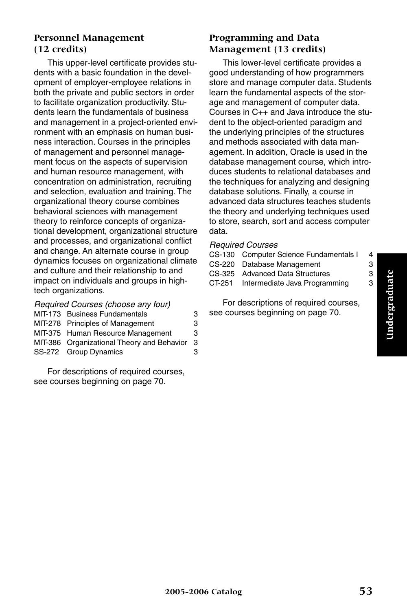#### **Personnel Management (12 credits)**

This upper-level certificate provides students with a basic foundation in the development of employer-employee relations in both the private and public sectors in order to facilitate organization productivity. Students learn the fundamentals of business and management in a project-oriented environment with an emphasis on human business interaction. Courses in the principles of management and personnel management focus on the aspects of supervision and human resource management, with concentration on administration, recruiting and selection, evaluation and training. The organizational theory course combines behavioral sciences with management theory to reinforce concepts of organizational development, organizational structure and processes, and organizational conflict and change. An alternate course in group dynamics focuses on organizational climate and culture and their relationship to and impact on individuals and groups in hightech organizations.

| Required Courses (choose any four) |                                            |    |  |
|------------------------------------|--------------------------------------------|----|--|
|                                    | MIT-173 Business Fundamentals              | З  |  |
|                                    | MIT-278 Principles of Management           | З  |  |
|                                    | MIT-375 Human Resource Management          | З  |  |
|                                    | MIT-386 Organizational Theory and Behavior | -3 |  |
|                                    | SS-272 Group Dynamics                      | з  |  |
|                                    |                                            |    |  |

For descriptions of required courses, see courses beginning on page 70.

### **Programming and Data Management (13 credits)**

This lower-level certificate provides a good understanding of how programmers store and manage computer data. Students learn the fundamental aspects of the storage and management of computer data. Courses in C++ and Java introduce the student to the object-oriented paradigm and the underlying principles of the structures and methods associated with data management. In addition, Oracle is used in the database management course, which introduces students to relational databases and the techniques for analyzing and designing database solutions. Finally, a course in advanced data structures teaches students the theory and underlying techniques used to store, search, sort and access computer data.

#### *Required Courses*

|        | CS-130 Computer Science Fundamentals I | 4 |
|--------|----------------------------------------|---|
|        | CS-220 Database Management             | З |
|        | CS-325 Advanced Data Structures        | З |
| CT-251 | Intermediate Java Programming          | З |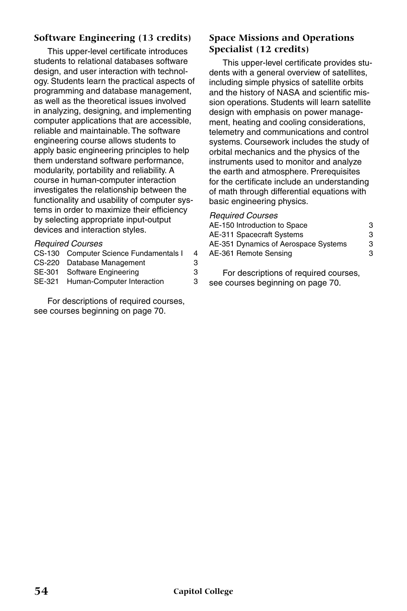#### **Software Engineering (13 credits)**

This upper-level certificate introduces students to relational databases software design, and user interaction with technology. Students learn the practical aspects of programming and database management, as well as the theoretical issues involved in analyzing, designing, and implementing computer applications that are accessible, reliable and maintainable. The software engineering course allows students to apply basic engineering principles to help them understand software performance, modularity, portability and reliability. A course in human-computer interaction investigates the relationship between the functionality and usability of computer systems in order to maximize their efficiency by selecting appropriate input-output devices and interaction styles.

#### *Required Courses*

| CS-130 Computer Science Fundamentals I | 4 |
|----------------------------------------|---|
| CS-220 Database Management             | З |
| SE-301 Software Engineering            | З |
| SE-321 Human-Computer Interaction      | З |
|                                        |   |

For descriptions of required courses, see courses beginning on page 70.

#### **Space Missions and Operations Specialist (12 credits)**

This upper-level certificate provides students with a general overview of satellites, including simple physics of satellite orbits and the history of NASA and scientific mission operations. Students will learn satellite design with emphasis on power management, heating and cooling considerations, telemetry and communications and control systems. Coursework includes the study of orbital mechanics and the physics of the instruments used to monitor and analyze the earth and atmosphere. Prerequisites for the certificate include an understanding of math through differential equations with basic engineering physics.

#### *Required Courses*

| AE-150 Introduction to Space         | 3 |
|--------------------------------------|---|
| AE-311 Spacecraft Systems            | 3 |
| AE-351 Dynamics of Aerospace Systems | 3 |
| AE-361 Remote Sensing                | 3 |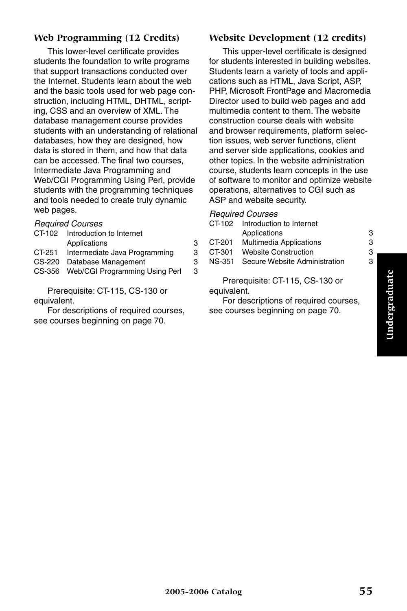# Undergraduate **Undergraduate**

#### **Web Programming (12 Credits)**

This lower-level certificate provides students the foundation to write programs that support transactions conducted over the Internet. Students learn about the web and the basic tools used for web page construction, including HTML, DHTML, scripting, CSS and an overview of XML. The database management course provides students with an understanding of relational databases, how they are designed, how data is stored in them, and how that data can be accessed. The final two courses, Intermediate Java Programming and Web/CGI Programming Using Perl, provide students with the programming techniques and tools needed to create truly dynamic web pages.

#### *Required Courses*

| CT-102 | Introduction to Internet              |   |
|--------|---------------------------------------|---|
|        | Applications                          | З |
| CT-251 | Intermediate Java Programming         | З |
|        | CS-220 Database Management            | З |
|        | CS-356 Web/CGI Programming Using Perl | 3 |
|        |                                       |   |

Prerequisite: CT-115, CS-130 or equivalent.

For descriptions of required courses, see courses beginning on page 70.

#### **Website Development (12 credits)**

This upper-level certificate is designed for students interested in building websites. Students learn a variety of tools and applications such as HTML, Java Script, ASP, PHP, Microsoft FrontPage and Macromedia Director used to build web pages and add multimedia content to them. The website construction course deals with website and browser requirements, platform selection issues, web server functions, client and server side applications, cookies and other topics. In the website administration course, students learn concepts in the use of software to monitor and optimize website operations, alternatives to CGI such as ASP and website security.

*Required Courses*

| CT-102      | Introduction to Internet        |   |
|-------------|---------------------------------|---|
|             | Applications                    | 3 |
| CT-201      | <b>Multimedia Applications</b>  | 3 |
| CT-301      | <b>Website Construction</b>     | З |
| NS-351      | Secure Website Administration   | з |
| equivalent. | Prerequisite: CT-115, CS-130 or |   |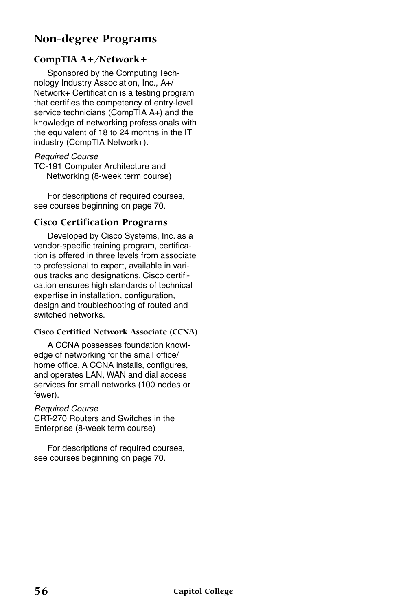### **Non-degree Programs**

#### **CompTIA A+/Network+**

Sponsored by the Computing Technology Industry Association, Inc., A+/ Network+ Certification is a testing program that certifies the competency of entry-level service technicians (CompTIA A+) and the knowledge of networking professionals with the equivalent of 18 to 24 months in the IT industry (CompTIA Network+).

#### *Required Course*

TC-191 Computer Architecture and Networking (8-week term course)

For descriptions of required courses, see courses beginning on page 70.

#### **Cisco Certification Programs**

Developed by Cisco Systems, Inc. as a vendor-specific training program, certification is offered in three levels from associate to professional to expert, available in various tracks and designations. Cisco certification ensures high standards of technical expertise in installation, configuration, design and troubleshooting of routed and switched networks.

#### **Cisco Certified Network Associate (CCNA)**

A CCNA possesses foundation knowledge of networking for the small office/ home office. A CCNA installs, configures, and operates LAN, WAN and dial access services for small networks (100 nodes or fewer).

#### *Required Course*

CRT-270 Routers and Switches in the Enterprise (8-week term course)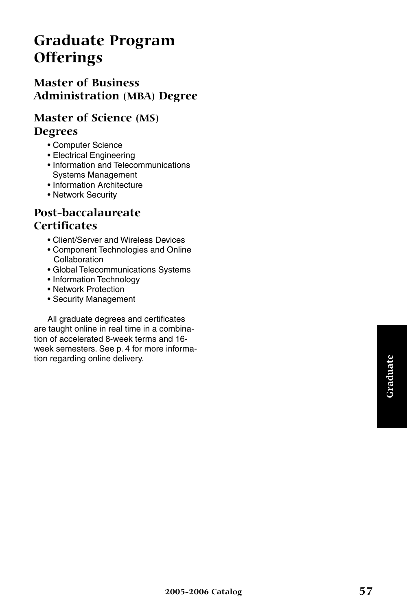## **Graduate Program Offerings**

## **Master of Business Administration (MBA) Degree**

### **Master of Science (MS) Degrees**

- Computer Science
- Electrical Engineering
- Information and Telecommunications Systems Management
- Information Architecture
- Network Security

## **Post-baccalaureate Certificates**

- Client/Server and Wireless Devices
- Component Technologies and Online **Collaboration**
- Global Telecommunications Systems
- Information Technology
- Network Protection
- Security Management

All graduate degrees and certificates are taught online in real time in a combination of accelerated 8-week terms and 16 week semesters. See p. 4 for more information regarding online delivery.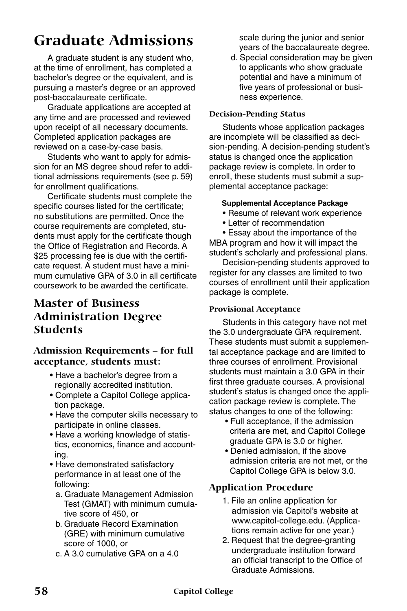## **Graduate Admissions**

A graduate student is any student who, at the time of enrollment, has completed a bachelor's degree or the equivalent, and is pursuing a master's degree or an approved post-baccalaureate certificate.

Graduate applications are accepted at any time and are processed and reviewed upon receipt of all necessary documents. Completed application packages are reviewed on a case-by-case basis.

Students who want to apply for admission for an MS degree shoud refer to additional admissions requirements (see p. 59) for enrollment qualifications.

Certificate students must complete the specific courses listed for the certificate; no substitutions are permitted. Once the course requirements are completed, students must apply for the certificate though the Office of Registration and Records. A \$25 processing fee is due with the certificate request. A student must have a minimum cumulative GPA of 3.0 in all certificate coursework to be awarded the certificate.

## **Master of Business Administration Degree Students**

#### **Admission Requirements – for full acceptance, students must:**

- Have a bachelor's degree from a regionally accredited institution.
- Complete a Capitol College application package.
- Have the computer skills necessary to participate in online classes.
- Have a working knowledge of statistics, economics, finance and accounting.
- Have demonstrated satisfactory performance in at least one of the following:
	- a. Graduate Management Admission Test (GMAT) with minimum cumulative score of 450, or
	- b. Graduate Record Examination (GRE) with minimum cumulative score of 1000, or
	- c. A 3.0 cumulative GPA on a 4.0

scale during the junior and senior years of the baccalaureate degree.

d. Special consideration may be given to applicants who show graduate potential and have a minimum of five years of professional or business experience.

#### **Decision-Pending Status**

Students whose application packages are incomplete will be classified as decision-pending. A decision-pending student's status is changed once the application package review is complete. In order to enroll, these students must submit a supplemental acceptance package:

#### **Supplemental Acceptance Package**

- Resume of relevant work experience
- Letter of recommendation

• Essay about the importance of the MBA program and how it will impact the student's scholarly and professional plans.

Decision-pending students approved to register for any classes are limited to two courses of enrollment until their application package is complete.

#### **Provisional Acceptance**

Students in this category have not met the 3.0 undergraduate GPA requirement. These students must submit a supplemental acceptance package and are limited to three courses of enrollment. Provisional students must maintain a 3.0 GPA in their first three graduate courses. A provisional student's status is changed once the application package review is complete. The status changes to one of the following:

- Full acceptance, if the admission criteria are met, and Capitol College graduate GPA is 3.0 or higher.
- Denied admission, if the above admission criteria are not met, or the Capitol College GPA is below 3.0.

#### **Application Procedure**

- 1. File an online application for admission via Capitol's website at www.capitol-college.edu. (Applications remain active for one year.)
- 2. Request that the degree-granting undergraduate institution forward an official transcript to the Office of Graduate Admissions.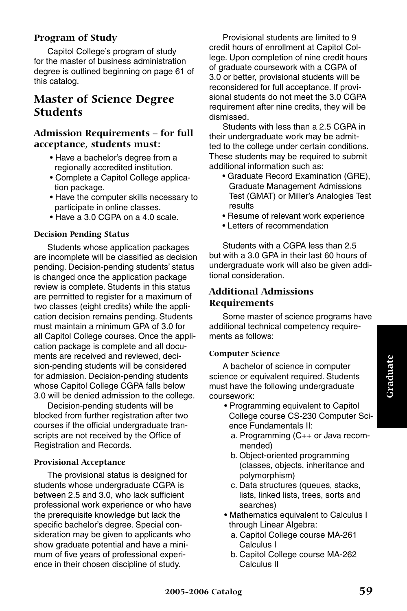#### **Program of Study**

Capitol College's program of study for the master of business administration degree is outlined beginning on page 61 of this catalog.

## **Master of Science Degree Students**

#### **Admission Requirements – for full acceptance, students must:**

- Have a bachelor's degree from a regionally accredited institution.
- Complete a Capitol College application package.
- Have the computer skills necessary to participate in online classes.
- Have a 3.0 CGPA on a 4.0 scale.

#### **Decision Pending Status**

Students whose application packages are incomplete will be classified as decision pending. Decision-pending students' status is changed once the application package review is complete. Students in this status are permitted to register for a maximum of two classes (eight credits) while the application decision remains pending. Students must maintain a minimum GPA of 3.0 for all Capitol College courses. Once the application package is complete and all documents are received and reviewed, decision-pending students will be considered for admission. Decision-pending students whose Capitol College CGPA falls below 3.0 will be denied admission to the college.

Decision-pending students will be blocked from further registration after two courses if the official undergraduate transcripts are not received by the Office of Registration and Records.

#### **Provisional Acceptance**

The provisional status is designed for students whose undergraduate CGPA is between 2.5 and 3.0, who lack sufficient professional work experience or who have the prerequisite knowledge but lack the specific bachelor's degree. Special consideration may be given to applicants who show graduate potential and have a minimum of five years of professional experience in their chosen discipline of study.

Provisional students are limited to 9 credit hours of enrollment at Capitol College. Upon completion of nine credit hours of graduate coursework with a CGPA of 3.0 or better, provisional students will be reconsidered for full acceptance. If provisional students do not meet the 3.0 CGPA requirement after nine credits, they will be dismissed.

Students with less than a 2.5 CGPA in their undergraduate work may be admitted to the college under certain conditions. These students may be required to submit additional information such as:

- Graduate Record Examination (GRE), Graduate Management Admissions Test (GMAT) or Miller's Analogies Test results
- Resume of relevant work experience
- Letters of recommendation

Students with a CGPA less than 2.5 but with a 3.0 GPA in their last 60 hours of undergraduate work will also be given additional consideration.

#### **Additional Admissions Requirements**

Some master of science programs have additional technical competency requirements as follows:

#### **Computer Science**

A bachelor of science in computer science or equivalent required. Students must have the following undergraduate coursework:

- Programming equivalent to Capitol College course CS-230 Computer Science Fundamentals II:
	- a. Programming (C++ or Java recommended)
	- b. Object-oriented programming (classes, objects, inheritance and polymorphism)
	- c. Data structures (queues, stacks, lists, linked lists, trees, sorts and searches)
- Mathematics equivalent to Calculus I through Linear Algebra:
	- a. Capitol College course MA-261 Calculus I
	- b. Capitol College course MA-262 Calculus II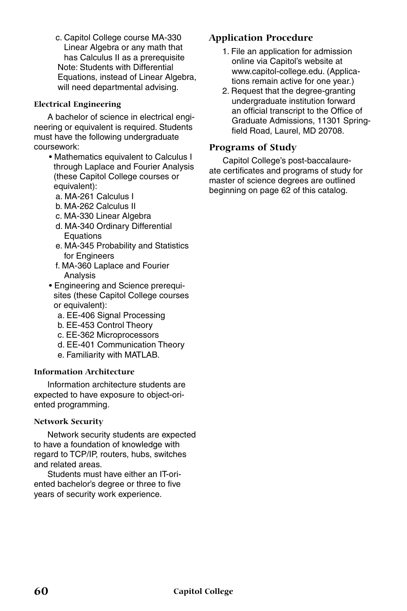c. Capitol College course MA-330 Linear Algebra or any math that has Calculus II as a prerequisite Note: Students with Differential Equations, instead of Linear Algebra, will need departmental advising.

#### **Electrical Engineering**

A bachelor of science in electrical engineering or equivalent is required. Students must have the following undergraduate coursework:

- Mathematics equivalent to Calculus I through Laplace and Fourier Analysis (these Capitol College courses or equivalent):
	- a. MA-261 Calculus I
	- b. MA-262 Calculus II
	- c. MA-330 Linear Algebra
	- d. MA-340 Ordinary Differential Equations
	- e. MA-345 Probability and Statistics for Engineers
	- f. MA-360 Laplace and Fourier Analysis
- Engineering and Science prerequisites (these Capitol College courses or equivalent):
	- a. EE-406 Signal Processing
	- b. EE-453 Control Theory
	- c. EE-362 Microprocessors
	- d. EE-401 Communication Theory
	- e. Familiarity with MATLAB.

#### **Information Architecture**

Information architecture students are expected to have exposure to object-oriented programming.

#### **Network Security**

Network security students are expected to have a foundation of knowledge with regard to TCP/IP, routers, hubs, switches and related areas.

Students must have either an IT-oriented bachelor's degree or three to five years of security work experience.

#### **Application Procedure**

- 1. File an application for admission online via Capitol's website at www.capitol-college.edu. (Applications remain active for one year.)
- 2. Request that the degree-granting undergraduate institution forward an official transcript to the Office of Graduate Admissions, 11301 Springfield Road, Laurel, MD 20708.

#### **Programs of Study**

Capitol College's post-baccalaureate certificates and programs of study for master of science degrees are outlined beginning on page 62 of this catalog.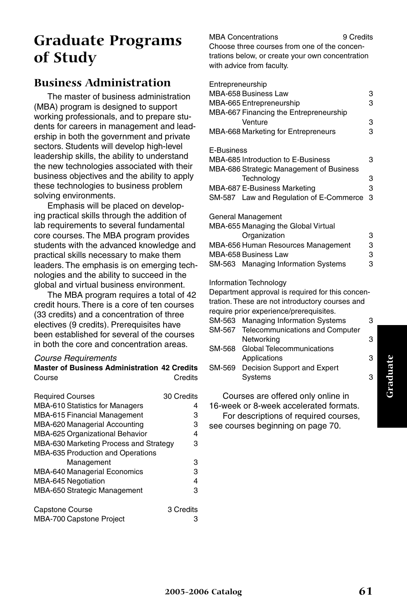## **Graduate Programs of Study**

## **Business Administration**

The master of business administration (MBA) program is designed to support working professionals, and to prepare students for careers in management and leadership in both the government and private sectors. Students will develop high-level leadership skills, the ability to understand the new technologies associated with their business objectives and the ability to apply these technologies to business problem solving environments.

Emphasis will be placed on developing practical skills through the addition of lab requirements to several fundamental core courses. The MBA program provides students with the advanced knowledge and practical skills necessary to make them leaders. The emphasis is on emerging technologies and the ability to succeed in the global and virtual business environment.

The MBA program requires a total of 42 credit hours. There is a core of ten courses (33 credits) and a concentration of three electives (9 credits). Prerequisites have been established for several of the courses in both the core and concentration areas.

**Master of Business Administration 42 Credits**

#### *Course Requirements*

| Course                                   | Credits    |
|------------------------------------------|------------|
| <b>Required Courses</b>                  | 30 Credits |
| <b>MBA-610 Statistics for Managers</b>   | 4          |
| <b>MBA-615 Financial Management</b>      | з          |
| MBA-620 Managerial Accounting            | 3          |
| MBA-625 Organizational Behavior          | 4          |
| MBA-630 Marketing Process and Strategy   | 3          |
| <b>MBA-635 Production and Operations</b> |            |
| Management                               | 3          |
| MBA-640 Managerial Economics             | 3          |
| MBA-645 Negotiation                      | 4          |
| MBA-650 Strategic Management             | 3          |
| Capstone Course                          | 3 Credits  |
| MBA-700 Capstone Project                 | з          |

#### MBA Concentrations 9 Credits Choose three courses from one of the concentrations below, or create your own concentration with advice from faculty.

| Entrepreneurship                         |   |
|------------------------------------------|---|
| MBA-658 Business Law                     | 3 |
| MBA-665 Entrepreneurship                 | 3 |
| MBA-667 Financing the Entrepreneurship   |   |
| Venture                                  | 3 |
| MBA-668 Marketing for Entrepreneurs      | 3 |
| E-Business                               |   |
| MBA-685 Introduction to E-Business       | 3 |
| MBA-686 Strategic Management of Business |   |
| Technology                               | 3 |
| MBA-687 E-Business Marketing             | З |
| SM-587 Law and Regulation of E-Commerce  | 3 |

General Management

| MBA-655 Managing the Global Virtual |   |  |
|-------------------------------------|---|--|
| Organization                        | З |  |
| MBA-656 Human Resources Management  | З |  |
| MBA-658 Business Law                | З |  |
| SM-563 Managing Information Systems | з |  |
|                                     |   |  |

Information Technology

Department approval is required for this concentration. These are not introductory courses and require prior experience/prerequisites. SM-563 Managing Information Systems 3 SM-567 Telecommunications and Computer Networking 3

- SM-568 Global Telecommunications Applications 3
- SM-569 Decision Support and Expert Systems 3

Courses are offered only online in 16-week or 8-week accelerated formats. For descriptions of required courses, see courses beginning on page 70.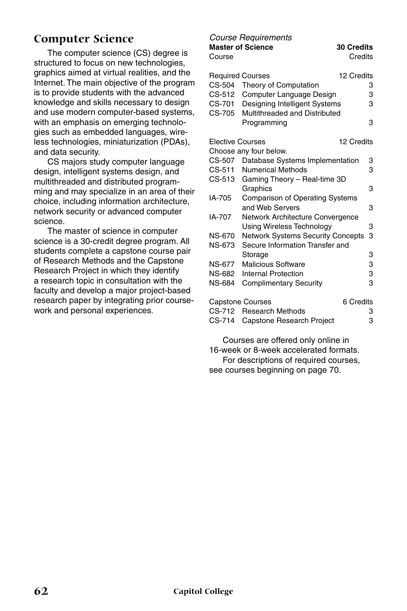## **Computer Science**

The computer science (CS) degree is structured to focus on new technologies, graphics aimed at virtual realities, and the Internet. The main objective of the program is to provide students with the advanced knowledge and skills necessary to design and use modern computer-based systems, with an emphasis on emerging technologies such as embedded languages, wireless technologies, miniaturization (PDAs), and data security.

CS majors study computer language design, intelligent systems design, and multithreaded and distributed programming and may specialize in an area of their choice, including information architecture, network security or advanced computer science.

The master of science in computer science is a 30-credit degree program. All students complete a capstone course pair of Research Methods and the Capstone Research Project in which they identify a research topic in consultation with the faculty and develop a major project-based research paper by integrating prior coursework and personal experiences.

#### *Course Requirements*

**Master of Science 30 Credits** Course **Course** Credits Required Courses 12 Credits CS-504 Theory of Computation 3 CS-512 Computer Language Design 3 CS-701 Designing Intelligent Systems 3 CS-705 Multithreaded and Distributed Programming 3 Elective Courses 12 Credits Choose any four below. CS-507 Database Systems Implementation 3 CS-511 Numerical Methods 3 CS-513 Gaming Theory – Real-time 3D Graphics 3 IA-705 Comparison of Operating Systems and Web Servers 3 IA-707 Network Architecture Convergence Using Wireless Technology 3 NS-670 Network Systems Security Concepts 3 NS-673 Secure Information Transfer and Storage 51 Storage 3<br>NS-677 Malicious Software 3 Malicious Software 3 NS-682 Internal Protection 3 NS-684 Complimentary Security 3 Capstone Courses 6 Credits CS-712 Research Methods 3 CS-714 Capstone Research Project 3

Courses are offered only online in 16-week or 8-week accelerated formats. For descriptions of required courses, see courses beginning on page 70.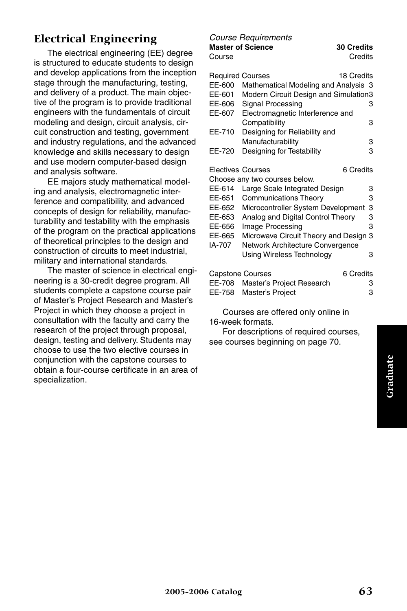## **Electrical Engineering**

The electrical engineering (EE) degree is structured to educate students to design and develop applications from the inception stage through the manufacturing, testing, and delivery of a product. The main objective of the program is to provide traditional engineers with the fundamentals of circuit modeling and design, circuit analysis, circuit construction and testing, government and industry regulations, and the advanced knowledge and skills necessary to design and use modern computer-based design and analysis software.

EE majors study mathematical modeling and analysis, electromagnetic interference and compatibility, and advanced concepts of design for reliability, manufacturability and testability with the emphasis of the program on the practical applications of theoretical principles to the design and construction of circuits to meet industrial, military and international standards.

The master of science in electrical engineering is a 30-credit degree program. All students complete a capstone course pair of Master's Project Research and Master's Project in which they choose a project in consultation with the faculty and carry the research of the project through proposal, design, testing and delivery. Students may choose to use the two elective courses in conjunction with the capstone courses to obtain a four-course certificate in an area of specialization.

#### *Course Requirements*

**Master of Science 30 Credits** Course **Course** Credits

| <b>Required Courses</b>  |                                       | 18 Credits |
|--------------------------|---------------------------------------|------------|
| EE-600                   | Mathematical Modeling and Analysis 3  |            |
| EE-601                   | Modern Circuit Design and Simulation3 |            |
| EE-606                   | <b>Signal Processing</b>              | з          |
| EE-607                   | Electromagnetic Interference and      |            |
|                          | Compatibility                         | 3          |
|                          |                                       |            |
| EE-710                   | Designing for Reliability and         |            |
|                          | Manufacturability                     | 3          |
| EE-720                   | Designing for Testability             | 3          |
|                          |                                       |            |
| <b>Electives Courses</b> |                                       | 6 Credits  |
|                          | Choose any two courses below.         |            |
| EE-614                   | Large Scale Integrated Design         | 3          |
| EE-651                   | <b>Communications Theory</b>          | 3          |
| EE-652                   | Microcontroller System Development    | 3          |
| EE-653                   | Analog and Digital Control Theory     | 3          |
| EE-656                   | Image Processing                      | 3          |
| EE-665                   |                                       | 3          |
|                          | Microwave Circuit Theory and Design   |            |
| IA-707                   | Network Architecture Convergence      |            |
|                          | Using Wireless Technology             | З          |
|                          | <b>Capstone Courses</b>               | 6 Credits  |
|                          |                                       |            |
| EE-708                   | Master's Project Research             | 3          |
| EE-758                   | Master's Project                      | 3          |

Courses are offered only online in 16-week formats.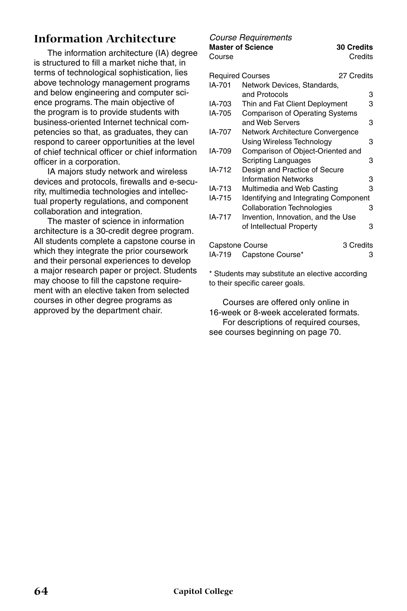## **Information Architecture**

The information architecture (IA) degree is structured to fill a market niche that, in terms of technological sophistication, lies above technology management programs and below engineering and computer science programs. The main objective of the program is to provide students with business-oriented Internet technical competencies so that, as graduates, they can respond to career opportunities at the level of chief technical officer or chief information officer in a corporation.

IA majors study network and wireless devices and protocols, firewalls and e-security, multimedia technologies and intellectual property regulations, and component collaboration and integration.

The master of science in information architecture is a 30-credit degree program. All students complete a capstone course in which they integrate the prior coursework and their personal experiences to develop a major research paper or project. Students may choose to fill the capstone requirement with an elective taken from selected courses in other degree programs as approved by the department chair.

## *Course Requirements*

**Master of Science 30 Credits** Course **Course** Credits

| Reguired Courses |                                        | 27 Credits |
|------------------|----------------------------------------|------------|
| IA-701           | Network Devices, Standards,            |            |
|                  | and Protocols                          | 3          |
| IA-703           | Thin and Fat Client Deployment         | 3          |
| IA-705           | <b>Comparison of Operating Systems</b> |            |
|                  | and Web Servers                        | 3          |
| IA-707           | Network Architecture Convergence       |            |
|                  | Using Wireless Technology              | з          |
| IA-709           | Comparison of Object-Oriented and      |            |
|                  | Scripting Languages                    | 3          |
| IA-712           | Design and Practice of Secure          |            |
|                  | <b>Information Networks</b>            | 3          |
| IA-713           | Multimedia and Web Casting             | 3          |
| IA-715           | Identifying and Integrating Component  |            |
|                  | <b>Collaboration Technologies</b>      | 3          |
| IA-717           | Invention, Innovation, and the Use     |            |
|                  | of Intellectual Property               | з          |
| Capstone Course  |                                        | 3 Credits  |
| IA-719           | Capstone Course*                       | з          |

\* Students may substitute an elective according to their specific career goals.

Courses are offered only online in 16-week or 8-week accelerated formats. For descriptions of required courses, see courses beginning on page 70.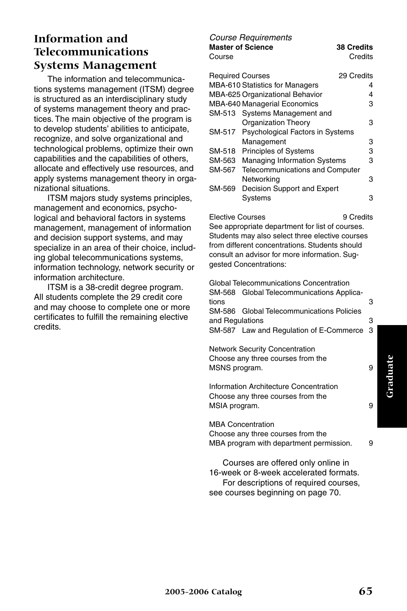## **Information and Telecommunications Systems Management**

The information and telecommunications systems management (ITSM) degree is structured as an interdisciplinary study of systems management theory and practices. The main objective of the program is to develop students' abilities to anticipate, recognize, and solve organizational and technological problems, optimize their own capabilities and the capabilities of others, allocate and effectively use resources, and apply systems management theory in organizational situations.

ITSM majors study systems principles, management and economics, psychological and behavioral factors in systems management, management of information and decision support systems, and may specialize in an area of their choice, including global telecommunications systems, information technology, network security or information architecture.

ITSM is a 38-credit degree program. All students complete the 29 credit core and may choose to complete one or more certificates to fulfill the remaining elective credits.

#### *Course Requirements* **Master of Science 38 Credits** Course **Course** Credits

| <b>Required Courses</b> |                                         | 29 Credits |
|-------------------------|-----------------------------------------|------------|
|                         | <b>MBA-610 Statistics for Managers</b>  | 4          |
|                         | MBA-625 Organizational Behavior         | 4          |
|                         | MBA-640 Managerial Economics            | з          |
|                         | SM-513 Systems Management and           |            |
|                         | <b>Organization Theory</b>              | з          |
|                         | SM-517 Psychological Factors in Systems |            |
|                         | Management                              | з          |
| SM-518                  | Principles of Systems                   | з          |
| SM-563                  | <b>Managing Information Systems</b>     | з          |
| SM-567                  | Telecommunications and Computer         |            |
|                         | Networking                              | з          |
| SM-569                  | Decision Support and Expert             |            |
|                         | Systems                                 | з          |
|                         |                                         |            |

Elective Courses 9 Credits See appropriate department for list of courses. Students may also select three elective courses

from different concentrations. Students should consult an advisor for more information. Suggested Concentrations:

Global Telecommunications Concentration SM-568 Global Telecommunications Applications 3 SM-586 Global Telecommunications Policies and Regulations 3 SM-587 Law and Regulation of E-Commerce 3 Network Security Concentration

Choose any three courses from the MSNS program. 9

Information Architecture Concentration Choose any three courses from the MSIA program. 9

MBA Concentration

Choose any three courses from the MBA program with department permission. 9

Courses are offered only online in 16-week or 8-week accelerated formats. For descriptions of required courses, see courses beginning on page 70.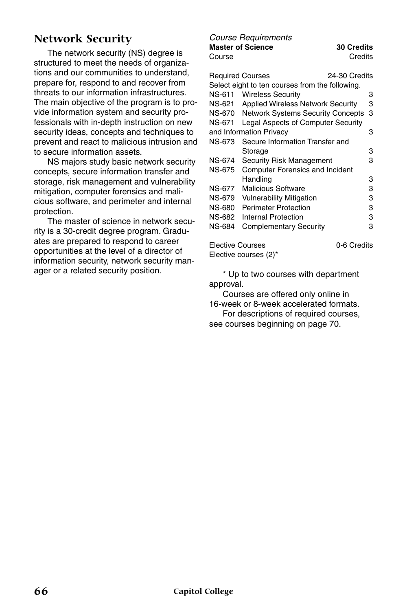## **Network Security**

The network security (NS) degree is structured to meet the needs of organizations and our communities to understand, prepare for, respond to and recover from threats to our information infrastructures. The main objective of the program is to provide information system and security professionals with in-depth instruction on new security ideas, concepts and techniques to prevent and react to malicious intrusion and to secure information assets.

NS majors study basic network security concepts, secure information transfer and storage, risk management and vulnerability mitigation, computer forensics and malicious software, and perimeter and internal protection.

The master of science in network security is a 30-credit degree program. Graduates are prepared to respond to career opportunities at the level of a director of information security, network security manager or a related security position.

## *Course Requirements*

**Master of Science 30 Credits** Course **Course** Credits

|               | <b>Required Courses</b><br>24-30 Credits        |   |
|---------------|-------------------------------------------------|---|
|               | Select eight to ten courses from the following. |   |
| NS-611        | <b>Wireless Security</b>                        | з |
| NS-621        | <b>Applied Wireless Network Security</b>        | 3 |
| <b>NS-670</b> | <b>Network Systems Security Concepts</b>        | 3 |
| <b>NS-671</b> | Legal Aspects of Computer Security              |   |
|               | and Information Privacy                         | з |
| NS-673        | Secure Information Transfer and                 |   |
|               | Storage                                         | з |
| NS-674        | Security Risk Management                        | з |
| NS-675        | <b>Computer Forensics and Incident</b>          |   |
|               | Handling                                        | 3 |
| NS-677        | <b>Malicious Software</b>                       | 3 |
| <b>NS-679</b> | <b>Vulnerability Mitigation</b>                 | 3 |
| NS-680        | <b>Perimeter Protection</b>                     | 3 |
| NS-682        | Internal Protection                             | 3 |
| NS-684        | Complementary Security                          | з |
|               |                                                 |   |

Elective Courses **6.1 Courses** 6-6 Credits Elective courses (2)\*

\* Up to two courses with department approval.

Courses are offered only online in 16-week or 8-week accelerated formats.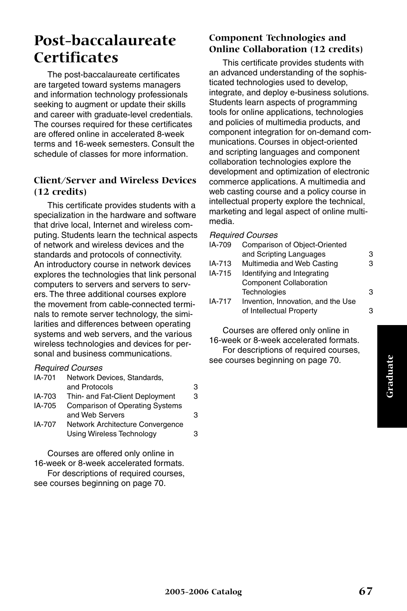## **Post-baccalaureate Certificates**

The post-baccalaureate certificates are targeted toward systems managers and information technology professionals seeking to augment or update their skills and career with graduate-level credentials. The courses required for these certificates are offered online in accelerated 8-week terms and 16-week semesters. Consult the schedule of classes for more information.

#### **Client/Server and Wireless Devices (12 credits)**

This certificate provides students with a specialization in the hardware and software that drive local, Internet and wireless computing. Students learn the technical aspects of network and wireless devices and the standards and protocols of connectivity. An introductory course in network devices explores the technologies that link personal computers to servers and servers to servers. The three additional courses explore the movement from cable-connected terminals to remote server technology, the similarities and differences between operating systems and web servers, and the various wireless technologies and devices for personal and business communications.

#### *Required Courses*

| IA-701 | Network Devices, Standards,            |   |
|--------|----------------------------------------|---|
|        | and Protocols                          | 3 |
| IA-703 | Thin- and Fat-Client Deployment        | 3 |
| IA-705 | <b>Comparison of Operating Systems</b> |   |
|        | and Web Servers                        | з |
| IA-707 | Network Architecture Convergence       |   |
|        | Using Wireless Technology              |   |

Courses are offered only online in 16-week or 8-week accelerated formats. For descriptions of required courses, see courses beginning on page 70.

#### **Component Technologies and Online Collaboration (12 credits)**

This certificate provides students with an advanced understanding of the sophisticated technologies used to develop, integrate, and deploy e-business solutions. Students learn aspects of programming tools for online applications, technologies and policies of multimedia products, and component integration for on-demand communications. Courses in object-oriented and scripting languages and component collaboration technologies explore the development and optimization of electronic commerce applications. A multimedia and web casting course and a policy course in intellectual property explore the technical, marketing and legal aspect of online multimedia.

#### *Required Courses*

| IA-709 | <b>Comparison of Object-Oriented</b> |   |
|--------|--------------------------------------|---|
|        | and Scripting Languages              | 3 |
| IA-713 | Multimedia and Web Casting           | 3 |
| IA-715 | Identifying and Integrating          |   |
|        | <b>Component Collaboration</b>       |   |
|        | Technologies                         | 3 |
| IA-717 | Invention, Innovation, and the Use   |   |
|        | of Intellectual Property             | з |
|        |                                      |   |

Courses are offered only online in 16-week or 8-week accelerated formats. For descriptions of required courses, see courses beginning on page 70.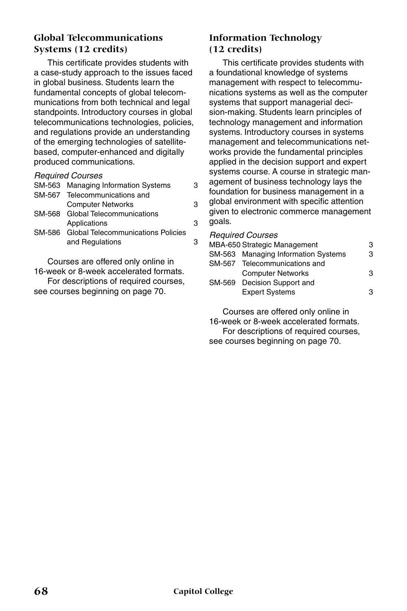#### **Global Telecommunications Systems (12 credits)**

This certificate provides students with a case-study approach to the issues faced in global business. Students learn the fundamental concepts of global telecommunications from both technical and legal standpoints. Introductory courses in global telecommunications technologies, policies, and regulations provide an understanding of the emerging technologies of satellitebased, computer-enhanced and digitally produced communications.

#### *Required Courses*

| SM-563 Managing Information Systems              | з |
|--------------------------------------------------|---|
| SM-567 Telecommunications and                    |   |
| <b>Computer Networks</b>                         | З |
| SM-568 Global Telecommunications                 |   |
| Applications                                     | 3 |
| <b>SM-586</b> Global Telecommunications Policies |   |
| and Regulations                                  | з |
|                                                  |   |

Courses are offered only online in 16-week or 8-week accelerated formats. For descriptions of required courses, see courses beginning on page 70.

#### **Information Technology (12 credits)**

This certificate provides students with a foundational knowledge of systems management with respect to telecommunications systems as well as the computer systems that support managerial decision-making. Students learn principles of technology management and information systems. Introductory courses in systems management and telecommunications networks provide the fundamental principles applied in the decision support and expert systems course. A course in strategic management of business technology lays the foundation for business management in a global environment with specific attention given to electronic commerce management goals.

#### *Required Courses*

| MBA-650 Strategic Management               | З |
|--------------------------------------------|---|
| <b>SM-563</b> Managing Information Systems | З |
| SM-567 Telecommunications and              |   |
| <b>Computer Networks</b>                   | з |
| SM-569 Decision Support and                |   |
| <b>Expert Systems</b>                      | з |
|                                            |   |

Courses are offered only online in 16-week or 8-week accelerated formats. For descriptions of required courses, see courses beginning on page 70.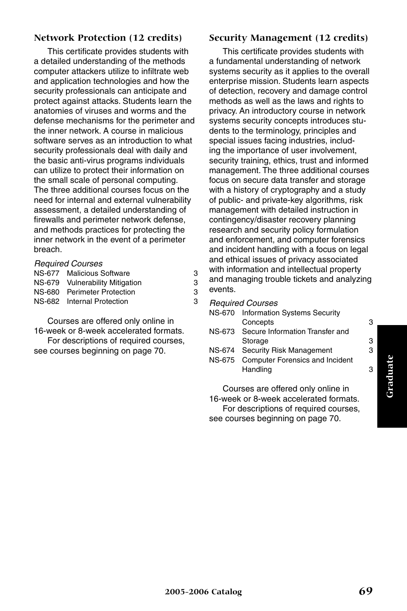#### **Network Protection (12 credits)**

This certificate provides students with a detailed understanding of the methods computer attackers utilize to infiltrate web and application technologies and how the security professionals can anticipate and protect against attacks. Students learn the anatomies of viruses and worms and the defense mechanisms for the perimeter and the inner network. A course in malicious software serves as an introduction to what security professionals deal with daily and the basic anti-virus programs individuals can utilize to protect their information on the small scale of personal computing. The three additional courses focus on the need for internal and external vulnerability assessment, a detailed understanding of firewalls and perimeter network defense, and methods practices for protecting the inner network in the event of a perimeter breach.

#### *Required Courses*

| NS-677 Malicious Software       | З |
|---------------------------------|---|
| NS-679 Vulnerability Mitigation | З |
| NS-680 Perimeter Protection     | з |
| NS-682 Internal Protection      | З |
|                                 |   |

Courses are offered only online in 16-week or 8-week accelerated formats.

For descriptions of required courses, see courses beginning on page 70.

#### **Security Management (12 credits)**

This certificate provides students with a fundamental understanding of network systems security as it applies to the overall enterprise mission. Students learn aspects of detection, recovery and damage control methods as well as the laws and rights to privacy. An introductory course in network systems security concepts introduces students to the terminology, principles and special issues facing industries, including the importance of user involvement, security training, ethics, trust and informed management. The three additional courses focus on secure data transfer and storage with a history of cryptography and a study of public- and private-key algorithms, risk management with detailed instruction in contingency/disaster recovery planning research and security policy formulation and enforcement, and computer forensics and incident handling with a focus on legal and ethical issues of privacy associated with information and intellectual property and managing trouble tickets and analyzing events.

*Required Courses*

| NS-670 | <b>Information Systems Security</b>    |   |
|--------|----------------------------------------|---|
|        | Concepts                               | 3 |
|        | NS-673 Secure Information Transfer and |   |
|        | Storage                                | з |
|        | NS-674 Security Risk Management        | 3 |

NS-675 Computer Forensics and Incident Handling 3

Courses are offered only online in 16-week or 8-week accelerated formats. For descriptions of required courses, see courses beginning on page 70.

Graduate **Graduate**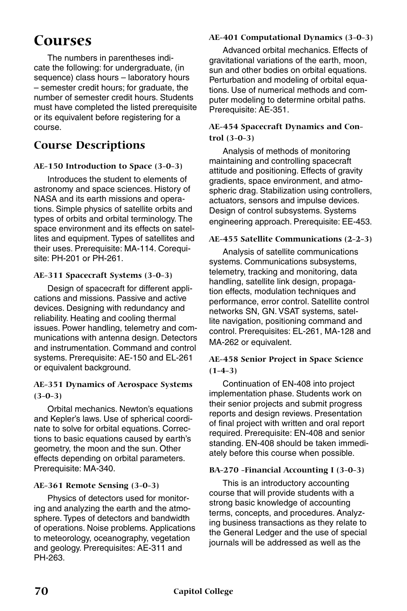# **Courses**

The numbers in parentheses indicate the following: for undergraduate, (in sequence) class hours – laboratory hours – semester credit hours; for graduate, the number of semester credit hours. Students must have completed the listed prerequisite or its equivalent before registering for a course.

# **Course Descriptions**

#### **AE-150 Introduction to Space (3-0-3)**

Introduces the student to elements of astronomy and space sciences. History of NASA and its earth missions and operations. Simple physics of satellite orbits and types of orbits and orbital terminology. The space environment and its effects on satellites and equipment. Types of satellites and their uses. Prerequisite: MA-114. Corequisite: PH-201 or PH-261.

## **AE-311 Spacecraft Systems (3-0-3)**

Design of spacecraft for different applications and missions. Passive and active devices. Designing with redundancy and reliability. Heating and cooling thermal issues. Power handling, telemetry and communications with antenna design. Detectors and instrumentation. Command and control systems. Prerequisite: AE-150 and EL-261 or equivalent background.

#### **AE-351 Dynamics of Aerospace Systems (3-0-3)**

Orbital mechanics. Newton's equations and Kepler's laws. Use of spherical coordinate to solve for orbital equations. Corrections to basic equations caused by earth's geometry, the moon and the sun. Other effects depending on orbital parameters. Prerequisite: MA-340.

#### **AE-361 Remote Sensing (3-0-3)**

Physics of detectors used for monitoring and analyzing the earth and the atmosphere. Types of detectors and bandwidth of operations. Noise problems. Applications to meteorology, oceanography, vegetation and geology. Prerequisites: AE-311 and PH-263.

# **AE-401 Computational Dynamics (3-0-3)**

Advanced orbital mechanics. Effects of gravitational variations of the earth, moon, sun and other bodies on orbital equations. Perturbation and modeling of orbital equations. Use of numerical methods and computer modeling to determine orbital paths. Prerequisite: AE-351.

## **AE-454 Spacecraft Dynamics and Control (3-0-3)**

Analysis of methods of monitoring maintaining and controlling spacecraft attitude and positioning. Effects of gravity gradients, space environment, and atmospheric drag. Stabilization using controllers, actuators, sensors and impulse devices. Design of control subsystems. Systems engineering approach. Prerequisite: EE-453.

## **AE-455 Satellite Communications (2-2-3)**

Analysis of satellite communications systems. Communications subsystems, telemetry, tracking and monitoring, data handling, satellite link design, propagation effects, modulation techniques and performance, error control. Satellite control networks SN, GN. VSAT systems, satellite navigation, positioning command and control. Prerequisites: EL-261, MA-128 and MA-262 or equivalent.

## **AE-458 Senior Project in Space Science (1-4-3)**

Continuation of EN-408 into project implementation phase. Students work on their senior projects and submit progress reports and design reviews. Presentation of final project with written and oral report required. Prerequisite: EN-408 and senior standing. EN-408 should be taken immediately before this course when possible.

## **BA-270 -Financial Accounting I (3-0-3)**

This is an introductory accounting course that will provide students with a strong basic knowledge of accounting terms, concepts, and procedures. Analyzing business transactions as they relate to the General Ledger and the use of special journals will be addressed as well as the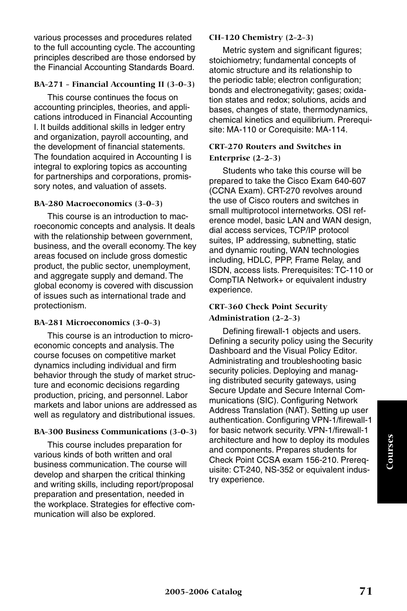various processes and procedures related to the full accounting cycle. The accounting principles described are those endorsed by the Financial Accounting Standards Board.

#### **BA-271 - Financial Accounting II (3-0-3)**

This course continues the focus on accounting principles, theories, and applications introduced in Financial Accounting I. It builds additional skills in ledger entry and organization, payroll accounting, and the development of financial statements. The foundation acquired in Accounting I is integral to exploring topics as accounting for partnerships and corporations, promissory notes, and valuation of assets.

#### **BA-280 Macroeconomics (3-0-3)**

This course is an introduction to macroeconomic concepts and analysis. It deals with the relationship between government, business, and the overall economy. The key areas focused on include gross domestic product, the public sector, unemployment, and aggregate supply and demand. The global economy is covered with discussion of issues such as international trade and protectionism.

#### **BA-281 Microeconomics (3-0-3)**

This course is an introduction to microeconomic concepts and analysis. The course focuses on competitive market dynamics including individual and firm behavior through the study of market structure and economic decisions regarding production, pricing, and personnel. Labor markets and labor unions are addressed as well as regulatory and distributional issues.

#### **BA-300 Business Communications (3-0-3)**

This course includes preparation for various kinds of both written and oral business communication. The course will develop and sharpen the critical thinking and writing skills, including report/proposal preparation and presentation, needed in the workplace. Strategies for effective communication will also be explored.

#### **CH-120 Chemistry (2-2-3)**

Metric system and significant figures; stoichiometry; fundamental concepts of atomic structure and its relationship to the periodic table; electron configuration; bonds and electronegativity; gases; oxidation states and redox; solutions, acids and bases, changes of state, thermodynamics, chemical kinetics and equilibrium. Prerequisite: MA-110 or Corequisite: MA-114.

#### **CRT-270 Routers and Switches in Enterprise (2-2-3)**

Students who take this course will be prepared to take the Cisco Exam 640-607 (CCNA Exam). CRT-270 revolves around the use of Cisco routers and switches in small multiprotocol internetworks. OSI reference model, basic LAN and WAN design, dial access services, TCP/IP protocol suites, IP addressing, subnetting, static and dynamic routing, WAN technologies including, HDLC, PPP, Frame Relay, and ISDN, access lists. Prerequisites: TC-110 or CompTIA Network+ or equivalent industry experience.

## **CRT-360 Check Point Security Administration (2-2-3)**

Defining firewall-1 objects and users. Defining a security policy using the Security Dashboard and the Visual Policy Editor. Administrating and troubleshooting basic security policies. Deploying and managing distributed security gateways, using Secure Update and Secure Internal Communications (SIC). Configuring Network Address Translation (NAT). Setting up user authentication. Configuring VPN-1/firewall-1 for basic network security. VPN-1/firewall-1 architecture and how to deploy its modules and components. Prepares students for Check Point CCSA exam 156-210. Prerequisite: CT-240, NS-352 or equivalent industry experience.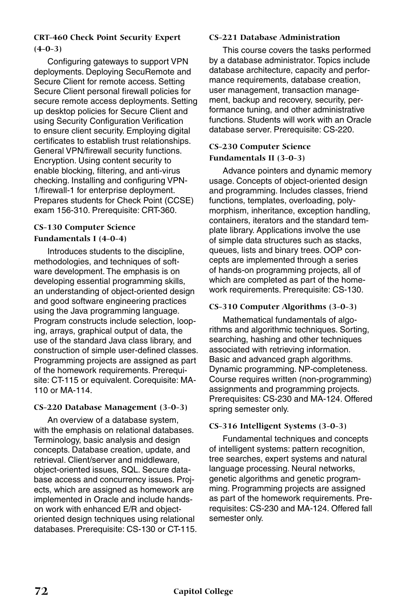## **CRT-460 Check Point Security Expert (4-0-3)**

Configuring gateways to support VPN deployments. Deploying SecuRemote and Secure Client for remote access. Setting Secure Client personal firewall policies for secure remote access deployments. Setting up desktop policies for Secure Client and using Security Configuration Verification to ensure client security. Employing digital certificates to establish trust relationships. General VPN/firewall security functions. Encryption. Using content security to enable blocking, filtering, and anti-virus checking. Installing and configuring VPN-1/firewall-1 for enterprise deployment. Prepares students for Check Point (CCSE) exam 156-310. Prerequisite: CRT-360.

#### **CS-130 Computer Science Fundamentals I (4-0-4)**

Introduces students to the discipline, methodologies, and techniques of software development. The emphasis is on developing essential programming skills, an understanding of object-oriented design and good software engineering practices using the Java programming language. Program constructs include selection, looping, arrays, graphical output of data, the use of the standard Java class library, and construction of simple user-defined classes. Programming projects are assigned as part of the homework requirements. Prerequisite: CT-115 or equivalent. Corequisite: MA-110 or MA-114.

#### **CS-220 Database Management (3-0-3)**

An overview of a database system, with the emphasis on relational databases. Terminology, basic analysis and design concepts. Database creation, update, and retrieval. Client/server and middleware, object-oriented issues, SQL. Secure database access and concurrency issues. Projects, which are assigned as homework are implemented in Oracle and include handson work with enhanced E/R and objectoriented design techniques using relational databases. Prerequisite: CS-130 or CT-115.

#### **CS-221 Database Administration**

This course covers the tasks performed by a database administrator. Topics include database architecture, capacity and performance requirements, database creation, user management, transaction management, backup and recovery, security, performance tuning, and other administrative functions. Students will work with an Oracle database server. Prerequisite: CS-220.

#### **CS-230 Computer Science Fundamentals II (3-0-3)**

Advance pointers and dynamic memory usage. Concepts of object-oriented design and programming. Includes classes, friend functions, templates, overloading, polymorphism, inheritance, exception handling, containers, iterators and the standard template library. Applications involve the use of simple data structures such as stacks, queues, lists and binary trees. OOP concepts are implemented through a series of hands-on programming projects, all of which are completed as part of the homework requirements. Prerequisite: CS-130.

#### **CS-310 Computer Algorithms (3-0-3)**

Mathematical fundamentals of algorithms and algorithmic techniques. Sorting, searching, hashing and other techniques associated with retrieving information. Basic and advanced graph algorithms. Dynamic programming. NP-completeness. Course requires written (non-programming) assignments and programming projects. Prerequisites: CS-230 and MA-124. Offered spring semester only.

#### **CS-316 Intelligent Systems (3-0-3)**

Fundamental techniques and concepts of intelligent systems: pattern recognition, tree searches, expert systems and natural language processing. Neural networks, genetic algorithms and genetic programming. Programming projects are assigned as part of the homework requirements. Prerequisites: CS-230 and MA-124. Offered fall semester only.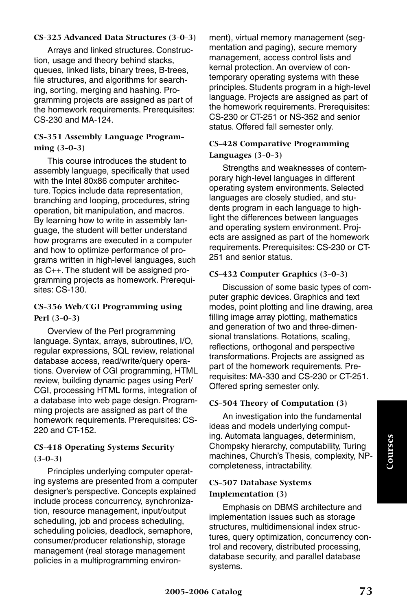#### **CS-325 Advanced Data Structures (3-0-3)**

Arrays and linked structures. Construction, usage and theory behind stacks, queues, linked lists, binary trees, B-trees, file structures, and algorithms for searching, sorting, merging and hashing. Programming projects are assigned as part of the homework requirements. Prerequisites: CS-230 and MA-124.

#### **CS-351 Assembly Language Programming (3-0-3)**

This course introduces the student to assembly language, specifically that used with the Intel 80x86 computer architecture. Topics include data representation, branching and looping, procedures, string operation, bit manipulation, and macros. By learning how to write in assembly language, the student will better understand how programs are executed in a computer and how to optimize performance of programs written in high-level languages, such as C++. The student will be assigned programming projects as homework. Prerequisites: CS-130.

#### **CS-356 Web/CGI Programming using Perl (3-0-3)**

Overview of the Perl programming language. Syntax, arrays, subroutines, I/O, regular expressions, SQL review, relational database access, read/write/query operations. Overview of CGI programming, HTML review, building dynamic pages using Perl/ CGI, processing HTML forms, integration of a database into web page design. Programming projects are assigned as part of the homework requirements. Prerequisites: CS-220 and CT-152.

#### **CS-418 Operating Systems Security (3-0-3)**

Principles underlying computer operating systems are presented from a computer designer's perspective. Concepts explained include process concurrency, synchronization, resource management, input/output scheduling, job and process scheduling, scheduling policies, deadlock, semaphore, consumer/producer relationship, storage management (real storage management policies in a multiprogramming environment), virtual memory management (segmentation and paging), secure memory management, access control lists and kernal protection. An overview of contemporary operating systems with these principles. Students program in a high-level language. Projects are assigned as part of the homework requirements. Prerequisites: CS-230 or CT-251 or NS-352 and senior status. Offered fall semester only.

#### **CS-428 Comparative Programming Languages (3-0-3)**

Strengths and weaknesses of contemporary high-level languages in different operating system environments. Selected languages are closely studied, and students program in each language to highlight the differences between languages and operating system environment. Projects are assigned as part of the homework requirements. Prerequisites: CS-230 or CT-251 and senior status.

#### **CS-432 Computer Graphics (3-0-3)**

Discussion of some basic types of computer graphic devices. Graphics and text modes, point plotting and line drawing, area filling image array plotting, mathematics and generation of two and three-dimensional translations. Rotations, scaling, reflections, orthogonal and perspective transformations. Projects are assigned as part of the homework requirements. Prerequisites: MA-330 and CS-230 or CT-251. Offered spring semester only.

#### **CS-504 Theory of Computation (3)**

An investigation into the fundamental ideas and models underlying computing. Automata languages, determinism, Chompsky hierarchy, computability, Turing machines, Church's Thesis, complexity, NPcompleteness, intractability.

#### **CS-507 Database Systems Implementation (3)**

Emphasis on DBMS architecture and implementation issues such as storage structures, multidimensional index structures, query optimization, concurrency control and recovery, distributed processing, database security, and parallel database systems.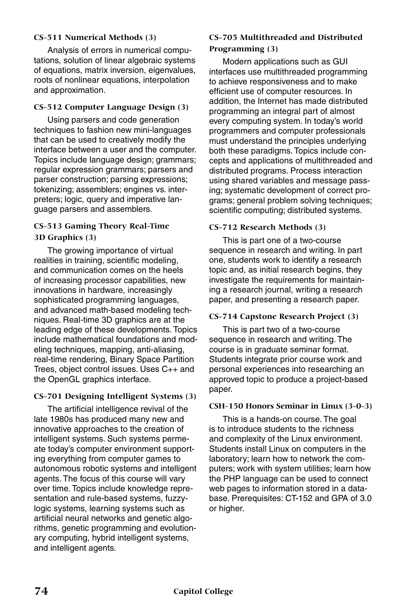#### **CS-511 Numerical Methods (3)**

Analysis of errors in numerical computations, solution of linear algebraic systems of equations, matrix inversion, eigenvalues, roots of nonlinear equations, interpolation and approximation.

#### **CS-512 Computer Language Design (3)**

Using parsers and code generation techniques to fashion new mini-languages that can be used to creatively modify the interface between a user and the computer. Topics include language design; grammars; regular expression grammars; parsers and parser construction; parsing expressions; tokenizing; assemblers; engines vs. interpreters; logic, query and imperative language parsers and assemblers.

#### **CS-513 Gaming Theory Real-Time 3D Graphics (3)**

The growing importance of virtual realities in training, scientific modeling, and communication comes on the heels of increasing processor capabilities, new innovations in hardware, increasingly sophisticated programming languages, and advanced math-based modeling techniques. Real-time 3D graphics are at the leading edge of these developments. Topics include mathematical foundations and modeling techniques, mapping, anti-aliasing, real-time rendering, Binary Space Partition Trees, object control issues. Uses C++ and the OpenGL graphics interface.

#### **CS-701 Designing Intelligent Systems (3)**

The artificial intelligence revival of the late 1980s has produced many new and innovative approaches to the creation of intelligent systems. Such systems permeate today's computer environment supporting everything from computer games to autonomous robotic systems and intelligent agents. The focus of this course will vary over time. Topics include knowledge representation and rule-based systems, fuzzylogic systems, learning systems such as artificial neural networks and genetic algorithms, genetic programming and evolutionary computing, hybrid intelligent systems, and intelligent agents.

#### **CS-705 Multithreaded and Distributed Programming (3)**

Modern applications such as GUI interfaces use multithreaded programming to achieve responsiveness and to make efficient use of computer resources. In addition, the Internet has made distributed programming an integral part of almost every computing system. In today's world programmers and computer professionals must understand the principles underlying both these paradigms. Topics include concepts and applications of multithreaded and distributed programs. Process interaction using shared variables and message passing; systematic development of correct programs; general problem solving techniques; scientific computing; distributed systems.

#### **CS-712 Research Methods (3)**

This is part one of a two-course sequence in research and writing. In part one, students work to identify a research topic and, as initial research begins, they investigate the requirements for maintaining a research journal, writing a research paper, and presenting a research paper.

#### **CS-714 Capstone Research Project (3)**

This is part two of a two-course sequence in research and writing. The course is in graduate seminar format. Students integrate prior course work and personal experiences into researching an approved topic to produce a project-based paper.

#### **CSH-150 Honors Seminar in Linux (3-0-3)**

This is a hands-on course. The goal is to introduce students to the richness and complexity of the Linux environment. Students install Linux on computers in the laboratory; learn how to network the computers; work with system utilities; learn how the PHP language can be used to connect web pages to information stored in a database. Prerequisites: CT-152 and GPA of 3.0 or higher.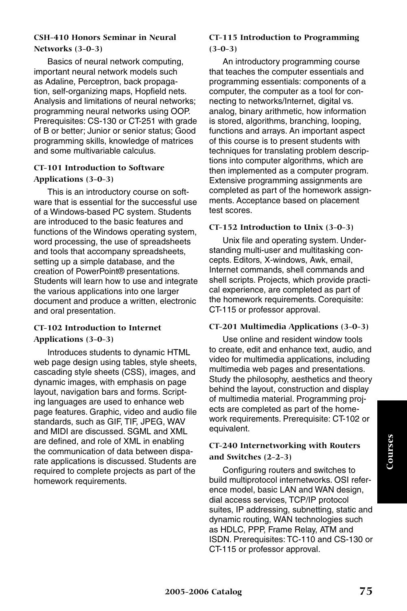#### **CSH-410 Honors Seminar in Neural Networks (3-0-3)**

Basics of neural network computing, important neural network models such as Adaline, Perceptron, back propagation, self-organizing maps, Hopfield nets. Analysis and limitations of neural networks; programming neural networks using OOP. Prerequisites: CS-130 or CT-251 with grade of B or better; Junior or senior status; Good programming skills, knowledge of matrices and some multivariable calculus.

## **CT-101 Introduction to Software Applications (3-0-3)**

This is an introductory course on software that is essential for the successful use of a Windows-based PC system. Students are introduced to the basic features and functions of the Windows operating system, word processing, the use of spreadsheets and tools that accompany spreadsheets, setting up a simple database, and the creation of PowerPoint® presentations. Students will learn how to use and integrate the various applications into one larger document and produce a written, electronic and oral presentation.

#### **CT-102 Introduction to Internet Applications (3-0-3)**

Introduces students to dynamic HTML web page design using tables, style sheets, cascading style sheets (CSS), images, and dynamic images, with emphasis on page layout, navigation bars and forms. Scripting languages are used to enhance web page features. Graphic, video and audio file standards, such as GIF, TIF, JPEG, WAV and MIDI are discussed. SGML and XML are defined, and role of XML in enabling the communication of data between disparate applications is discussed. Students are required to complete projects as part of the homework requirements.

#### **CT-115 Introduction to Programming (3-0-3)**

An introductory programming course that teaches the computer essentials and programming essentials: components of a computer, the computer as a tool for connecting to networks/Internet, digital vs. analog, binary arithmetic, how information is stored, algorithms, branching, looping, functions and arrays. An important aspect of this course is to present students with techniques for translating problem descriptions into computer algorithms, which are then implemented as a computer program. Extensive programming assignments are completed as part of the homework assignments. Acceptance based on placement test scores.

#### **CT-152 Introduction to Unix (3-0-3)**

Unix file and operating system. Understanding multi-user and multitasking concepts. Editors, X-windows, Awk, email, Internet commands, shell commands and shell scripts. Projects, which provide practical experience, are completed as part of the homework requirements. Corequisite: CT-115 or professor approval.

#### **CT-201 Multimedia Applications (3-0-3)**

Use online and resident window tools to create, edit and enhance text, audio, and video for multimedia applications, including multimedia web pages and presentations. Study the philosophy, aesthetics and theory behind the layout, construction and display of multimedia material. Programming projects are completed as part of the homework requirements. Prerequisite: CT-102 or equivalent.

#### **CT-240 Internetworking with Routers and Switches (2-2-3)**

Configuring routers and switches to build multiprotocol internetworks. OSI reference model, basic LAN and WAN design, dial access services, TCP/IP protocol suites, IP addressing, subnetting, static and dynamic routing, WAN technologies such as HDLC, PPP, Frame Relay, ATM and ISDN. Prerequisites: TC-110 and CS-130 or CT-115 or professor approval.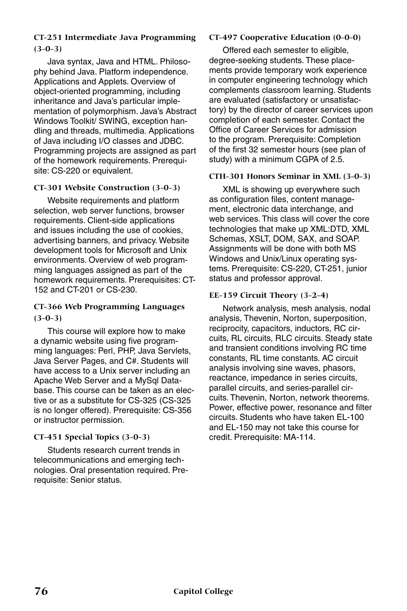## **CT-251 Intermediate Java Programming (3-0-3)**

Java syntax, Java and HTML. Philosophy behind Java. Platform independence. Applications and Applets. Overview of object-oriented programming, including inheritance and Java's particular implementation of polymorphism. Java's Abstract Windows Toolkit/ SWING, exception handling and threads, multimedia. Applications of Java including I/O classes and JDBC. Programming projects are assigned as part of the homework requirements. Prerequisite: CS-220 or equivalent.

## **CT-301 Website Construction (3-0-3)**

Website requirements and platform selection, web server functions, browser requirements. Client-side applications and issues including the use of cookies, advertising banners, and privacy. Website development tools for Microsoft and Unix environments. Overview of web programming languages assigned as part of the homework requirements. Prerequisites: CT-152 and CT-201 or CS-230.

#### **CT-366 Web Programming Languages (3-0-3)**

This course will explore how to make a dynamic website using five programming languages: Perl, PHP, Java Servlets, Java Server Pages, and C#. Students will have access to a Unix server including an Apache Web Server and a MySql Database. This course can be taken as an elective or as a substitute for CS-325 (CS-325 is no longer offered). Prerequisite: CS-356 or instructor permission.

## **CT-451 Special Topics (3-0-3)**

Students research current trends in telecommunications and emerging technologies. Oral presentation required. Prerequisite: Senior status.

## **CT-497 Cooperative Education (0-0-0)**

Offered each semester to eligible, degree-seeking students. These placements provide temporary work experience in computer engineering technology which complements classroom learning. Students are evaluated (satisfactory or unsatisfactory) by the director of career services upon completion of each semester. Contact the Office of Career Services for admission to the program. Prerequisite: Completion of the first 32 semester hours (see plan of study) with a minimum CGPA of 2.5.

## **CTH-301 Honors Seminar in XML (3-0-3)**

XML is showing up everywhere such as configuration files, content management, electronic data interchange, and web services. This class will cover the core technologies that make up XML:DTD, XML Schemas, XSLT, DOM, SAX, and SOAP. Assignments will be done with both MS Windows and Unix/Linux operating systems. Prerequisite: CS-220, CT-251, junior status and professor approval.

#### **EE-159 Circuit Theory (3-2-4)**

Network analysis, mesh analysis, nodal analysis, Thevenin, Norton, superposition, reciprocity, capacitors, inductors, RC circuits, RL circuits, RLC circuits. Steady state and transient conditions involving RC time constants, RL time constants. AC circuit analysis involving sine waves, phasors, reactance, impedance in series circuits, parallel circuits, and series-parallel circuits. Thevenin, Norton, network theorems. Power, effective power, resonance and filter circuits. Students who have taken EL-100 and EL-150 may not take this course for credit. Prerequisite: MA-114.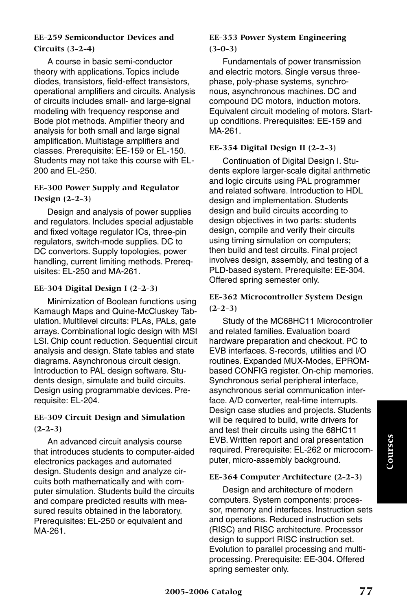#### **EE-259 Semiconductor Devices and Circuits (3-2-4)**

A course in basic semi-conductor theory with applications. Topics include diodes, transistors, field-effect transistors, operational amplifiers and circuits. Analysis of circuits includes small- and large-signal modeling with frequency response and Bode plot methods. Amplifier theory and analysis for both small and large signal amplification. Multistage amplifiers and classes. Prerequisite: EE-159 or EL-150. Students may not take this course with EL-200 and EL-250.

#### **EE-300 Power Supply and Regulator Design (2-2-3)**

Design and analysis of power supplies and regulators. Includes special adjustable and fixed voltage regulator ICs, three-pin regulators, switch-mode supplies. DC to DC convertors. Supply topologies, power handling, current limiting methods. Prerequisites: EL-250 and MA-261.

#### **EE-304 Digital Design I (2-2-3)**

Minimization of Boolean functions using Kamaugh Maps and Quine-McCluskey Tabulation. Multilevel circuits: PLAs, PALs, gate arrays. Combinational logic design with MSI LSI. Chip count reduction. Sequential circuit analysis and design. State tables and state diagrams. Asynchronous circuit design. Introduction to PAL design software. Students design, simulate and build circuits. Design using programmable devices. Prerequisite: EL-204.

#### **EE-309 Circuit Design and Simulation (2-2-3)**

An advanced circuit analysis course that introduces students to computer-aided electronics packages and automated design. Students design and analyze circuits both mathematically and with computer simulation. Students build the circuits and compare predicted results with measured results obtained in the laboratory. Prerequisites: EL-250 or equivalent and MA-261.

#### **EE-353 Power System Engineering (3-0-3)**

Fundamentals of power transmission and electric motors. Single versus threephase, poly-phase systems, synchronous, asynchronous machines. DC and compound DC motors, induction motors. Equivalent circuit modeling of motors. Startup conditions. Prerequisites: EE-159 and MA-261.

#### **EE-354 Digital Design II (2-2-3)**

Continuation of Digital Design I. Students explore larger-scale digital arithmetic and logic circuits using PAL programmer and related software. Introduction to HDL design and implementation. Students design and build circuits according to design objectives in two parts: students design, compile and verify their circuits using timing simulation on computers; then build and test circuits. Final project involves design, assembly, and testing of a PLD-based system. Prerequisite: EE-304. Offered spring semester only.

## **EE-362 Microcontroller System Design (2-2-3)**

Study of the MC68HC11 Microcontroller and related families. Evaluation board hardware preparation and checkout. PC to EVB interfaces. S-records, utilities and I/O routines. Expanded MUX-Modes, EPROMbased CONFIG register. On-chip memories. Synchronous serial peripheral interface, asynchronous serial communication interface. A/D converter, real-time interrupts. Design case studies and projects. Students will be required to build, write drivers for and test their circuits using the 68HC11 EVB. Written report and oral presentation required. Prerequisite: EL-262 or microcomputer, micro-assembly background.

#### **EE-364 Computer Architecture (2-2-3)**

Design and architecture of modern computers. System components: processor, memory and interfaces. Instruction sets and operations. Reduced instruction sets (RISC) and RISC architecture. Processor design to support RISC instruction set. Evolution to parallel processing and multiprocessing. Prerequisite: EE-304. Offered spring semester only.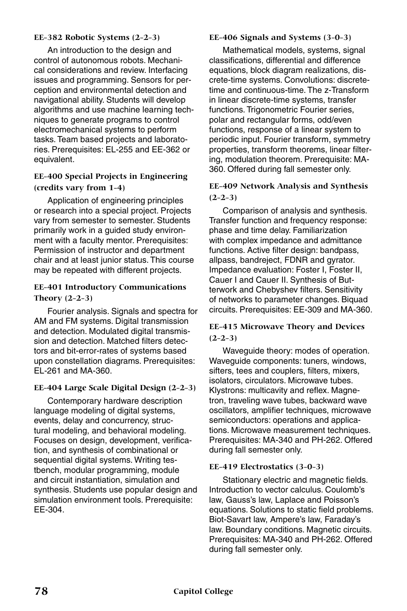#### **EE-382 Robotic Systems (2-2-3)**

An introduction to the design and control of autonomous robots. Mechanical considerations and review. Interfacing issues and programming. Sensors for perception and environmental detection and navigational ability. Students will develop algorithms and use machine learning techniques to generate programs to control electromechanical systems to perform tasks. Team based projects and laboratories. Prerequisites: EL-255 and EE-362 or equivalent.

#### **EE-400 Special Projects in Engineering (credits vary from 1-4)**

Application of engineering principles or research into a special project. Projects vary from semester to semester. Students primarily work in a guided study environment with a faculty mentor. Prerequisites: Permission of instructor and department chair and at least junior status. This course may be repeated with different projects.

# **EE-401 Introductory Communications**

**Theory (2-2-3)**

Fourier analysis. Signals and spectra for AM and FM systems. Digital transmission and detection. Modulated digital transmission and detection. Matched filters detectors and bit-error-rates of systems based upon constellation diagrams. Prerequisites: EL-261 and MA-360.

#### **EE-404 Large Scale Digital Design (2-2-3)**

Contemporary hardware description language modeling of digital systems, events, delay and concurrency, structural modeling, and behavioral modeling. Focuses on design, development, verification, and synthesis of combinational or sequential digital systems. Writing testbench, modular programming, module and circuit instantiation, simulation and synthesis. Students use popular design and simulation environment tools. Prerequisite: EE-304.

#### **EE-406 Signals and Systems (3-0-3)**

Mathematical models, systems, signal classifications, differential and difference equations, block diagram realizations, discrete-time systems. Convolutions: discretetime and continuous-time. The z-Transform in linear discrete-time systems, transfer functions. Trigonometric Fourier series. polar and rectangular forms, odd/even functions, response of a linear system to periodic input. Fourier transform, symmetry properties, transform theorems, linear filtering, modulation theorem. Prerequisite: MA-360. Offered during fall semester only.

## **EE-409 Network Analysis and Synthesis (2-2-3)**

Comparison of analysis and synthesis. Transfer function and frequency response: phase and time delay. Familiarization with complex impedance and admittance functions. Active filter design: bandpass, allpass, bandreject, FDNR and gyrator. Impedance evaluation: Foster I, Foster II, Cauer I and Cauer II. Synthesis of Butterwork and Chebyshev filters. Sensitivity of networks to parameter changes. Biquad circuits. Prerequisites: EE-309 and MA-360.

#### **EE-415 Microwave Theory and Devices (2-2-3)**

Waveguide theory: modes of operation. Waveguide components: tuners, windows, sifters, tees and couplers, filters, mixers, isolators, circulators. Microwave tubes. Klystrons: multicavity and reflex. Magnetron, traveling wave tubes, backward wave oscillators, amplifier techniques, microwave semiconductors: operations and applications. Microwave measurement techniques. Prerequisites: MA-340 and PH-262. Offered during fall semester only.

#### **EE-419 Electrostatics (3-0-3)**

Stationary electric and magnetic fields. Introduction to vector calculus. Coulomb's law, Gauss's law, Laplace and Poisson's equations. Solutions to static field problems. Biot-Savart law, Ampere's law, Faraday's law. Boundary conditions. Magnetic circuits. Prerequisites: MA-340 and PH-262. Offered during fall semester only.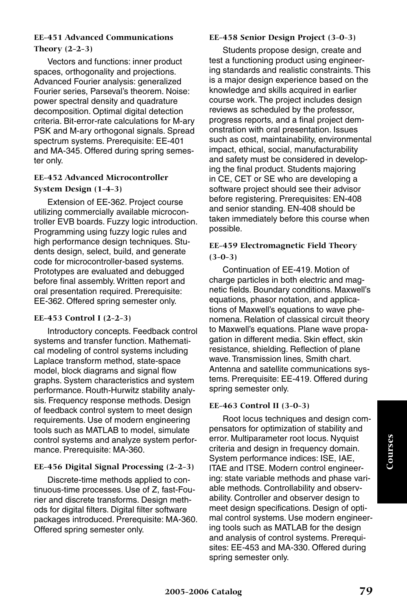## **EE-451 Advanced Communications Theory (2-2-3)**

Vectors and functions: inner product spaces, orthogonality and projections. Advanced Fourier analysis: generalized Fourier series, Parseval's theorem. Noise: power spectral density and quadrature decomposition. Optimal digital detection criteria. Bit-error-rate calculations for M-ary PSK and M-ary orthogonal signals. Spread spectrum systems. Prerequisite: EE-401 and MA-345. Offered during spring semester only.

## **EE-452 Advanced Microcontroller System Design (1-4-3)**

Extension of EE-362. Project course utilizing commercially available microcontroller EVB boards. Fuzzy logic introduction. Programming using fuzzy logic rules and high performance design techniques. Students design, select, build, and generate code for microcontroller-based systems. Prototypes are evaluated and debugged before final assembly. Written report and oral presentation required. Prerequisite: EE-362. Offered spring semester only.

#### **EE-453 Control I (2-2-3)**

Introductory concepts. Feedback control systems and transfer function. Mathematical modeling of control systems including Laplace transform method, state-space model, block diagrams and signal flow graphs. System characteristics and system performance. Routh-Hurwitz stability analysis. Frequency response methods. Design of feedback control system to meet design requirements. Use of modern engineering tools such as MATLAB to model, simulate control systems and analyze system performance. Prerequisite: MA-360.

## **EE-456 Digital Signal Processing (2-2-3)**

Discrete-time methods applied to continuous-time processes. Use of Z, fast-Fourier and discrete transforms. Design methods for digital filters. Digital filter software packages introduced. Prerequisite: MA-360. Offered spring semester only.

#### **EE-458 Senior Design Project (3-0-3)**

Students propose design, create and test a functioning product using engineering standards and realistic constraints. This is a major design experience based on the knowledge and skills acquired in earlier course work. The project includes design reviews as scheduled by the professor, progress reports, and a final project demonstration with oral presentation. Issues such as cost, maintainability, environmental impact, ethical, social, manufacturability and safety must be considered in developing the final product. Students majoring in CE, CET or SE who are developing a software project should see their advisor before registering. Prerequisites: EN-408 and senior standing. EN-408 should be taken immediately before this course when possible.

#### **EE-459 Electromagnetic Field Theory (3-0-3)**

Continuation of EE-419. Motion of charge particles in both electric and magnetic fields. Boundary conditions. Maxwell's equations, phasor notation, and applications of Maxwell's equations to wave phenomena. Relation of classical circuit theory to Maxwell's equations. Plane wave propagation in different media. Skin effect, skin resistance, shielding. Reflection of plane wave. Transmission lines, Smith chart. Antenna and satellite communications systems. Prerequisite: EE-419. Offered during spring semester only.

#### **EE-463 Control II (3-0-3)**

Root locus techniques and design compensators for optimization of stability and error. Multiparameter root locus. Nyquist criteria and design in frequency domain. System performance indices: ISE, IAE, ITAE and ITSE. Modern control engineering: state variable methods and phase variable methods. Controllability and observability. Controller and observer design to meet design specifications. Design of optimal control systems. Use modern engineering tools such as MATLAB for the design and analysis of control systems. Prerequisites: EE-453 and MA-330. Offered during spring semester only.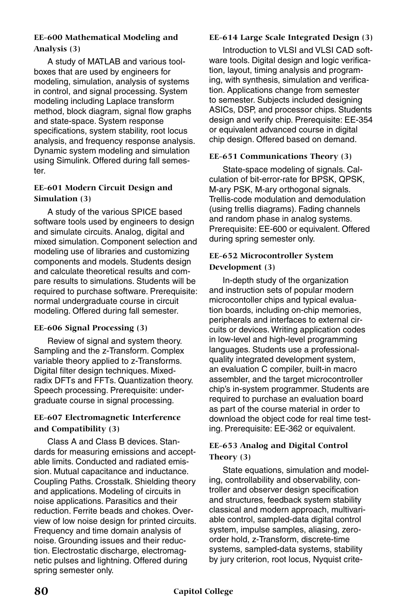## **EE-600 Mathematical Modeling and Analysis (3)**

A study of MATLAB and various toolboxes that are used by engineers for modeling, simulation, analysis of systems in control, and signal processing. System modeling including Laplace transform method, block diagram, signal flow graphs and state-space. System response specifications, system stability, root locus analysis, and frequency response analysis. Dynamic system modeling and simulation using Simulink. Offered during fall semester.

## **EE-601 Modern Circuit Design and Simulation (3)**

A study of the various SPICE based software tools used by engineers to design and simulate circuits. Analog, digital and mixed simulation. Component selection and modeling use of libraries and customizing components and models. Students design and calculate theoretical results and compare results to simulations. Students will be required to purchase software. Prerequisite: normal undergraduate course in circuit modeling. Offered during fall semester.

#### **EE-606 Signal Processing (3)**

Review of signal and system theory. Sampling and the z-Transform. Complex variable theory applied to z-Transforms. Digital filter design techniques. Mixedradix DFTs and FFTs. Quantization theory. Speech processing. Prerequisite: undergraduate course in signal processing.

## **EE-607 Electromagnetic Interference and Compatibility (3)**

Class A and Class B devices. Standards for measuring emissions and acceptable limits. Conducted and radiated emission. Mutual capacitance and inductance. Coupling Paths. Crosstalk. Shielding theory and applications. Modeling of circuits in noise applications. Parasitics and their reduction. Ferrite beads and chokes. Overview of low noise design for printed circuits. Frequency and time domain analysis of noise. Grounding issues and their reduction. Electrostatic discharge, electromagnetic pulses and lightning. Offered during spring semester only.

## **EE-614 Large Scale Integrated Design (3)**

Introduction to VLSI and VLSI CAD software tools. Digital design and logic verification, layout, timing analysis and programing, with synthesis, simulation and verification. Applications change from semester to semester. Subjects included designing ASICs, DSP, and processor chips. Students design and verify chip. Prerequisite: EE-354 or equivalent advanced course in digital chip design. Offered based on demand.

## **EE-651 Communications Theory (3)**

State-space modeling of signals. Calculation of bit-error-rate for BPSK, QPSK, M-ary PSK, M-ary orthogonal signals. Trellis-code modulation and demodulation (using trellis diagrams). Fading channels and random phase in analog systems. Prerequisite: EE-600 or equivalent. Offered during spring semester only.

#### **EE-652 Microcontroller System Development (3)**

In-depth study of the organization and instruction sets of popular modern microcontoller chips and typical evaluation boards, including on-chip memories, peripherals and interfaces to external circuits or devices. Writing application codes in low-level and high-level programming languages. Students use a professionalquality integrated development system, an evaluation C compiler, built-in macro assembler, and the target microcontroller chip's in-system programmer. Students are required to purchase an evaluation board as part of the course material in order to download the object code for real time testing. Prerequisite: EE-362 or equivalent.

## **EE-653 Analog and Digital Control Theory (3)**

State equations, simulation and modeling, controllability and observability, controller and observer design specification and structures, feedback system stability classical and modern approach, multivariable control, sampled-data digital control system, impulse samples, aliasing, zeroorder hold, z-Transform, discrete-time systems, sampled-data systems, stability by jury criterion, root locus, Nyquist crite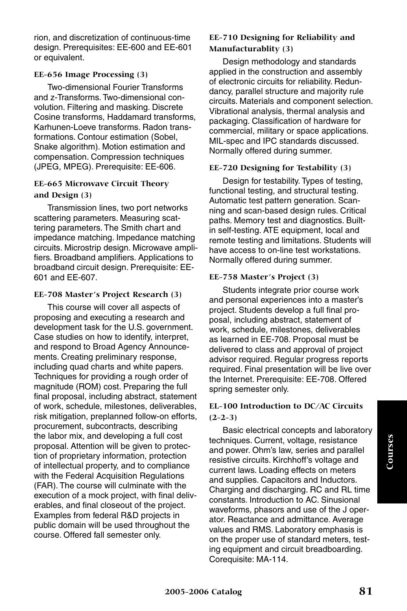rion, and discretization of continuous-time design. Prerequisites: EE-600 and EE-601 or equivalent.

#### **EE-656 Image Processing (3)**

Two-dimensional Fourier Transforms and z-Transforms. Two-dimensional convolution. Filtering and masking. Discrete Cosine transforms, Haddamard transforms, Karhunen-Loeve transforms. Radon transformations. Contour estimation (Sobel, Snake algorithm). Motion estimation and compensation. Compression techniques (JPEG, MPEG). Prerequisite: EE-606.

#### **EE-665 Microwave Circuit Theory and Design (3)**

Transmission lines, two port networks scattering parameters. Measuring scattering parameters. The Smith chart and impedance matching. Impedance matching circuits. Microstrip design. Microwave amplifiers. Broadband amplifiers. Applications to broadband circuit design. Prerequisite: EE-601 and EE-607.

#### **EE-708 Master's Project Research (3)**

This course will cover all aspects of proposing and executing a research and development task for the U.S. government. Case studies on how to identify, interpret, and respond to Broad Agency Announcements. Creating preliminary response, including quad charts and white papers. Techniques for providing a rough order of magnitude (ROM) cost. Preparing the full final proposal, including abstract, statement of work, schedule, milestones, deliverables, risk mitigation, preplanned follow-on efforts, procurement, subcontracts, describing the labor mix, and developing a full cost proposal. Attention will be given to protection of proprietary information, protection of intellectual property, and to compliance with the Federal Acquisition Regulations (FAR). The course will culminate with the execution of a mock project, with final deliverables, and final closeout of the project. Examples from federal R&D projects in public domain will be used throughout the course. Offered fall semester only.

## **EE-710 Designing for Reliability and Manufacturablity (3)**

Design methodology and standards applied in the construction and assembly of electronic circuits for reliability. Redundancy, parallel structure and majority rule circuits. Materials and component selection. Vibrational analysis, thermal analysis and packaging. Classification of hardware for commercial, military or space applications. MIL-spec and IPC standards discussed. Normally offered during summer.

## **EE-720 Designing for Testability (3)**

Design for testability. Types of testing, functional testing, and structural testing. Automatic test pattern generation. Scanning and scan-based design rules. Critical paths. Memory test and diagnostics. Builtin self-testing. ATE equipment, local and remote testing and limitations. Students will have access to on-line test workstations. Normally offered during summer.

#### **EE-758 Master's Project (3)**

Students integrate prior course work and personal experiences into a master's project. Students develop a full final proposal, including abstract, statement of work, schedule, milestones, deliverables as learned in EE-708. Proposal must be delivered to class and approval of project advisor required. Regular progress reports required. Final presentation will be live over the Internet. Prerequisite: EE-708. Offered spring semester only.

## **EL-100 Introduction to DC/AC Circuits (2-2-3)**

Basic electrical concepts and laboratory techniques. Current, voltage, resistance and power. Ohm's law, series and parallel resistive circuits. Kirchhoff's voltage and current laws. Loading effects on meters and supplies. Capacitors and Inductors. Charging and discharging. RC and RL time constants. Introduction to AC. Sinusional waveforms, phasors and use of the J operator. Reactance and admittance. Average values and RMS. Laboratory emphasis is on the proper use of standard meters, testing equipment and circuit breadboarding. Corequisite: MA-114.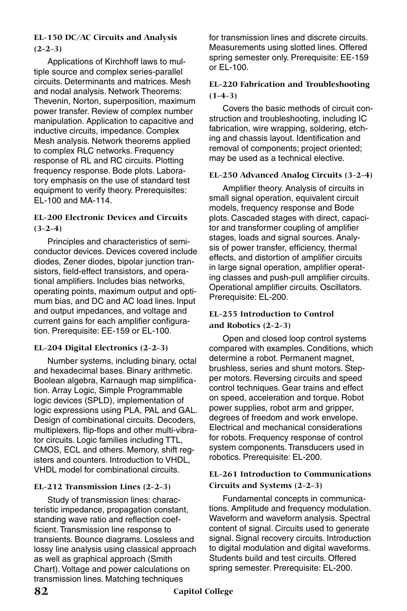## **EL-150 DC/AC Circuits and Analysis (2-2-3)**

Applications of Kirchhoff laws to multiple source and complex series-parallel circuits. Determinants and matrices. Mesh and nodal analysis. Network Theorems: Thevenin, Norton, superposition, maximum power transfer. Review of complex number manipulation. Application to capacitive and inductive circuits, impedance. Complex Mesh analysis. Network theorems applied to complex RLC networks. Frequency response of RL and RC circuits. Plotting frequency response. Bode plots. Laboratory emphasis on the use of standard test equipment to verify theory. Prerequisites: EL-100 and MA-114.

#### **EL-200 Electronic Devices and Circuits (3-2-4)**

Principles and characteristics of semiconductor devices. Devices covered include diodes, Zener diodes, bipolar junction transistors, field-effect transistors, and operational amplifiers. Includes bias networks, operating points, maximum output and optimum bias, and DC and AC load lines. Input and output impedances, and voltage and current gains for each amplifier configuration. Prerequisite: EE-159 or EL-100.

#### **EL-204 Digital Electronics (2-2-3)**

Number systems, including binary, octal and hexadecimal bases. Binary arithmetic. Boolean algebra, Karnaugh map simplification. Array Logic, Simple Programmable logic devices (SPLD), implementation of logic expressions using PLA, PAL and GAL. Design of combinational circuits. Decoders, multiplexers, flip-flops and other multi-vibrator circuits. Logic families including TTL, CMOS, ECL and others. Memory, shift registers and counters. Introduction to VHDL, VHDL model for combinational circuits.

#### **EL-212 Transmission Lines (2-2-3)**

Study of transmission lines: characteristic impedance, propagation constant, standing wave ratio and reflection coefficient. Transmission line response to transients. Bounce diagrams. Lossless and lossy line analysis using classical approach as well as graphical approach (Smith Chart). Voltage and power calculations on transmission lines. Matching techniques

for transmission lines and discrete circuits. Measurements using slotted lines. Offered spring semester only. Prerequisite: EE-159 or  $FI - 100$ .

#### **EL-220 Fabrication and Troubleshooting (1-4-3)**

Covers the basic methods of circuit construction and troubleshooting, including IC fabrication, wire wrapping, soldering, etching and chassis layout. Identification and removal of components; project oriented; may be used as a technical elective.

#### **EL-250 Advanced Analog Circuits (3-2-4)**

Amplifier theory. Analysis of circuits in small signal operation, equivalent circuit models, frequency response and Bode plots. Cascaded stages with direct, capacitor and transformer coupling of amplifier stages, loads and signal sources. Analysis of power transfer, efficiency, thermal effects, and distortion of amplifier circuits in large signal operation, amplifier operating classes and push-pull amplifier circuits. Operational amplifier circuits. Oscillators. Prerequisite: EL-200.

## **EL-255 Introduction to Control and Robotics (2-2-3)**

Open and closed loop control systems compared with examples. Conditions, which determine a robot. Permanent magnet, brushless, series and shunt motors. Stepper motors. Reversing circuits and speed control techniques. Gear trains and effect on speed, acceleration and torque. Robot power supplies, robot arm and gripper, degrees of freedom and work envelope. Electrical and mechanical considerations for robots. Frequency response of control system components. Transducers used in robotics. Prerequisite: EL-200.

#### **EL-261 Introduction to Communications Circuits and Systems (2-2-3)**

Fundamental concepts in communications. Amplitude and frequency modulation. Waveform and waveform analysis. Spectral content of signal. Circuits used to generate signal. Signal recovery circuits. Introduction to digital modulation and digital waveforms. Students build and test circuits. Offered spring semester. Prerequisite: EL-200.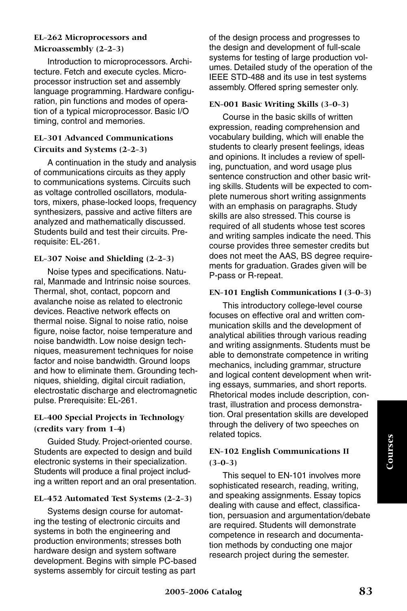#### **EL-262 Microprocessors and Microassembly (2-2-3)**

Introduction to microprocessors. Architecture. Fetch and execute cycles. Microprocessor instruction set and assembly language programming. Hardware configuration, pin functions and modes of operation of a typical microprocessor. Basic I/O timing, control and memories.

## **EL-301 Advanced Communications Circuits and Systems (2-2-3)**

A continuation in the study and analysis of communications circuits as they apply to communications systems. Circuits such as voltage controlled oscillators, modulators, mixers, phase-locked loops, frequency synthesizers, passive and active filters are analyzed and mathematically discussed. Students build and test their circuits. Prerequisite: EL-261.

## **EL-307 Noise and Shielding (2-2-3)**

Noise types and specifications. Natural, Manmade and Intrinsic noise sources. Thermal, shot, contact, popcorn and avalanche noise as related to electronic devices. Reactive network effects on thermal noise. Signal to noise ratio, noise figure, noise factor, noise temperature and noise bandwidth. Low noise design techniques, measurement techniques for noise factor and noise bandwidth. Ground loops and how to eliminate them. Grounding techniques, shielding, digital circuit radiation, electrostatic discharge and electromagnetic pulse. Prerequisite: EL-261.

## **EL-400 Special Projects in Technology (credits vary from 1-4)**

Guided Study. Project-oriented course. Students are expected to design and build electronic systems in their specialization. Students will produce a final project including a written report and an oral presentation.

## **EL-452 Automated Test Systems (2-2-3)**

Systems design course for automating the testing of electronic circuits and systems in both the engineering and production environments; stresses both hardware design and system software development. Begins with simple PC-based systems assembly for circuit testing as part

of the design process and progresses to the design and development of full-scale systems for testing of large production volumes. Detailed study of the operation of the IEEE STD-488 and its use in test systems assembly. Offered spring semester only.

## **EN-001 Basic Writing Skills (3-0-3)**

Course in the basic skills of written expression, reading comprehension and vocabulary building, which will enable the students to clearly present feelings, ideas and opinions. It includes a review of spelling, punctuation, and word usage plus sentence construction and other basic writing skills. Students will be expected to complete numerous short writing assignments with an emphasis on paragraphs. Study skills are also stressed. This course is required of all students whose test scores and writing samples indicate the need. This course provides three semester credits but does not meet the AAS, BS degree requirements for graduation. Grades given will be P-pass or R-repeat.

#### **EN-101 English Communications I (3-0-3)**

This introductory college-level course focuses on effective oral and written communication skills and the development of analytical abilities through various reading and writing assignments. Students must be able to demonstrate competence in writing mechanics, including grammar, structure and logical content development when writing essays, summaries, and short reports. Rhetorical modes include description, contrast, illustration and process demonstration. Oral presentation skills are developed through the delivery of two speeches on related topics.

## **EN-102 English Communications II (3-0-3)**

This sequel to EN-101 involves more sophisticated research, reading, writing, and speaking assignments. Essay topics dealing with cause and effect, classification, persuasion and argumentation/debate are required. Students will demonstrate competence in research and documentation methods by conducting one major research project during the semester.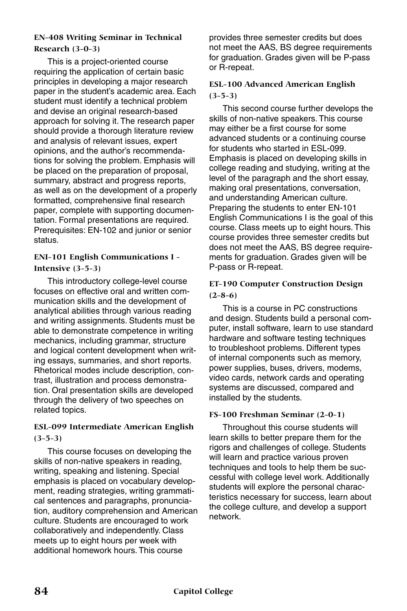## **EN-408 Writing Seminar in Technical Research (3-0-3)**

This is a project-oriented course requiring the application of certain basic principles in developing a major research paper in the student's academic area. Each student must identify a technical problem and devise an original research-based approach for solving it. The research paper should provide a thorough literature review and analysis of relevant issues, expert opinions, and the author's recommendations for solving the problem. Emphasis will be placed on the preparation of proposal, summary, abstract and progress reports, as well as on the development of a properly formatted, comprehensive final research paper, complete with supporting documentation. Formal presentations are required. Prerequisites: EN-102 and junior or senior status.

## **ENI-101 English Communications I - Intensive (3-5-3)**

This introductory college-level course focuses on effective oral and written communication skills and the development of analytical abilities through various reading and writing assignments. Students must be able to demonstrate competence in writing mechanics, including grammar, structure and logical content development when writing essays, summaries, and short reports. Rhetorical modes include description, contrast, illustration and process demonstration. Oral presentation skills are developed through the delivery of two speeches on related topics.

## **ESL-099 Intermediate American English (3-5-3)**

This course focuses on developing the skills of non-native speakers in reading, writing, speaking and listening. Special emphasis is placed on vocabulary development, reading strategies, writing grammatical sentences and paragraphs, pronunciation, auditory comprehension and American culture. Students are encouraged to work collaboratively and independently. Class meets up to eight hours per week with additional homework hours. This course

provides three semester credits but does not meet the AAS, BS degree requirements for graduation. Grades given will be P-pass or R-repeat.

## **ESL-100 Advanced American English (3-5-3)**

This second course further develops the skills of non-native speakers. This course may either be a first course for some advanced students or a continuing course for students who started in ESL-099. Emphasis is placed on developing skills in college reading and studying, writing at the level of the paragraph and the short essay, making oral presentations, conversation, and understanding American culture. Preparing the students to enter EN-101 English Communications I is the goal of this course. Class meets up to eight hours. This course provides three semester credits but does not meet the AAS, BS degree requirements for graduation. Grades given will be P-pass or R-repeat.

## **ET-190 Computer Construction Design (2-8-6)**

This is a course in PC constructions and design. Students build a personal computer, install software, learn to use standard hardware and software testing techniques to troubleshoot problems. Different types of internal components such as memory, power supplies, buses, drivers, modems, video cards, network cards and operating systems are discussed, compared and installed by the students.

#### **FS-100 Freshman Seminar (2-0-1)**

Throughout this course students will learn skills to better prepare them for the rigors and challenges of college. Students will learn and practice various proven techniques and tools to help them be successful with college level work. Additionally students will explore the personal characteristics necessary for success, learn about the college culture, and develop a support network.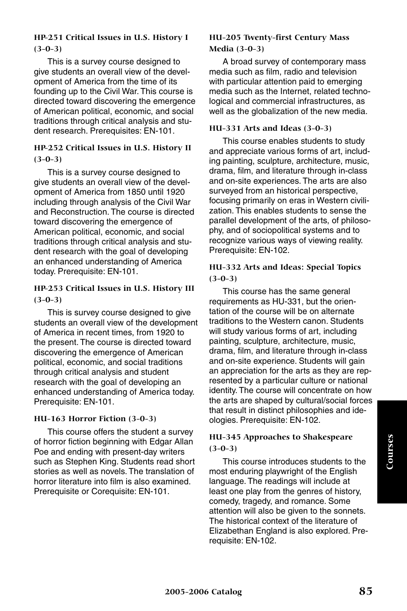## **HP-251 Critical Issues in U.S. History I (3-0-3)**

This is a survey course designed to give students an overall view of the development of America from the time of its founding up to the Civil War. This course is directed toward discovering the emergence of American political, economic, and social traditions through critical analysis and student research. Prerequisites: EN-101.

#### **HP-252 Critical Issues in U.S. History II (3-0-3)**

This is a survey course designed to give students an overall view of the development of America from 1850 until 1920 including through analysis of the Civil War and Reconstruction. The course is directed toward discovering the emergence of American political, economic, and social traditions through critical analysis and student research with the goal of developing an enhanced understanding of America today. Prerequisite: EN-101.

#### **HP-253 Critical Issues in U.S. History III (3-0-3)**

This is survey course designed to give students an overall view of the development of America in recent times, from 1920 to the present. The course is directed toward discovering the emergence of American political, economic, and social traditions through critical analysis and student research with the goal of developing an enhanced understanding of America today. Prerequisite: EN-101.

#### **HU-163 Horror Fiction (3-0-3)**

This course offers the student a survey of horror fiction beginning with Edgar Allan Poe and ending with present-day writers such as Stephen King. Students read short stories as well as novels. The translation of horror literature into film is also examined. Prerequisite or Corequisite: EN-101.

#### **HU-205 Twenty-first Century Mass Media (3-0-3)**

A broad survey of contemporary mass media such as film, radio and television with particular attention paid to emerging media such as the Internet, related technological and commercial infrastructures, as well as the globalization of the new media.

#### **HU-331 Arts and Ideas (3-0-3)**

This course enables students to study and appreciate various forms of art, including painting, sculpture, architecture, music, drama, film, and literature through in-class and on-site experiences. The arts are also surveyed from an historical perspective, focusing primarily on eras in Western civilization. This enables students to sense the parallel development of the arts, of philosophy, and of sociopolitical systems and to recognize various ways of viewing reality. Prerequisite: EN-102.

## **HU-332 Arts and Ideas: Special Topics (3-0-3)**

This course has the same general requirements as HU-331, but the orientation of the course will be on alternate traditions to the Western canon. Students will study various forms of art, including painting, sculpture, architecture, music, drama, film, and literature through in-class and on-site experience. Students will gain an appreciation for the arts as they are represented by a particular culture or national identity. The course will concentrate on how the arts are shaped by cultural/social forces that result in distinct philosophies and ideologies. Prerequisite: EN-102.

## **HU-345 Approaches to Shakespeare (3-0-3)**

This course introduces students to the most enduring playwright of the English language. The readings will include at least one play from the genres of history, comedy, tragedy, and romance. Some attention will also be given to the sonnets. The historical context of the literature of Elizabethan England is also explored. Prerequisite: EN-102.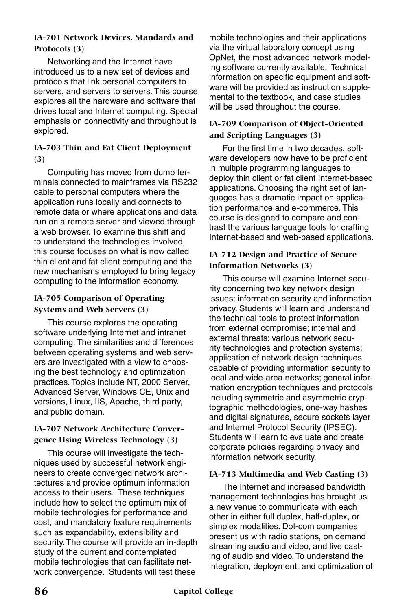## **IA-701 Network Devices, Standards and Protocols (3)**

Networking and the Internet have introduced us to a new set of devices and protocols that link personal computers to servers, and servers to servers. This course explores all the hardware and software that drives local and Internet computing. Special emphasis on connectivity and throughput is explored.

#### **IA-703 Thin and Fat Client Deployment (3)**

Computing has moved from dumb terminals connected to mainframes via RS232 cable to personal computers where the application runs locally and connects to remote data or where applications and data run on a remote server and viewed through a web browser. To examine this shift and to understand the technologies involved, this course focuses on what is now called thin client and fat client computing and the new mechanisms employed to bring legacy computing to the information economy.

## **IA-705 Comparison of Operating Systems and Web Servers (3)**

This course explores the operating software underlying Internet and intranet computing. The similarities and differences between operating systems and web servers are investigated with a view to choosing the best technology and optimization practices. Topics include NT, 2000 Server, Advanced Server, Windows CE, Unix and versions, Linux, IIS, Apache, third party, and public domain.

## **IA-707 Network Architecture Convergence Using Wireless Technology (3)**

This course will investigate the techniques used by successful network engineers to create converged network architectures and provide optimum information access to their users. These techniques include how to select the optimum mix of mobile technologies for performance and cost, and mandatory feature requirements such as expandability, extensibility and security. The course will provide an in-depth study of the current and contemplated mobile technologies that can facilitate network convergence. Students will test these

mobile technologies and their applications via the virtual laboratory concept using OpNet, the most advanced network modeling software currently available. Technical information on specific equipment and software will be provided as instruction supplemental to the textbook, and case studies will be used throughout the course.

## **IA-709 Comparison of Object-Oriented and Scripting Languages (3)**

For the first time in two decades, software developers now have to be proficient in multiple programming languages to deploy thin client or fat client Internet-based applications. Choosing the right set of languages has a dramatic impact on application performance and e-commerce. This course is designed to compare and contrast the various language tools for crafting Internet-based and web-based applications.

#### **IA-712 Design and Practice of Secure Information Networks (3)**

This course will examine Internet security concerning two key network design issues: information security and information privacy. Students will learn and understand the technical tools to protect information from external compromise; internal and external threats; various network security technologies and protection systems; application of network design techniques capable of providing information security to local and wide-area networks; general information encryption techniques and protocols including symmetric and asymmetric cryptographic methodologies, one-way hashes and digital signatures, secure sockets layer and Internet Protocol Security (IPSEC). Students will learn to evaluate and create corporate policies regarding privacy and information network security.

#### **IA-713 Multimedia and Web Casting (3)**

The Internet and increased bandwidth management technologies has brought us a new venue to communicate with each other in either full duplex, half-duplex, or simplex modalities. Dot-com companies present us with radio stations, on demand streaming audio and video, and live casting of audio and video. To understand the integration, deployment, and optimization of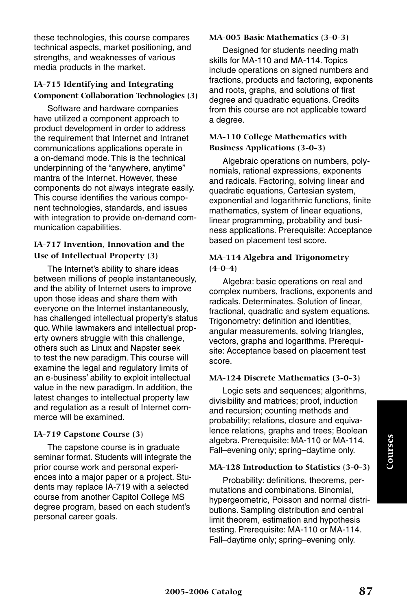these technologies, this course compares technical aspects, market positioning, and strengths, and weaknesses of various media products in the market.

## **IA-715 Identifying and Integrating Component Collaboration Technologies (3)**

Software and hardware companies have utilized a component approach to product development in order to address the requirement that Internet and Intranet communications applications operate in a on-demand mode. This is the technical underpinning of the "anywhere, anytime" mantra of the Internet. However, these components do not always integrate easily. This course identifies the various component technologies, standards, and issues with integration to provide on-demand communication capabilities.

#### **IA-717 Invention, Innovation and the Use of Intellectual Property (3)**

The Internet's ability to share ideas between millions of people instantaneously, and the ability of Internet users to improve upon those ideas and share them with everyone on the Internet instantaneously, has challenged intellectual property's status quo. While lawmakers and intellectual property owners struggle with this challenge, others such as Linux and Napster seek to test the new paradigm. This course will examine the legal and regulatory limits of an e-business' ability to exploit intellectual value in the new paradigm. In addition, the latest changes to intellectual property law and regulation as a result of Internet commerce will be examined.

#### **IA-719 Capstone Course (3)**

The capstone course is in graduate seminar format. Students will integrate the prior course work and personal experiences into a major paper or a project. Students may replace IA-719 with a selected course from another Capitol College MS degree program, based on each student's personal career goals.

#### **MA-005 Basic Mathematics (3-0-3)**

Designed for students needing math skills for MA-110 and MA-114. Topics include operations on signed numbers and fractions, products and factoring, exponents and roots, graphs, and solutions of first degree and quadratic equations. Credits from this course are not applicable toward a degree.

## **MA-110 College Mathematics with Business Applications (3-0-3)**

Algebraic operations on numbers, polynomials, rational expressions, exponents and radicals. Factoring, solving linear and quadratic equations, Cartesian system, exponential and logarithmic functions, finite mathematics, system of linear equations, linear programming, probability and business applications. Prerequisite: Acceptance based on placement test score.

#### **MA-114 Algebra and Trigonometry (4-0-4)**

Algebra: basic operations on real and complex numbers, fractions, exponents and radicals. Determinates. Solution of linear, fractional, quadratic and system equations. Trigonometry: definition and identities, angular measurements, solving triangles, vectors, graphs and logarithms. Prerequisite: Acceptance based on placement test score.

#### **MA-124 Discrete Mathematics (3-0-3)**

Logic sets and sequences; algorithms, divisibility and matrices; proof, induction and recursion; counting methods and probability; relations, closure and equivalence relations, graphs and trees; Boolean algebra. Prerequisite: MA-110 or MA-114. Fall–evening only; spring–daytime only.

#### **MA-128 Introduction to Statistics (3-0-3)**

Probability: definitions, theorems, permutations and combinations. Binomial, hypergeometric, Poisson and normal distributions. Sampling distribution and central limit theorem, estimation and hypothesis testing. Prerequisite: MA-110 or MA-114. Fall–daytime only; spring–evening only.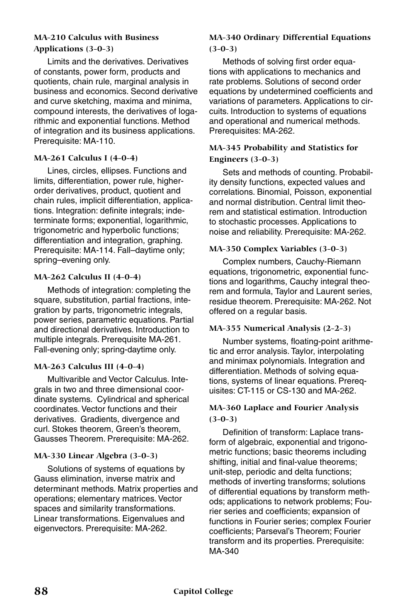## **MA-210 Calculus with Business Applications (3-0-3)**

Limits and the derivatives. Derivatives of constants, power form, products and quotients, chain rule, marginal analysis in business and economics. Second derivative and curve sketching, maxima and minima, compound interests, the derivatives of logarithmic and exponential functions. Method of integration and its business applications. Prerequisite: MA-110.

## **MA-261 Calculus I (4-0-4)**

Lines, circles, ellipses. Functions and limits, differentiation, power rule, higherorder derivatives, product, quotient and chain rules, implicit differentiation, applications. Integration: definite integrals; indeterminate forms; exponential, logarithmic, trigonometric and hyperbolic functions; differentiation and integration, graphing. Prerequisite: MA-114. Fall–daytime only; spring–evening only.

#### **MA-262 Calculus II (4-0-4)**

Methods of integration: completing the square, substitution, partial fractions, integration by parts, trigonometric integrals, power series, parametric equations. Partial and directional derivatives. Introduction to multiple integrals. Prerequisite MA-261. Fall-evening only; spring-daytime only.

## **MA-263 Calculus III (4-0-4)**

Multivarible and Vector Calculus. Integrals in two and three dimensional coordinate systems. Cylindrical and spherical coordinates. Vector functions and their derivatives. Gradients, divergence and curl. Stokes theorem, Green's theorem, Gausses Theorem. Prerequisite: MA-262.

## **MA-330 Linear Algebra (3-0-3)**

Solutions of systems of equations by Gauss elimination, inverse matrix and determinant methods. Matrix properties and operations; elementary matrices. Vector spaces and similarity transformations. Linear transformations. Eigenvalues and eigenvectors. Prerequisite: MA-262.

## **MA-340 Ordinary Differential Equations (3-0-3)**

Methods of solving first order equations with applications to mechanics and rate problems. Solutions of second order equations by undetermined coefficients and variations of parameters. Applications to circuits. Introduction to systems of equations and operational and numerical methods. Prerequisites: MA-262.

## **MA-345 Probability and Statistics for Engineers (3-0-3)**

Sets and methods of counting. Probability density functions, expected values and correlations. Binomial, Poisson, exponential and normal distribution. Central limit theorem and statistical estimation. Introduction to stochastic processes. Applications to noise and reliability. Prerequisite: MA-262.

## **MA-350 Complex Variables (3-0-3)**

Complex numbers, Cauchy-Riemann equations, trigonometric, exponential functions and logarithms, Cauchy integral theorem and formula, Taylor and Laurent series, residue theorem. Prerequisite: MA-262. Not offered on a regular basis.

## **MA-355 Numerical Analysis (2-2-3)**

Number systems, floating-point arithmetic and error analysis. Taylor, interpolating and minimax polynomials. Integration and differentiation. Methods of solving equations, systems of linear equations. Prerequisites: CT-115 or CS-130 and MA-262.

## **MA-360 Laplace and Fourier Analysis (3-0-3)**

Definition of transform: Laplace transform of algebraic, exponential and trigonometric functions; basic theorems including shifting, initial and final-value theorems; unit-step, periodic and delta functions; methods of inverting transforms; solutions of differential equations by transform methods; applications to network problems; Fourier series and coefficients; expansion of functions in Fourier series; complex Fourier coefficients; Parseval's Theorem; Fourier transform and its properties. Prerequisite: MA-340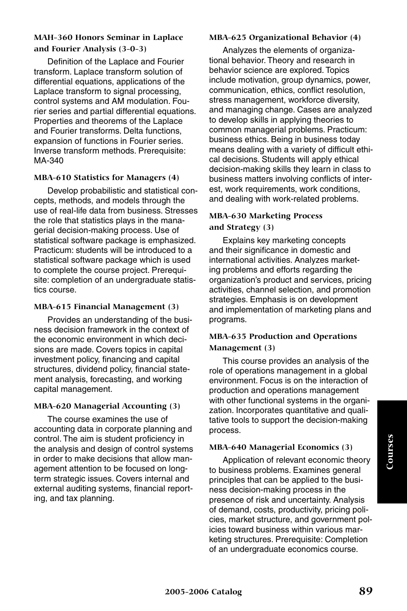#### **MAH-360 Honors Seminar in Laplace and Fourier Analysis (3-0-3)**

Definition of the Laplace and Fourier transform. Laplace transform solution of differential equations, applications of the Laplace transform to signal processing, control systems and AM modulation. Fourier series and partial differential equations. Properties and theorems of the Laplace and Fourier transforms. Delta functions, expansion of functions in Fourier series. Inverse transform methods. Prerequisite: MA-340

#### **MBA-610 Statistics for Managers (4)**

Develop probabilistic and statistical concepts, methods, and models through the use of real-life data from business. Stresses the role that statistics plays in the managerial decision-making process. Use of statistical software package is emphasized. Practicum: students will be introduced to a statistical software package which is used to complete the course project. Prerequisite: completion of an undergraduate statistics course.

#### **MBA-615 Financial Management (3)**

Provides an understanding of the business decision framework in the context of the economic environment in which decisions are made. Covers topics in capital investment policy, financing and capital structures, dividend policy, financial statement analysis, forecasting, and working capital management.

#### **MBA-620 Managerial Accounting (3)**

The course examines the use of accounting data in corporate planning and control. The aim is student proficiency in the analysis and design of control systems in order to make decisions that allow management attention to be focused on longterm strategic issues. Covers internal and external auditing systems, financial reporting, and tax planning.

#### **MBA-625 Organizational Behavior (4)**

Analyzes the elements of organizational behavior. Theory and research in behavior science are explored. Topics include motivation, group dynamics, power, communication, ethics, conflict resolution, stress management, workforce diversity, and managing change. Cases are analyzed to develop skills in applying theories to common managerial problems. Practicum: business ethics. Being in business today means dealing with a variety of difficult ethical decisions. Students will apply ethical decision-making skills they learn in class to business matters involving conflicts of interest, work requirements, work conditions, and dealing with work-related problems.

#### **MBA-630 Marketing Process and Strategy (3)**

Explains key marketing concepts and their significance in domestic and international activities. Analyzes marketing problems and efforts regarding the organization's product and services, pricing activities, channel selection, and promotion strategies. Emphasis is on development and implementation of marketing plans and programs.

## **MBA-635 Production and Operations Management (3)**

This course provides an analysis of the role of operations management in a global environment. Focus is on the interaction of production and operations management with other functional systems in the organization. Incorporates quantitative and qualitative tools to support the decision-making process.

#### **MBA-640 Managerial Economics (3)**

Application of relevant economic theory to business problems. Examines general principles that can be applied to the business decision-making process in the presence of risk and uncertainty. Analysis of demand, costs, productivity, pricing policies, market structure, and government policies toward business within various marketing structures. Prerequisite: Completion of an undergraduate economics course.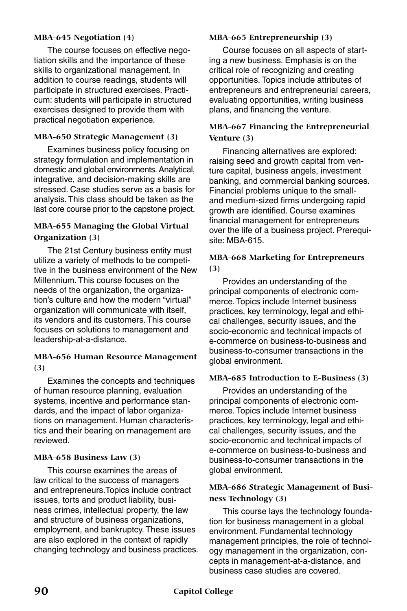#### **MBA-645 Negotiation (4)**

The course focuses on effective negotiation skills and the importance of these skills to organizational management. In addition to course readings, students will participate in structured exercises. Practicum: students will participate in structured exercises designed to provide them with practical negotiation experience.

#### **MBA-650 Strategic Management (3)**

Examines business policy focusing on strategy formulation and implementation in domestic and global environments. Analytical, integrative, and decision-making skills are stressed. Case studies serve as a basis for analysis. This class should be taken as the last core course prior to the capstone project.

#### **MBA-655 Managing the Global Virtual Organization (3)**

The 21st Century business entity must utilize a variety of methods to be competitive in the business environment of the New Millennium. This course focuses on the needs of the organization, the organization's culture and how the modern "virtual" organization will communicate with itself, its vendors and its customers. This course focuses on solutions to management and leadership-at-a-distance.

## **MBA-656 Human Resource Management (3)**

Examines the concepts and techniques of human resource planning, evaluation systems, incentive and performance standards, and the impact of labor organizations on management. Human characteristics and their bearing on management are reviewed.

#### **MBA-658 Business Law (3)**

This course examines the areas of law critical to the success of managers and entrepreneurs.Topics include contract issues, torts and product liability, business crimes, intellectual property, the law and structure of business organizations, employment, and bankruptcy. These issues are also explored in the context of rapidly changing technology and business practices.

#### **MBA-665 Entrepreneurship (3)**

Course focuses on all aspects of starting a new business. Emphasis is on the critical role of recognizing and creating opportunities. Topics include attributes of entrepreneurs and entrepreneurial careers, evaluating opportunities, writing business plans, and financing the venture.

#### **MBA-667 Financing the Entrepreneurial Venture (3)**

Financing alternatives are explored: raising seed and growth capital from venture capital, business angels, investment banking, and commercial banking sources. Financial problems unique to the smalland medium-sized firms undergoing rapid growth are identified. Course examines financial management for entrepreneurs over the life of a business project. Prerequisite: MBA-615.

#### **MBA-668 Marketing for Entrepreneurs (3)**

Provides an understanding of the principal components of electronic commerce. Topics include Internet business practices, key terminology, legal and ethical challenges, security issues, and the socio-economic and technical impacts of e-commerce on business-to-business and business-to-consumer transactions in the global environment.

#### **MBA-685 Introduction to E-Business (3)**

Provides an understanding of the principal components of electronic commerce. Topics include Internet business practices, key terminology, legal and ethical challenges, security issues, and the socio-economic and technical impacts of e-commerce on business-to-business and business-to-consumer transactions in the global environment.

## **MBA-686 Strategic Management of Business Technology (3)**

This course lays the technology foundation for business management in a global environment. Fundamental technology management principles, the role of technology management in the organization, concepts in management-at-a-distance, and business case studies are covered.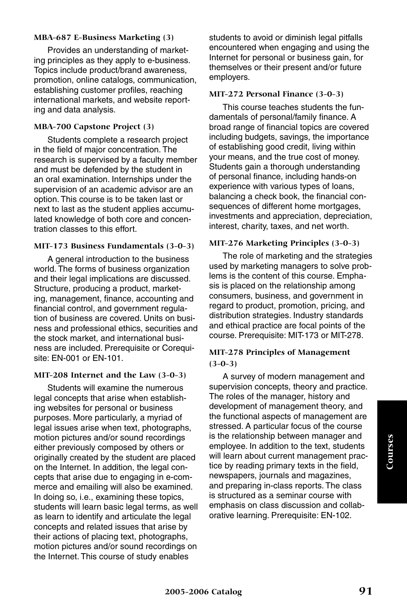#### **MBA-687 E-Business Marketing (3)**

Provides an understanding of marketing principles as they apply to e-business. Topics include product/brand awareness, promotion, online catalogs, communication, establishing customer profiles, reaching international markets, and website reporting and data analysis.

#### **MBA-700 Capstone Project (3)**

Students complete a research project in the field of major concentration. The research is supervised by a faculty member and must be defended by the student in an oral examination. Internships under the supervision of an academic advisor are an option. This course is to be taken last or next to last as the student applies accumulated knowledge of both core and concentration classes to this effort.

#### **MIT-173 Business Fundamentals (3-0-3)**

A general introduction to the business world. The forms of business organization and their legal implications are discussed. Structure, producing a product, marketing, management, finance, accounting and financial control, and government regulation of business are covered. Units on business and professional ethics, securities and the stock market, and international business are included. Prerequisite or Corequisite: EN-001 or EN-101.

#### **MIT-208 Internet and the Law (3-0-3)**

Students will examine the numerous legal concepts that arise when establishing websites for personal or business purposes. More particularly, a myriad of legal issues arise when text, photographs, motion pictures and/or sound recordings either previously composed by others or originally created by the student are placed on the Internet. In addition, the legal concepts that arise due to engaging in e-commerce and emailing will also be examined. In doing so, i.e., examining these topics, students will learn basic legal terms, as well as learn to identify and articulate the legal concepts and related issues that arise by their actions of placing text, photographs, motion pictures and/or sound recordings on the Internet. This course of study enables

students to avoid or diminish legal pitfalls encountered when engaging and using the Internet for personal or business gain, for themselves or their present and/or future employers.

#### **MIT-272 Personal Finance (3-0-3)**

This course teaches students the fundamentals of personal/family finance. A broad range of financial topics are covered including budgets, savings, the importance of establishing good credit, living within your means, and the true cost of money. Students gain a thorough understanding of personal finance, including hands-on experience with various types of loans, balancing a check book, the financial consequences of different home mortgages, investments and appreciation, depreciation, interest, charity, taxes, and net worth.

#### **MIT-276 Marketing Principles (3-0-3)**

The role of marketing and the strategies used by marketing managers to solve problems is the content of this course. Emphasis is placed on the relationship among consumers, business, and government in regard to product, promotion, pricing, and distribution strategies. Industry standards and ethical practice are focal points of the course. Prerequisite: MIT-173 or MIT-278.

#### **MIT-278 Principles of Management (3-0-3)**

A survey of modern management and supervision concepts, theory and practice. The roles of the manager, history and development of management theory, and the functional aspects of management are stressed. A particular focus of the course is the relationship between manager and employee. In addition to the text, students will learn about current management practice by reading primary texts in the field, newspapers, journals and magazines, and preparing in-class reports. The class is structured as a seminar course with emphasis on class discussion and collaborative learning. Prerequisite: EN-102.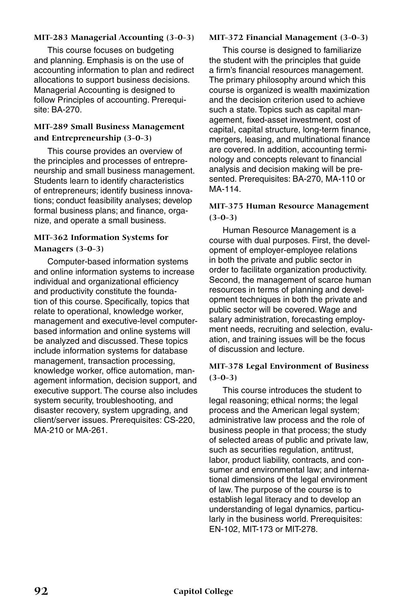#### **MIT-283 Managerial Accounting (3-0-3)**

This course focuses on budgeting and planning. Emphasis is on the use of accounting information to plan and redirect allocations to support business decisions. Managerial Accounting is designed to follow Principles of accounting. Prerequisite: BA-270.

#### **MIT-289 Small Business Management and Entrepreneurship (3-0-3)**

This course provides an overview of the principles and processes of entrepreneurship and small business management. Students learn to identify characteristics of entrepreneurs; identify business innovations; conduct feasibility analyses; develop formal business plans; and finance, organize, and operate a small business.

#### **MIT-362 Information Systems for Managers (3-0-3)**

Computer-based information systems and online information systems to increase individual and organizational efficiency and productivity constitute the foundation of this course. Specifically, topics that relate to operational, knowledge worker, management and executive-level computerbased information and online systems will be analyzed and discussed. These topics include information systems for database management, transaction processing, knowledge worker, office automation, management information, decision support, and executive support. The course also includes system security, troubleshooting, and disaster recovery, system upgrading, and client/server issues. Prerequisites: CS-220, MA-210 or MA-261.

#### **MIT-372 Financial Management (3-0-3)**

This course is designed to familiarize the student with the principles that guide a firm's financial resources management. The primary philosophy around which this course is organized is wealth maximization and the decision criterion used to achieve such a state. Topics such as capital management, fixed-asset investment, cost of capital, capital structure, long-term finance, mergers, leasing, and multinational finance are covered. In addition, accounting terminology and concepts relevant to financial analysis and decision making will be presented. Prerequisites: BA-270, MA-110 or MA-114.

#### **MIT-375 Human Resource Management (3-0-3)**

Human Resource Management is a course with dual purposes. First, the development of employer-employee relations in both the private and public sector in order to facilitate organization productivity. Second, the management of scarce human resources in terms of planning and development techniques in both the private and public sector will be covered. Wage and salary administration, forecasting employment needs, recruiting and selection, evaluation, and training issues will be the focus of discussion and lecture.

#### **MIT-378 Legal Environment of Business (3-0-3)**

This course introduces the student to legal reasoning; ethical norms; the legal process and the American legal system; administrative law process and the role of business people in that process; the study of selected areas of public and private law, such as securities regulation, antitrust, labor, product liability, contracts, and consumer and environmental law; and international dimensions of the legal environment of law. The purpose of the course is to establish legal literacy and to develop an understanding of legal dynamics, particularly in the business world. Prerequisites: EN-102, MIT-173 or MIT-278.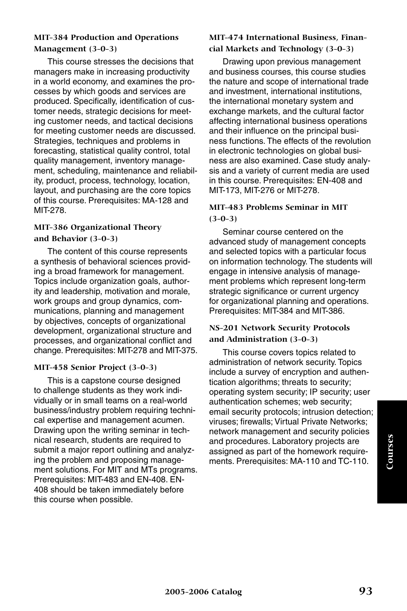#### **MIT-384 Production and Operations Management (3-0-3)**

This course stresses the decisions that managers make in increasing productivity in a world economy, and examines the processes by which goods and services are produced. Specifically, identification of customer needs, strategic decisions for meeting customer needs, and tactical decisions for meeting customer needs are discussed. Strategies, techniques and problems in forecasting, statistical quality control, total quality management, inventory management, scheduling, maintenance and reliability, product, process, technology, location, layout, and purchasing are the core topics of this course. Prerequisites: MA-128 and MIT-278.

#### **MIT-386 Organizational Theory and Behavior (3-0-3)**

The content of this course represents a synthesis of behavioral sciences providing a broad framework for management. Topics include organization goals, authority and leadership, motivation and morale, work groups and group dynamics, communications, planning and management by objectives, concepts of organizational development, organizational structure and processes, and organizational conflict and change. Prerequisites: MIT-278 and MIT-375.

#### **MIT-458 Senior Project (3-0-3)**

This is a capstone course designed to challenge students as they work individually or in small teams on a real-world business/industry problem requiring technical expertise and management acumen. Drawing upon the writing seminar in technical research, students are required to submit a major report outlining and analyzing the problem and proposing management solutions. For MIT and MTs programs. Prerequisites: MIT-483 and EN-408. EN-408 should be taken immediately before this course when possible.

## **MIT-474 International Business, Financial Markets and Technology (3-0-3)**

Drawing upon previous management and business courses, this course studies the nature and scope of international trade and investment, international institutions, the international monetary system and exchange markets, and the cultural factor affecting international business operations and their influence on the principal business functions. The effects of the revolution in electronic technologies on global business are also examined. Case study analysis and a variety of current media are used in this course. Prerequisites: EN-408 and MIT-173, MIT-276 or MIT-278.

#### **MIT-483 Problems Seminar in MIT (3-0-3)**

Seminar course centered on the advanced study of management concepts and selected topics with a particular focus on information technology. The students will engage in intensive analysis of management problems which represent long-term strategic significance or current urgency for organizational planning and operations. Prerequisites: MIT-384 and MIT-386.

## **NS-201 Network Security Protocols and Administration (3-0-3)**

This course covers topics related to administration of network security. Topics include a survey of encryption and authentication algorithms; threats to security; operating system security; IP security; user authentication schemes; web security; email security protocols; intrusion detection; viruses; firewalls; Virtual Private Networks; network management and security policies and procedures. Laboratory projects are assigned as part of the homework requirements. Prerequisites: MA-110 and TC-110.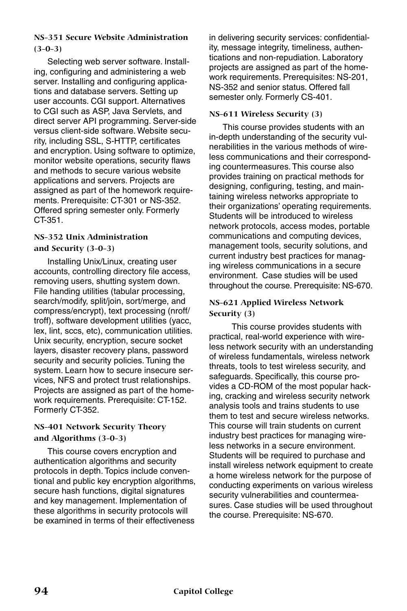## **NS-351 Secure Website Administration (3-0-3)**

Selecting web server software. Installing, configuring and administering a web server. Installing and configuring applications and database servers. Setting up user accounts. CGI support. Alternatives to CGI such as ASP, Java Servlets, and direct server API programming. Server-side versus client-side software. Website security, including SSL, S-HTTP, certificates and encryption. Using software to optimize, monitor website operations, security flaws and methods to secure various website applications and servers. Projects are assigned as part of the homework requirements. Prerequisite: CT-301 or NS-352. Offered spring semester only. Formerly CT-351.

## **NS-352 Unix Administration and Security (3-0-3)**

Installing Unix/Linux, creating user accounts, controlling directory file access, removing users, shutting system down. File handing utilities (tabular processing, search/modify, split/join, sort/merge, and compress/encrypt), text processing (nroff/ troff), software development utilities (yacc, lex, lint, sccs, etc), communication utilities. Unix security, encryption, secure socket layers, disaster recovery plans, password security and security policies. Tuning the system. Learn how to secure insecure services, NFS and protect trust relationships. Projects are assigned as part of the homework requirements. Prerequisite: CT-152. Formerly CT-352.

## **NS-401 Network Security Theory and Algorithms (3-0-3)**

This course covers encryption and authentication algorithms and security protocols in depth. Topics include conventional and public key encryption algorithms, secure hash functions, digital signatures and key management. Implementation of these algorithms in security protocols will be examined in terms of their effectiveness

in delivering security services: confidentiality, message integrity, timeliness, authentications and non-repudiation. Laboratory projects are assigned as part of the homework requirements. Prerequisites: NS-201, NS-352 and senior status. Offered fall semester only. Formerly CS-401.

#### **NS-611 Wireless Security (3)**

This course provides students with an in-depth understanding of the security vulnerabilities in the various methods of wireless communications and their corresponding countermeasures. This course also provides training on practical methods for designing, configuring, testing, and maintaining wireless networks appropriate to their organizations' operating requirements. Students will be introduced to wireless network protocols, access modes, portable communications and computing devices, management tools, security solutions, and current industry best practices for managing wireless communications in a secure environment. Case studies will be used throughout the course. Prerequisite: NS-670.

## **NS-621 Applied Wireless Network Security (3)**

 This course provides students with practical, real-world experience with wireless network security with an understanding of wireless fundamentals, wireless network threats, tools to test wireless security, and safeguards. Specifically, this course provides a CD-ROM of the most popular hacking, cracking and wireless security network analysis tools and trains students to use them to test and secure wireless networks. This course will train students on current industry best practices for managing wireless networks in a secure environment. Students will be required to purchase and install wireless network equipment to create a home wireless network for the purpose of conducting experiments on various wireless security vulnerabilities and countermeasures. Case studies will be used throughout the course. Prerequisite: NS-670.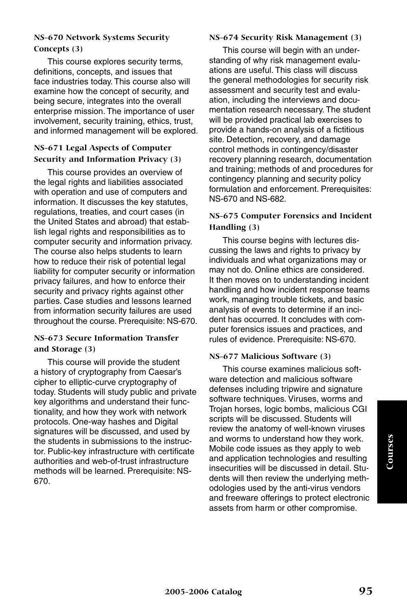## **NS-670 Network Systems Security Concepts (3)**

This course explores security terms, definitions, concepts, and issues that face industries today. This course also will examine how the concept of security, and being secure, integrates into the overall enterprise mission. The importance of user involvement, security training, ethics, trust, and informed management will be explored.

## **NS-671 Legal Aspects of Computer Security and Information Privacy (3)**

This course provides an overview of the legal rights and liabilities associated with operation and use of computers and information. It discusses the key statutes, regulations, treaties, and court cases (in the United States and abroad) that establish legal rights and responsibilities as to computer security and information privacy. The course also helps students to learn how to reduce their risk of potential legal liability for computer security or information privacy failures, and how to enforce their security and privacy rights against other parties. Case studies and lessons learned from information security failures are used throughout the course. Prerequisite: NS-670.

## **NS-673 Secure Information Transfer and Storage (3)**

This course will provide the student a history of cryptography from Caesar's cipher to elliptic-curve cryptography of today. Students will study public and private key algorithms and understand their functionality, and how they work with network protocols. One-way hashes and Digital signatures will be discussed, and used by the students in submissions to the instructor. Public-key infrastructure with certificate authorities and web-of-trust infrastructure methods will be learned. Prerequisite: NS-670.

#### **NS-674 Security Risk Management (3)**

This course will begin with an understanding of why risk management evaluations are useful. This class will discuss the general methodologies for security risk assessment and security test and evaluation, including the interviews and documentation research necessary. The student will be provided practical lab exercises to provide a hands-on analysis of a fictitious site. Detection, recovery, and damage control methods in contingency/disaster recovery planning research, documentation and training; methods of and procedures for contingency planning and security policy formulation and enforcement. Prerequisites: NS-670 and NS-682.

#### **NS-675 Computer Forensics and Incident Handling (3)**

This course begins with lectures discussing the laws and rights to privacy by individuals and what organizations may or may not do. Online ethics are considered. It then moves on to understanding incident handling and how incident response teams work, managing trouble tickets, and basic analysis of events to determine if an incident has occurred. It concludes with computer forensics issues and practices, and rules of evidence. Prerequisite: NS-670.

#### **NS-677 Malicious Software (3)**

This course examines malicious software detection and malicious software defenses including tripwire and signature software techniques. Viruses, worms and Trojan horses, logic bombs, malicious CGI scripts will be discussed. Students will review the anatomy of well-known viruses and worms to understand how they work. Mobile code issues as they apply to web and application technologies and resulting insecurities will be discussed in detail. Students will then review the underlying methodologies used by the anti-virus vendors and freeware offerings to protect electronic assets from harm or other compromise.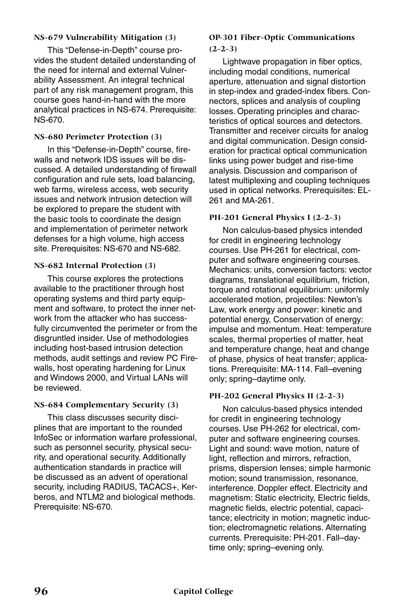#### **NS-679 Vulnerability Mitigation (3)**

This "Defense-in-Depth" course provides the student detailed understanding of the need for internal and external Vulnerability Assessment. An integral technical part of any risk management program, this course goes hand-in-hand with the more analytical practices in NS-674. Prerequisite: NS-670.

#### **NS-680 Perimeter Protection (3)**

In this "Defense-in-Depth" course, firewalls and network IDS issues will be discussed. A detailed understanding of firewall configuration and rule sets, load balancing, web farms, wireless access, web security issues and network intrusion detection will be explored to prepare the student with the basic tools to coordinate the design and implementation of perimeter network defenses for a high volume, high access site. Prerequisites: NS-670 and NS-682.

#### **NS-682 Internal Protection (3)**

This course explores the protections available to the practitioner through host operating systems and third party equipment and software, to protect the inner network from the attacker who has successfully circumvented the perimeter or from the disgruntled insider. Use of methodologies including host-based intrusion detection methods, audit settings and review PC Firewalls, host operating hardening for Linux and Windows 2000, and Virtual LANs will be reviewed.

#### **NS-684 Complementary Security (3)**

This class discusses security disciplines that are important to the rounded InfoSec or information warfare professional, such as personnel security, physical security, and operational security. Additionally authentication standards in practice will be discussed as an advent of operational security, including RADIUS, TACACS+, Kerberos, and NTLM2 and biological methods. Prerequisite: NS-670.

#### **OP-301 Fiber-Optic Communications (2-2-3)**

Lightwave propagation in fiber optics, including modal conditions, numerical aperture, attenuation and signal distortion in step-index and graded-index fibers. Connectors, splices and analysis of coupling losses. Operating principles and characteristics of optical sources and detectors. Transmitter and receiver circuits for analog and digital communication. Design consideration for practical optical communication links using power budget and rise-time analysis. Discussion and comparison of latest multiplexing and coupling techniques used in optical networks. Prerequisites: EL-261 and MA-261.

#### **PH-201 General Physics I (2-2-3)**

Non calculus-based physics intended for credit in engineering technology courses. Use PH-261 for electrical, computer and software engineering courses. Mechanics: units, conversion factors: vector diagrams, translational equilibrium, friction, torque and rotational equilibrium: uniformly accelerated motion, projectiles: Newton's Law, work energy and power: kinetic and potential energy, Conservation of energy: impulse and momentum. Heat: temperature scales, thermal properties of matter, heat and temperature change, heat and change of phase, physics of heat transfer; applications. Prerequisite: MA-114. Fall–evening only; spring–daytime only.

#### **PH-202 General Physics II (2-2-3)**

Non calculus-based physics intended for credit in engineering technology courses. Use PH-262 for electrical, computer and software engineering courses. Light and sound: wave motion, nature of light, reflection and mirrors, refraction, prisms, dispersion lenses; simple harmonic motion; sound transmission, resonance, interference. Doppler effect. Electricity and magnetism: Static electricity, Electric fields, magnetic fields, electric potential, capacitance; electricity in motion; magnetic induction; electromagnetic relations. Alternating currents. Prerequisite: PH-201. Fall–daytime only; spring–evening only.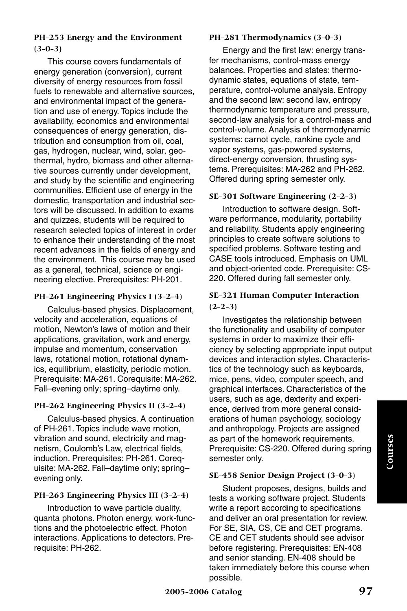## **PH-253 Energy and the Environment (3-0-3)**

This course covers fundamentals of energy generation (conversion), current diversity of energy resources from fossil fuels to renewable and alternative sources, and environmental impact of the generation and use of energy. Topics include the availability, economics and environmental consequences of energy generation, distribution and consumption from oil, coal, gas, hydrogen, nuclear, wind, solar, geothermal, hydro, biomass and other alternative sources currently under development, and study by the scientific and engineering communities. Efficient use of energy in the domestic, transportation and industrial sectors will be discussed. In addition to exams and quizzes, students will be required to research selected topics of interest in order to enhance their understanding of the most recent advances in the fields of energy and the environment. This course may be used as a general, technical, science or engineering elective. Prerequisites: PH-201.

#### **PH-261 Engineering Physics I (3-2-4)**

Calculus-based physics. Displacement, velocity and acceleration, equations of motion, Newton's laws of motion and their applications, gravitation, work and energy, impulse and momentum, conservation laws, rotational motion, rotational dynamics, equilibrium, elasticity, periodic motion. Prerequisite: MA-261. Corequisite: MA-262. Fall–evening only; spring–daytime only.

## **PH-262 Engineering Physics II (3-2-4)**

Calculus-based physics. A continuation of PH-261. Topics include wave motion, vibration and sound, electricity and magnetism, Coulomb's Law, electrical fields, induction. Prerequisites: PH-261. Corequisite: MA-262. Fall–daytime only; spring– evening only.

#### **PH-263 Engineering Physics III (3-2-4)**

Introduction to wave particle duality, quanta photons. Photon energy, work-functions and the photoelectric effect. Photon interactions. Applications to detectors. Prerequisite: PH-262.

#### **PH-281 Thermodynamics (3-0-3)**

Energy and the first law: energy transfer mechanisms, control-mass energy balances. Properties and states: thermodynamic states, equations of state, temperature, control-volume analysis. Entropy and the second law: second law, entropy thermodynamic temperature and pressure, second-law analysis for a control-mass and control-volume. Analysis of thermodynamic systems: carnot cycle, rankine cycle and vapor systems, gas-powered systems, direct-energy conversion, thrusting systems. Prerequisites: MA-262 and PH-262. Offered during spring semester only.

#### **SE-301 Software Engineering (2-2-3)**

Introduction to software design. Software performance, modularity, portability and reliability. Students apply engineering principles to create software solutions to specified problems. Software testing and CASE tools introduced. Emphasis on UML and object-oriented code. Prerequisite: CS-220. Offered during fall semester only.

#### **SE-321 Human Computer Interaction (2-2-3)**

Investigates the relationship between the functionality and usability of computer systems in order to maximize their efficiency by selecting appropriate input output devices and interaction styles. Characteristics of the technology such as keyboards, mice, pens, video, computer speech, and graphical interfaces. Characteristics of the users, such as age, dexterity and experience, derived from more general considerations of human psychology, sociology and anthropology. Projects are assigned as part of the homework requirements. Prerequisite: CS-220. Offered during spring semester only.

#### **SE-458 Senior Design Project (3-0-3)**

Student proposes, designs, builds and tests a working software project. Students write a report according to specifications and deliver an oral presentation for review. For SE, SIA, CS, CE and CET programs. CE and CET students should see advisor before registering. Prerequisites: EN-408 and senior standing. EN-408 should be taken immediately before this course when possible.

**Courses**

Courses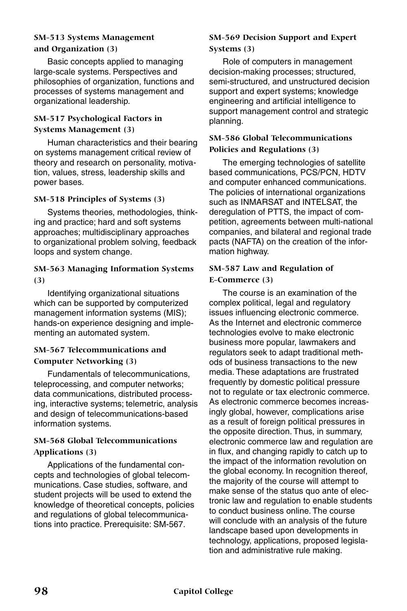## **SM-513 Systems Management and Organization (3)**

Basic concepts applied to managing large-scale systems. Perspectives and philosophies of organization, functions and processes of systems management and organizational leadership.

## **SM-517 Psychological Factors in Systems Management (3)**

Human characteristics and their bearing on systems management critical review of theory and research on personality, motivation, values, stress, leadership skills and power bases.

## **SM-518 Principles of Systems (3)**

Systems theories, methodologies, thinking and practice; hard and soft systems approaches; multidisciplinary approaches to organizational problem solving, feedback loops and system change.

#### **SM-563 Managing Information Systems (3)**

Identifying organizational situations which can be supported by computerized management information systems (MIS); hands-on experience designing and implementing an automated system.

#### **SM-567 Telecommunications and Computer Networking (3)**

Fundamentals of telecommunications, teleprocessing, and computer networks; data communications, distributed processing, interactive systems; telemetric, analysis and design of telecommunications-based information systems.

## **SM-568 Global Telecommunications Applications (3)**

Applications of the fundamental concepts and technologies of global telecommunications. Case studies, software, and student projects will be used to extend the knowledge of theoretical concepts, policies and regulations of global telecommunications into practice. Prerequisite: SM-567.

## **SM-569 Decision Support and Expert Systems (3)**

Role of computers in management decision-making processes; structured, semi-structured, and unstructured decision support and expert systems; knowledge engineering and artificial intelligence to support management control and strategic planning.

## **SM-586 Global Telecommunications Policies and Regulations (3)**

The emerging technologies of satellite based communications, PCS/PCN, HDTV and computer enhanced communications. The policies of international organizations such as INMARSAT and INTELSAT, the deregulation of PTTS, the impact of competition, agreements between multi-national companies, and bilateral and regional trade pacts (NAFTA) on the creation of the information highway.

## **SM-587 Law and Regulation of E-Commerce (3)**

The course is an examination of the complex political, legal and regulatory issues influencing electronic commerce. As the Internet and electronic commerce technologies evolve to make electronic business more popular, lawmakers and regulators seek to adapt traditional methods of business transactions to the new media. These adaptations are frustrated frequently by domestic political pressure not to regulate or tax electronic commerce. As electronic commerce becomes increasingly global, however, complications arise as a result of foreign political pressures in the opposite direction. Thus, in summary, electronic commerce law and regulation are in flux, and changing rapidly to catch up to the impact of the information revolution on the global economy. In recognition thereof, the majority of the course will attempt to make sense of the status quo ante of electronic law and regulation to enable students to conduct business online. The course will conclude with an analysis of the future landscape based upon developments in technology, applications, proposed legislation and administrative rule making.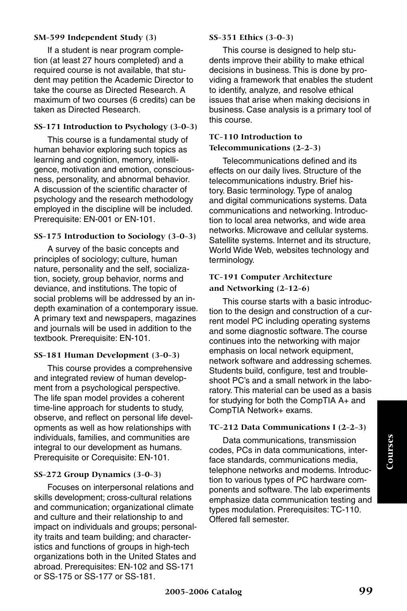#### **SM-599 Independent Study (3)**

If a student is near program completion (at least 27 hours completed) and a required course is not available, that student may petition the Academic Director to take the course as Directed Research. A maximum of two courses (6 credits) can be taken as Directed Research.

#### **SS-171 Introduction to Psychology (3-0-3)**

This course is a fundamental study of human behavior exploring such topics as learning and cognition, memory, intelligence, motivation and emotion, consciousness, personality, and abnormal behavior. A discussion of the scientific character of psychology and the research methodology employed in the discipline will be included. Prerequisite: EN-001 or EN-101.

#### **SS-175 Introduction to Sociology (3-0-3)**

A survey of the basic concepts and principles of sociology; culture, human nature, personality and the self, socialization, society, group behavior, norms and deviance, and institutions. The topic of social problems will be addressed by an indepth examination of a contemporary issue. A primary text and newspapers, magazines and journals will be used in addition to the textbook. Prerequisite: EN-101.

#### **SS-181 Human Development (3-0-3)**

This course provides a comprehensive and integrated review of human development from a psychological perspective. The life span model provides a coherent time-line approach for students to study, observe, and reflect on personal life developments as well as how relationships with individuals, families, and communities are integral to our development as humans. Prerequisite or Corequisite: EN-101.

#### **SS-272 Group Dynamics (3-0-3)**

Focuses on interpersonal relations and skills development; cross-cultural relations and communication; organizational climate and culture and their relationship to and impact on individuals and groups; personality traits and team building; and characteristics and functions of groups in high-tech organizations both in the United States and abroad. Prerequisites: EN-102 and SS-171 or SS-175 or SS-177 or SS-181.

#### **SS-351 Ethics (3-0-3)**

This course is designed to help students improve their ability to make ethical decisions in business. This is done by providing a framework that enables the student to identify, analyze, and resolve ethical issues that arise when making decisions in business. Case analysis is a primary tool of this course.

#### **TC-110 Introduction to**

#### **Telecommunications (2-2-3)**

Telecommunications defined and its effects on our daily lives. Structure of the telecommunications industry. Brief history. Basic terminology. Type of analog and digital communications systems. Data communications and networking. Introduction to local area networks, and wide area networks. Microwave and cellular systems. Satellite systems. Internet and its structure, World Wide Web, websites technology and terminology.

## **TC-191 Computer Architecture and Networking (2-12-6)**

This course starts with a basic introduction to the design and construction of a current model PC including operating systems and some diagnostic software. The course continues into the networking with major emphasis on local network equipment, network software and addressing schemes. Students build, configure, test and troubleshoot PC's and a small network in the laboratory. This material can be used as a basis for studying for both the CompTIA A+ and CompTIA Network+ exams.

#### **TC-212 Data Communications I (2-2-3)**

Data communications, transmission codes, PCs in data communications, interface standards, communications media, telephone networks and modems. Introduction to various types of PC hardware components and software. The lab experiments emphasize data communication testing and types modulation. Prerequisites: TC-110. Offered fall semester.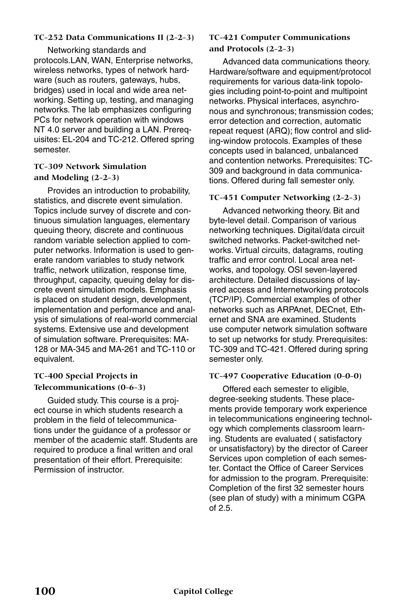#### **TC-252 Data Communications II (2-2-3)**

Networking standards and protocols.LAN, WAN, Enterprise networks, wireless networks, types of network hardware (such as routers, gateways, hubs, bridges) used in local and wide area networking. Setting up, testing, and managing networks. The lab emphasizes configuring PCs for network operation with windows NT 4.0 server and building a LAN. Prerequisites: EL-204 and TC-212. Offered spring semester.

## **TC-309 Network Simulation and Modeling (2-2-3)**

Provides an introduction to probability, statistics, and discrete event simulation. Topics include survey of discrete and continuous simulation languages, elementary queuing theory, discrete and continuous random variable selection applied to computer networks. Information is used to generate random variables to study network traffic, network utilization, response time, throughput, capacity, queuing delay for discrete event simulation models. Emphasis is placed on student design, development, implementation and performance and analysis of simulations of real-world commercial systems. Extensive use and development of simulation software. Prerequisites: MA-128 or MA-345 and MA-261 and TC-110 or equivalent.

## **TC-400 Special Projects in Telecommunications (0-6-3)**

Guided study. This course is a project course in which students research a problem in the field of telecommunications under the guidance of a professor or member of the academic staff. Students are required to produce a final written and oral presentation of their effort. Prerequisite: Permission of instructor.

#### **TC-421 Computer Communications and Protocols (2-2-3)**

Advanced data communications theory. Hardware/software and equipment/protocol requirements for various data-link topologies including point-to-point and multipoint networks. Physical interfaces, asynchronous and synchronous; transmission codes; error detection and correction, automatic repeat request (ARQ); flow control and sliding-window protocols. Examples of these concepts used in balanced, unbalanced and contention networks. Prerequisites: TC-309 and background in data communications. Offered during fall semester only.

#### **TC-451 Computer Networking (2-2-3)**

Advanced networking theory. Bit and byte-level detail. Comparison of various networking techniques. Digital/data circuit switched networks. Packet-switched networks. Virtual circuits, datagrams, routing traffic and error control. Local area networks, and topology. OSI seven-layered architecture. Detailed discussions of layered access and Internetworking protocols (TCP/IP). Commercial examples of other networks such as ARPAnet, DECnet, Ethernet and SNA are examined. Students use computer network simulation software to set up networks for study. Prerequisites: TC-309 and TC-421. Offered during spring semester only.

#### **TC-497 Cooperative Education (0-0-0)**

Offered each semester to eligible, degree-seeking students. These placements provide temporary work experience in telecommunications engineering technology which complements classroom learning. Students are evaluated ( satisfactory or unsatisfactory) by the director of Career Services upon completion of each semester. Contact the Office of Career Services for admission to the program. Prerequisite: Completion of the first 32 semester hours (see plan of study) with a minimum CGPA of 2.5.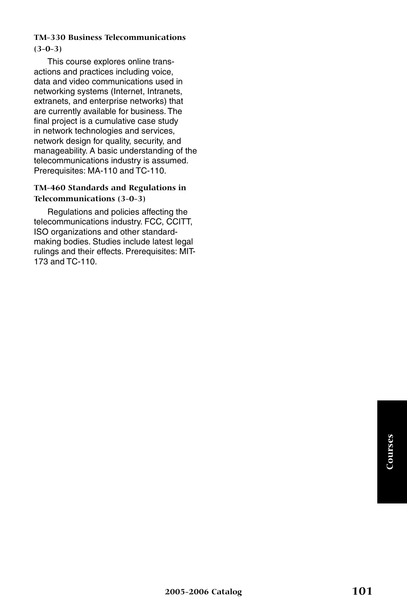## **TM-330 Business Telecommunications (3-0-3)**

This course explores online transactions and practices including voice, data and video communications used in networking systems (Internet, Intranets, extranets, and enterprise networks) that are currently available for business. The final project is a cumulative case study in network technologies and services, network design for quality, security, and manageability. A basic understanding of the telecommunications industry is assumed. Prerequisites: MA-110 and TC-110.

#### **TM-460 Standards and Regulations in Telecommunications (3-0-3)**

Regulations and policies affecting the telecommunications industry. FCC, CCITT, ISO organizations and other standardmaking bodies. Studies include latest legal rulings and their effects. Prerequisites: MIT-173 and TC-110.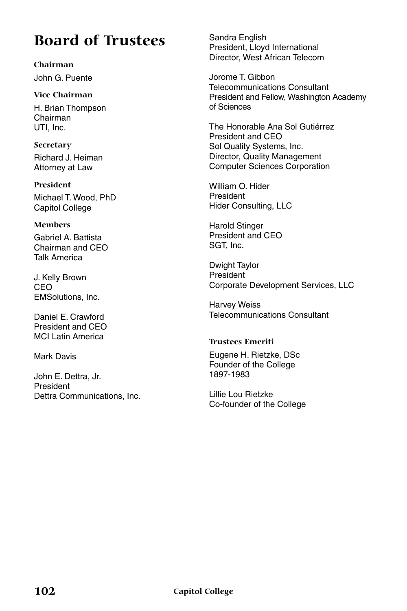# **Board of Trustees**

**Chairman** John G. Puente

**Vice Chairman** H. Brian Thompson Chairman UTI, Inc.

**Secretary** Richard J. Heiman Attorney at Law

**President** Michael T. Wood, PhD Capitol College

## **Members**

Gabriel A. Battista Chairman and CEO Talk America

J. Kelly Brown CEO EMSolutions, Inc.

Daniel E. Crawford President and CEO MCI Latin America

Mark Davis

John E. Dettra, Jr. President Dettra Communications, Inc. Sandra English President, Lloyd International Director, West African Telecom

Jorome T. Gibbon Telecommunications Consultant President and Fellow, Washington Academy of Sciences

The Honorable Ana Sol Gutiérrez President and CEO Sol Quality Systems, Inc. Director, Quality Management Computer Sciences Corporation

William O. Hider President Hider Consulting, LLC

Harold Stinger President and CEO SGT, Inc.

Dwight Taylor President Corporate Development Services, LLC

Harvey Weiss Telecommunications Consultant

## **Trustees Emeriti**

Eugene H. Rietzke, DSc Founder of the College 1897-1983

Lillie Lou Rietzke Co-founder of the College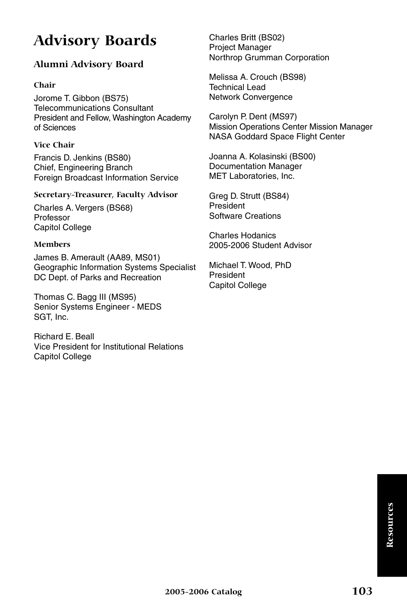# **Advisory Boards**

# **Alumni Advisory Board**

#### **Chair**

Jorome T. Gibbon (BS75) Telecommunications Consultant President and Fellow, Washington Academy of Sciences

#### **Vice Chair**

Francis D. Jenkins (BS80) Chief, Engineering Branch Foreign Broadcast Information Service

#### **Secretary-Treasurer, Faculty Advisor**

Charles A. Vergers (BS68) Professor Capitol College

#### **Members**

James B. Amerault (AA89, MS01) Geographic Information Systems Specialist DC Dept. of Parks and Recreation

Thomas C. Bagg III (MS95) Senior Systems Engineer - MEDS SGT, Inc.

Richard E. Beall Vice President for Institutional Relations Capitol College

Charles Britt (BS02) Project Manager Northrop Grumman Corporation

Melissa A. Crouch (BS98) Technical Lead Network Convergence

Carolyn P. Dent (MS97) Mission Operations Center Mission Manager NASA Goddard Space Flight Center

Joanna A. Kolasinski (BS00) Documentation Manager MET Laboratories, Inc.

Greg D. Strutt (BS84) President Software Creations

Charles Hodanics 2005-2006 Student Advisor

Michael T. Wood, PhD President Capitol College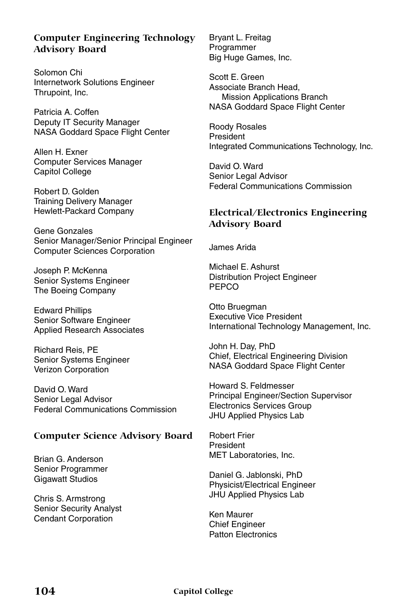## **Computer Engineering Technology Advisory Board**

Solomon Chi Internetwork Solutions Engineer Thrupoint, Inc.

Patricia A. Coffen Deputy IT Security Manager NASA Goddard Space Flight Center

Allen H. Exner Computer Services Manager Capitol College

Robert D. Golden Training Delivery Manager Hewlett-Packard Company

Gene Gonzales Senior Manager/Senior Principal Engineer Computer Sciences Corporation

Joseph P. McKenna Senior Systems Engineer The Boeing Company

Edward Phillips Senior Software Engineer Applied Research Associates

Richard Reis, PE Senior Systems Engineer Verizon Corporation

David O. Ward Senior Legal Advisor Federal Communications Commission

#### **Computer Science Advisory Board**

Brian G. Anderson Senior Programmer Gigawatt Studios

Chris S. Armstrong Senior Security Analyst Cendant Corporation

Bryant L. Freitag Programmer Big Huge Games, Inc.

Scott E. Green Associate Branch Head, Mission Applications Branch NASA Goddard Space Flight Center

Roody Rosales President Integrated Communications Technology, Inc.

David O. Ward Senior Legal Advisor Federal Communications Commission

## **Electrical/Electronics Engineering Advisory Board**

James Arida

Michael E. Ashurst Distribution Project Engineer PEPCO

Otto Bruegman Executive Vice President International Technology Management, Inc.

John H. Day, PhD Chief, Electrical Engineering Division NASA Goddard Space Flight Center

Howard S. Feldmesser Principal Engineer/Section Supervisor Electronics Services Group JHU Applied Physics Lab

Robert Frier President MET Laboratories, Inc.

Daniel G. Jablonski, PhD Physicist/Electrical Engineer JHU Applied Physics Lab

Ken Maurer Chief Engineer Patton Electronics

**104 Capitol College**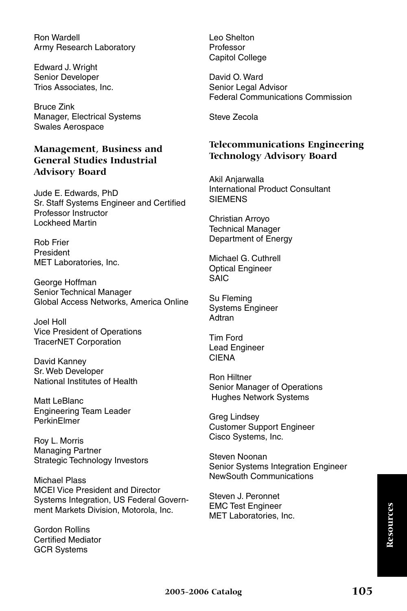Ron Wardell Army Research Laboratory

Edward J. Wright Senior Developer Trios Associates, Inc.

Bruce Zink Manager, Electrical Systems Swales Aerospace

## **Management, Business and General Studies Industrial Advisory Board**

Jude E. Edwards, PhD Sr. Staff Systems Engineer and Certified Professor Instructor Lockheed Martin

Rob Frier President MET Laboratories, Inc.

George Hoffman Senior Technical Manager Global Access Networks, America Online

Joel Holl Vice President of Operations TracerNET Corporation

David Kanney Sr. Web Developer National Institutes of Health

Matt LeBlanc Engineering Team Leader PerkinElmer

Roy L. Morris Managing Partner Strategic Technology Investors

Michael Plass MCEI Vice President and Director Systems Integration, US Federal Government Markets Division, Motorola, Inc.

Gordon Rollins Certified Mediator GCR Systems

Leo Shelton Professor Capitol College

David O. Ward Senior Legal Advisor Federal Communications Commission

Steve Zecola

## **Telecommunications Engineering Technology Advisory Board**

Akil Anjarwalla International Product Consultant **SIEMENS** 

Christian Arroyo Technical Manager Department of Energy

Michael G. Cuthrell Optical Engineer SAIC

Su Fleming Systems Engineer Adtran

Tim Ford Lead Engineer **CIENA** 

Ron Hiltner Senior Manager of Operations Hughes Network Systems

Greg Lindsey Customer Support Engineer Cisco Systems, Inc.

Steven Noonan Senior Systems Integration Engineer NewSouth Communications

Steven J. Peronnet EMC Test Engineer MET Laboratories, Inc.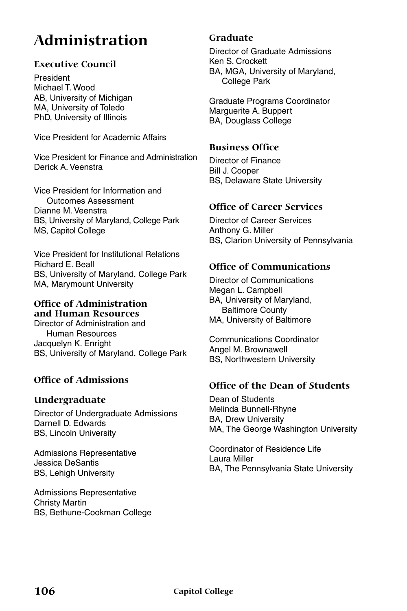# **Administration**

#### **Executive Council**

President Michael T. Wood AB, University of Michigan MA, University of Toledo PhD, University of Illinois

Vice President for Academic Affairs

Vice President for Finance and Administration Derick A. Veenstra

Vice President for Information and Outcomes Assessment Dianne M. Veenstra BS, University of Maryland, College Park MS, Capitol College

Vice President for Institutional Relations Richard E. Beall BS, University of Maryland, College Park MA, Marymount University

#### **Office of Administration and Human Resources**

Director of Administration and Human Resources Jacquelyn K. Enright BS, University of Maryland, College Park

#### **Office of Admissions**

#### **Undergraduate**

Director of Undergraduate Admissions Darnell D. Edwards BS, Lincoln University

Admissions Representative Jessica DeSantis BS, Lehigh University

Admissions Representative Christy Martin BS, Bethune-Cookman College

#### **Graduate**

Director of Graduate Admissions Ken S. Crockett BA, MGA, University of Maryland, College Park

Graduate Programs Coordinator Marguerite A. Buppert BA, Douglass College

#### **Business Office**

Director of Finance Bill J. Cooper BS, Delaware State University

#### **Office of Career Services**

Director of Career Services Anthony G. Miller BS, Clarion University of Pennsylvania

#### **Office of Communications**

Director of Communications Megan L. Campbell BA, University of Maryland, Baltimore County MA, University of Baltimore

Communications Coordinator Angel M. Brownawell BS, Northwestern University

#### **Office of the Dean of Students**

Dean of Students Melinda Bunnell-Rhyne BA, Drew University MA, The George Washington University

Coordinator of Residence Life Laura Miller BA, The Pennsylvania State University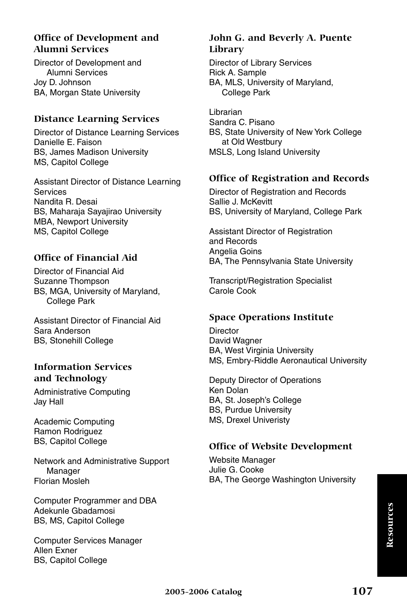#### **Office of Development and Alumni Services**

Director of Development and Alumni Services Joy D. Johnson BA, Morgan State University

#### **Distance Learning Services**

Director of Distance Learning Services Danielle E. Faison BS, James Madison University MS, Capitol College

Assistant Director of Distance Learning **Services** Nandita R. Desai BS, Maharaja Sayajirao University MBA, Newport University MS, Capitol College

#### **Office of Financial Aid**

Director of Financial Aid Suzanne Thompson BS, MGA, University of Maryland, College Park

Assistant Director of Financial Aid Sara Anderson BS, Stonehill College

#### **Information Services and Technology**

Administrative Computing Jay Hall

Academic Computing Ramon Rodriguez BS, Capitol College

Network and Administrative Support Manager Florian Mosleh

Computer Programmer and DBA Adekunle Gbadamosi BS, MS, Capitol College

Computer Services Manager Allen Exner BS, Capitol College

#### **John G. and Beverly A. Puente Library**

Director of Library Services Rick A. Sample BA, MLS, University of Maryland, College Park

Librarian Sandra C. Pisano BS, State University of New York College at Old Westbury MSLS, Long Island University

#### **Office of Registration and Records**

Director of Registration and Records Sallie J. McKevitt BS, University of Maryland, College Park

Assistant Director of Registration and Records Angelia Goins BA, The Pennsylvania State University

Transcript/Registration Specialist Carole Cook

#### **Space Operations Institute**

**Director** David Wagner BA, West Virginia University MS, Embry-Riddle Aeronautical University

Deputy Director of Operations Ken Dolan BA, St. Joseph's College BS, Purdue University MS, Drexel Univeristy

#### **Office of Website Development**

Website Manager Julie G. Cooke BA, The George Washington University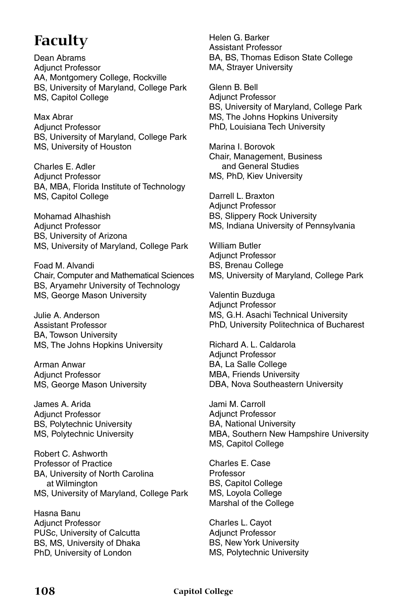# **Faculty**

Dean Abrams Adjunct Professor AA, Montgomery College, Rockville BS, University of Maryland, College Park MS, Capitol College

Max Abrar Adjunct Professor BS, University of Maryland, College Park MS, University of Houston

Charles E. Adler Adjunct Professor BA, MBA, Florida Institute of Technology MS, Capitol College

Mohamad Alhashish Adjunct Professor BS, University of Arizona MS, University of Maryland, College Park

Foad M. Alvandi Chair, Computer and Mathematical Sciences BS, Aryamehr University of Technology MS, George Mason University

Julie A. Anderson Assistant Professor BA, Towson University MS, The Johns Hopkins University

Arman Anwar Adjunct Professor MS, George Mason University

James A. Arida Adjunct Professor BS, Polytechnic University MS, Polytechnic University

Robert C. Ashworth Professor of Practice BA, University of North Carolina at Wilmington MS, University of Maryland, College Park

Hasna Banu Adjunct Professor PUSc, University of Calcutta BS, MS, University of Dhaka PhD, University of London

Helen G. Barker Assistant Professor BA, BS, Thomas Edison State College MA, Strayer University

Glenn B. Bell Adjunct Professor BS, University of Maryland, College Park MS, The Johns Hopkins University PhD, Louisiana Tech University

Marina I. Borovok Chair, Management, Business and General Studies MS, PhD, Kiev University

Darrell L. Braxton Adjunct Professor BS, Slippery Rock University MS, Indiana University of Pennsylvania

William Butler Adjunct Professor BS, Brenau College MS, University of Maryland, College Park

Valentin Buzduga Adjunct Professor MS, G.H. Asachi Technical University PhD, University Politechnica of Bucharest

Richard A. L. Caldarola Adjunct Professor BA, La Salle College MBA, Friends University DBA, Nova Southeastern University

Jami M. Carroll Adjunct Professor BA, National University MBA, Southern New Hampshire University MS, Capitol College

Charles E. Case Professor BS, Capitol College MS, Loyola College Marshal of the College

Charles L. Cayot Adjunct Professor BS, New York University MS, Polytechnic University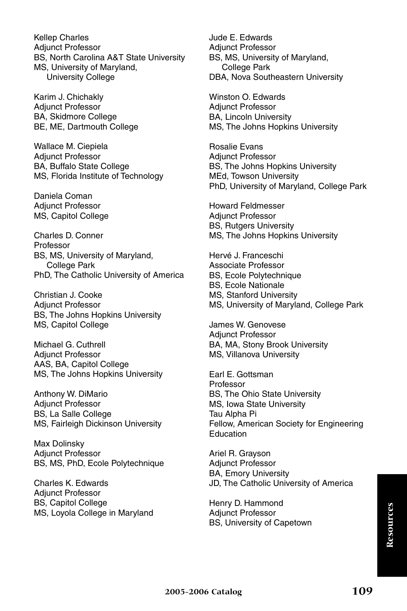Kellep Charles Adjunct Professor BS, North Carolina A&T State University MS, University of Maryland, University College

Karim J. Chichakly Adjunct Professor BA, Skidmore College BE, ME, Dartmouth College

Wallace M. Ciepiela Adjunct Professor BA, Buffalo State College MS, Florida Institute of Technology

Daniela Coman Adjunct Professor MS, Capitol College

Charles D. Conner Professor BS, MS, University of Maryland, College Park PhD, The Catholic University of America

Christian J. Cooke Adjunct Professor BS, The Johns Hopkins University MS, Capitol College

Michael G. Cuthrell Adjunct Professor AAS, BA, Capitol College MS, The Johns Hopkins University

Anthony W. DiMario Adjunct Professor BS, La Salle College MS, Fairleigh Dickinson University

Max Dolinsky Adjunct Professor BS, MS, PhD, Ecole Polytechnique

Charles K. Edwards Adjunct Professor BS, Capitol College MS, Loyola College in Maryland Jude E. Edwards Adjunct Professor BS, MS, University of Maryland, College Park DBA, Nova Southeastern University

Winston O. Edwards Adjunct Professor BA, Lincoln University MS, The Johns Hopkins University

Rosalie Evans Adjunct Professor BS, The Johns Hopkins University MEd, Towson University PhD, University of Maryland, College Park

Howard Feldmesser Adjunct Professor BS, Rutgers University MS, The Johns Hopkins University

Hervé J. Franceschi Associate Professor BS, Ecole Polytechnique BS, Ecole Nationale MS, Stanford University MS, University of Maryland, College Park

James W. Genovese Adjunct Professor BA, MA, Stony Brook University MS, Villanova University

Earl E. Gottsman Professor BS, The Ohio State University MS, Iowa State University Tau Alpha Pi Fellow, American Society for Engineering Education

Ariel R. Grayson Adjunct Professor BA, Emory University JD, The Catholic University of America

Henry D. Hammond Adjunct Professor BS, University of Capetown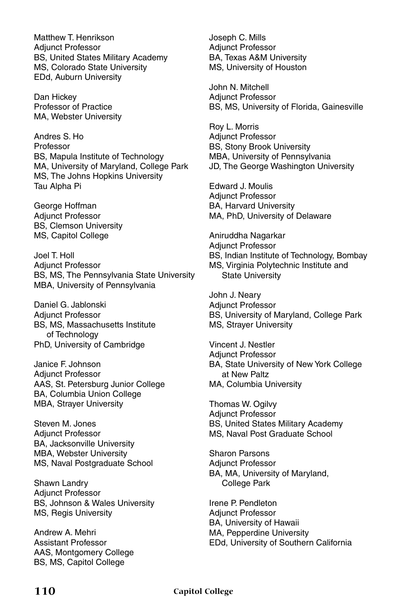Matthew T. Henrikson Adjunct Professor BS, United States Military Academy MS, Colorado State University EDd, Auburn University

Dan Hickey Professor of Practice MA, Webster University

Andres S. Ho Professor BS, Mapula Institute of Technology MA, University of Maryland, College Park MS, The Johns Hopkins University Tau Alpha Pi

George Hoffman Adjunct Professor BS, Clemson University MS, Capitol College

Joel T. Holl Adjunct Professor BS, MS, The Pennsylvania State University MBA, University of Pennsylvania

Daniel G. Jablonski Adjunct Professor BS, MS, Massachusetts Institute of Technology PhD, University of Cambridge

Janice F. Johnson Adjunct Professor AAS, St. Petersburg Junior College BA, Columbia Union College MBA, Strayer University

Steven M. Jones Adjunct Professor BA, Jacksonville University MBA, Webster University MS, Naval Postgraduate School

Shawn Landry Adjunct Professor BS, Johnson & Wales University MS, Regis University

Andrew A. Mehri Assistant Professor AAS, Montgomery College BS, MS, Capitol College

Joseph C. Mills Adjunct Professor BA, Texas A&M University MS, University of Houston

John N. Mitchell Adjunct Professor BS, MS, University of Florida, Gainesville

Roy L. Morris Adjunct Professor BS, Stony Brook University MBA, University of Pennsylvania JD, The George Washington University

Edward J. Moulis Adjunct Professor BA, Harvard University MA, PhD, University of Delaware

Aniruddha Nagarkar Adjunct Professor BS, Indian Institute of Technology, Bombay MS, Virginia Polytechnic Institute and State University

John J. Neary Adjunct Professor BS, University of Maryland, College Park MS, Strayer University

Vincent J. Nestler Adjunct Professor BA, State University of New York College at New Paltz MA, Columbia University

Thomas W. Ogilvy Adjunct Professor BS, United States Military Academy MS, Naval Post Graduate School

Sharon Parsons Adjunct Professor BA, MA, University of Maryland, College Park

Irene P. Pendleton Adjunct Professor BA, University of Hawaii MA, Pepperdine University EDd, University of Southern California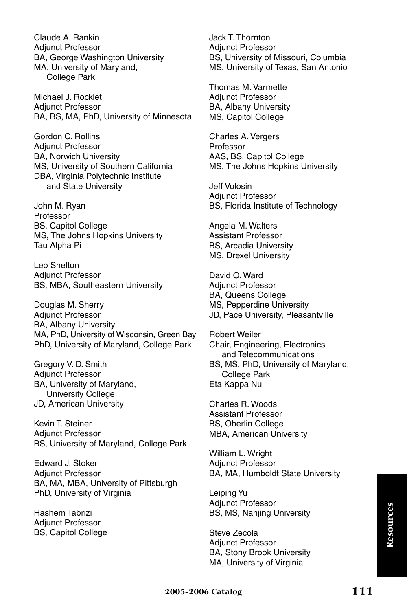Claude A. Rankin Adjunct Professor BA, George Washington University MA, University of Maryland, College Park

Michael J. Rocklet Adjunct Professor BA, BS, MA, PhD, University of Minnesota

Gordon C. Rollins Adjunct Professor BA, Norwich University MS, University of Southern California DBA, Virginia Polytechnic Institute and State University

John M. Ryan Professor BS, Capitol College MS, The Johns Hopkins University Tau Alpha Pi

Leo Shelton Adjunct Professor BS, MBA, Southeastern University

Douglas M. Sherry Adjunct Professor BA, Albany University MA, PhD, University of Wisconsin, Green Bay PhD, University of Maryland, College Park

Gregory V. D. Smith Adjunct Professor BA, University of Maryland, University College JD, American University

Kevin T. Steiner Adjunct Professor BS, University of Maryland, College Park

Edward J. Stoker Adjunct Professor BA, MA, MBA, University of Pittsburgh PhD, University of Virginia

Hashem Tabrizi Adjunct Professor BS, Capitol College Jack T. Thornton Adjunct Professor BS, University of Missouri, Columbia MS, University of Texas, San Antonio

Thomas M. Varmette Adjunct Professor BA, Albany University MS, Capitol College

Charles A. Vergers Professor AAS, BS, Capitol College MS, The Johns Hopkins University

Jeff Volosin Adjunct Professor BS, Florida Institute of Technology

Angela M. Walters Assistant Professor BS, Arcadia University MS, Drexel University

David O. Ward Adjunct Professor BA, Queens College MS, Pepperdine University JD, Pace University, Pleasantville

Robert Weiler Chair, Engineering, Electronics and Telecommunications BS, MS, PhD, University of Maryland, College Park Eta Kappa Nu

Charles R. Woods Assistant Professor BS, Oberlin College MBA, American University

William L. Wright Adjunct Professor BA, MA, Humboldt State University

Leiping Yu Adjunct Professor BS, MS, Nanjing University

Steve Zecola Adjunct Professor BA, Stony Brook University MA, University of Virginia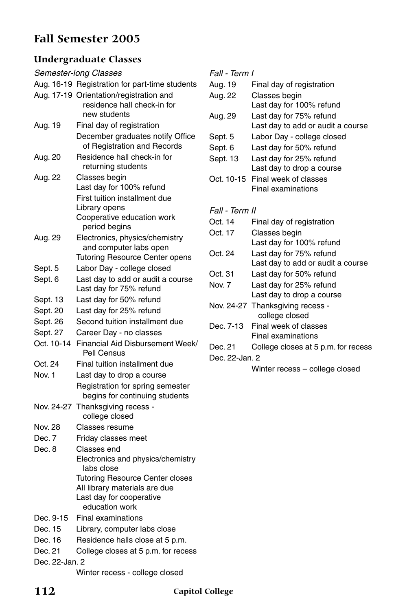## **Fall Semester 2005**

### **Undergraduate Classes**

| Semester-long Classes |                                                                                        |  |
|-----------------------|----------------------------------------------------------------------------------------|--|
|                       | Aug. 16-19 Registration for part-time students                                         |  |
|                       | Aug. 17-19 Orientation/registration and<br>residence hall check-in for<br>new students |  |
| Aug. 19               | Final day of registration                                                              |  |
|                       | December graduates notify Office<br>of Registration and Records                        |  |
| Aug. 20               | Residence hall check-in for<br>returning students                                      |  |
| Aug. 22               | Classes begin<br>Last day for 100% refund                                              |  |
|                       | First tuition installment due                                                          |  |
|                       | Library opens                                                                          |  |
|                       | Cooperative education work                                                             |  |
|                       | period begins                                                                          |  |
| Aug. 29               | Electronics, physics/chemistry<br>and computer labs open                               |  |
|                       | <b>Tutoring Resource Center opens</b>                                                  |  |
| Sept. 5               | Labor Day - college closed                                                             |  |
| Sept. 6               | Last day to add or audit a course                                                      |  |
|                       | Last day for 75% refund                                                                |  |
| Sept. 13              | Last day for 50% refund                                                                |  |
| Sept. 20              | Last day for 25% refund                                                                |  |
| Sept. 26              | Second tuition installment due                                                         |  |
| Sept. 27              | Career Day - no classes                                                                |  |
| Oct. 10-14            | Financial Aid Disbursement Week/<br>Pell Census                                        |  |
| Oct. 24               | Final tuition installment due                                                          |  |
| Nov. 1                | Last day to drop a course                                                              |  |
|                       | Registration for spring semester<br>begins for continuing students                     |  |
|                       | Nov. 24-27 Thanksgiving recess -<br>college closed                                     |  |
| Nov. 28               | Classes resume                                                                         |  |
| Dec. 7                | Friday classes meet                                                                    |  |
| Dec. 8                | Classes end                                                                            |  |
|                       | Electronics and physics/chemistry<br>labs close                                        |  |
|                       | <b>Tutoring Resource Center closes</b>                                                 |  |
|                       | All library materials are due<br>Last day for cooperative                              |  |
|                       | education work                                                                         |  |
| Dec. 9-15             | Final examinations                                                                     |  |
| Dec. 15               | Library, computer labs close                                                           |  |
| Dec. 16               | Residence halls close at 5 p.m.                                                        |  |
| Dec. 21               | College closes at 5 p.m. for recess                                                    |  |
| Dec. 22-Jan. 2        |                                                                                        |  |
|                       | Winter recess - college closed                                                         |  |

| Fall - Term I  |                                                    |
|----------------|----------------------------------------------------|
| Aug. 19        | Final day of registration                          |
| Aug. 22        | Classes begin                                      |
|                | Last day for 100% refund                           |
| Aug. 29        | Last day for 75% refund                            |
|                | Last day to add or audit a course                  |
| Sept. 5        | Labor Day - college closed                         |
| Sept. 6        | Last day for 50% refund                            |
| Sept. 13       | Last day for 25% refund                            |
|                | Last day to drop a course                          |
| Oct. 10-15     | Final week of classes                              |
|                | Final examinations                                 |
|                |                                                    |
| Fall - Term II |                                                    |
| Oct. 14        | Final day of registration                          |
| Oct. 17        | Classes begin                                      |
|                | Last day for 100% refund                           |
| Oct. 24        | Last day for 75% refund                            |
|                | Last day to add or audit a course                  |
| Oct. 31        | Last day for 50% refund                            |
| Nov. 7         | Last day for 25% refund                            |
|                | Last day to drop a course                          |
|                | Nov. 24-27 Thanksgiving recess -<br>college closed |
| Dec. 7-13      | Final week of classes                              |
|                | <b>Final examinations</b>                          |
| Dec. 21        | College closes at 5 p.m. for recess                |
| Dec. 22-Jan. 2 |                                                    |
|                | Winter recess - college closed                     |
|                |                                                    |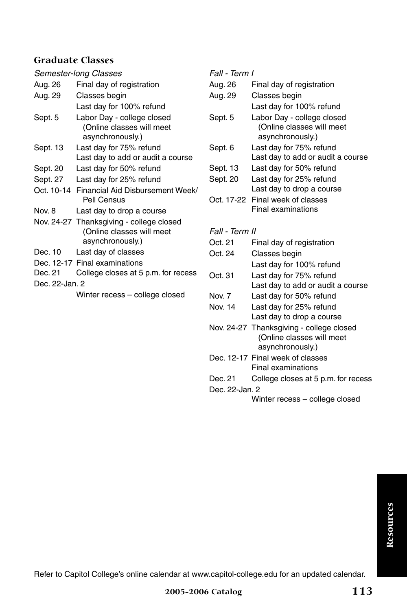| Semester-long Classes |                                             |  |
|-----------------------|---------------------------------------------|--|
| Aug. 26               | Final day of registration                   |  |
| Aug. 29               | Classes begin                               |  |
|                       | Last day for 100% refund                    |  |
| Sept. 5               | Labor Day - college closed                  |  |
|                       | (Online classes will meet                   |  |
|                       | asynchronously.)                            |  |
| Sept. 13              | Last day for 75% refund                     |  |
|                       | Last day to add or audit a course           |  |
| Sept. 20              | Last day for 50% refund                     |  |
| Sept. 27              | Last day for 25% refund                     |  |
|                       | Oct. 10-14 Financial Aid Disbursement Week/ |  |
|                       | Pell Census                                 |  |
| Nov. 8                | Last day to drop a course                   |  |
|                       | Nov. 24-27 Thanksgiving - college closed    |  |
|                       | (Online classes will meet                   |  |
|                       | asynchronously.)                            |  |
| Dec. 10               | Last day of classes                         |  |
|                       | Dec. 12-17 Final examinations               |  |
| Dec. 21               | College closes at 5 p.m. for recess         |  |
| Dec. 22-Jan. 2        |                                             |  |
|                       | Winter recess - college closed              |  |
|                       |                                             |  |

*Fall - Term I*

| Aug. 26  | Final day of registration                                                   |
|----------|-----------------------------------------------------------------------------|
| Aug. 29  | Classes begin                                                               |
|          | Last day for 100% refund                                                    |
| Sept. 5  | Labor Day - college closed<br>(Online classes will meet<br>asynchronously.) |
| Sept. 6  | Last day for 75% refund<br>Last day to add or audit a course                |
| Sept. 13 | Last day for 50% refund                                                     |
| Sept. 20 | Last day for 25% refund                                                     |
|          | Last day to drop a course                                                   |
|          | Oct. 17-22 Final week of classes<br>Final examinations                      |
|          |                                                                             |

*Fall - Term II*

- Oct. 21 Final day of registration
- Oct. 24 Classes begin Last day for 100% refund Oct. 31 Last day for 75% refund
- Last day to add or audit a course
- Nov. 7 Last day for 50% refund
- Nov. 14 Last day for 25% refund Last day to drop a course
- Nov. 24-27 Thanksgiving college closed (Online classes will meet asynchronously.)
- Dec. 12-17 Final week of classes Final examinations
- Dec. 21 College closes at 5 p.m. for recess
- Dec. 22-Jan. 2

Winter recess – college closed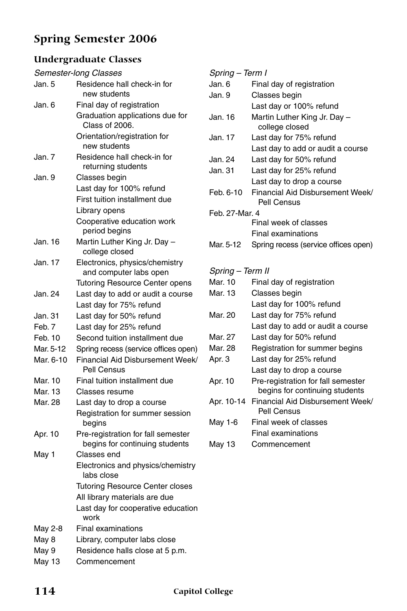# **Spring Semester 2006**

### **Undergraduate Classes**

|           | Semester-long Classes                                                |
|-----------|----------------------------------------------------------------------|
| Jan. 5    | Residence hall check-in for<br>new students                          |
| Jan. 6    | Final day of registration                                            |
|           | Graduation applications due for<br>Class of 2006.                    |
|           | Orientation/registration for<br>new students                         |
| Jan. 7    | Residence hall check-in for<br>returning students                    |
| Jan. 9    | Classes begin                                                        |
|           | Last day for 100% refund                                             |
|           | First tuition installment due                                        |
|           | Library opens                                                        |
|           | Cooperative education work<br>period begins                          |
| Jan. 16   | Martin Luther King Jr. Day -<br>college closed                       |
| Jan. 17   | Electronics, physics/chemistry<br>and computer labs open             |
|           | <b>Tutoring Resource Center opens</b>                                |
| Jan. 24   | Last day to add or audit a course                                    |
|           | Last day for 75% refund                                              |
| Jan. 31   | Last day for 50% refund                                              |
| Feb. 7    | Last day for 25% refund                                              |
| Feb. 10   | Second tuition installment due                                       |
| Mar. 5-12 | Spring recess (service offices open)                                 |
| Mar. 6-10 | Financial Aid Disbursement Week/<br>Pell Census                      |
| Mar. 10   | Final tuition installment due                                        |
| Mar. 13   | Classes resume                                                       |
| Mar. 28   | Last day to drop a course                                            |
|           | Registration for summer session<br>begins                            |
| Apr. 10   | Pre-registration for fall semester<br>begins for continuing students |
| May 1     | Classes end                                                          |
|           | Electronics and physics/chemistry<br>labs close                      |
|           | <b>Tutoring Resource Center closes</b>                               |
|           | All library materials are due                                        |
|           | Last day for cooperative education<br>work                           |
| May 2-8   | <b>Final examinations</b>                                            |
| May 8     | Library, computer labs close                                         |
| May 9     | Residence halls close at 5 p.m.                                      |
| May 13    | Commencement                                                         |

| Spring – Term I  |                                                                      |  |
|------------------|----------------------------------------------------------------------|--|
| Jan. 6           | Final day of registration                                            |  |
| Jan. 9           | Classes begin                                                        |  |
|                  | Last day or 100% refund                                              |  |
| Jan. 16          | Martin Luther King Jr. Day -<br>college closed                       |  |
| Jan. 17          | Last day for 75% refund                                              |  |
|                  | Last day to add or audit a course                                    |  |
| Jan. 24          | Last day for 50% refund                                              |  |
| Jan. 31          | Last day for 25% refund                                              |  |
|                  | Last day to drop a course                                            |  |
| Feb. 6-10        | Financial Aid Disbursement Week/<br>Pell Census                      |  |
| Feb. 27-Mar. 4   |                                                                      |  |
|                  | Final week of classes                                                |  |
|                  | <b>Final examinations</b>                                            |  |
| Mar. 5-12        | Spring recess (service offices open)                                 |  |
|                  |                                                                      |  |
| Spring - Term II |                                                                      |  |
|                  |                                                                      |  |
| Mar. 10          | Final day of registration                                            |  |
| Mar. 13          | Classes begin                                                        |  |
|                  | Last day for 100% refund                                             |  |
| Mar. 20          | Last day for 75% refund                                              |  |
|                  | Last day to add or audit a course                                    |  |
| Mar. 27          | Last day for 50% refund                                              |  |
| Mar. 28          | Registration for summer begins                                       |  |
| Apr. 3           | Last day for 25% refund                                              |  |
|                  | Last day to drop a course                                            |  |
| Apr. 10          | Pre-registration for fall semester<br>begins for continuing students |  |
| Apr. 10-14       | Financial Aid Disbursement Week/<br>Pell Census                      |  |
| May 1-6          | Final week of classes                                                |  |
|                  | Final examinations                                                   |  |
| May 13           | Commencement                                                         |  |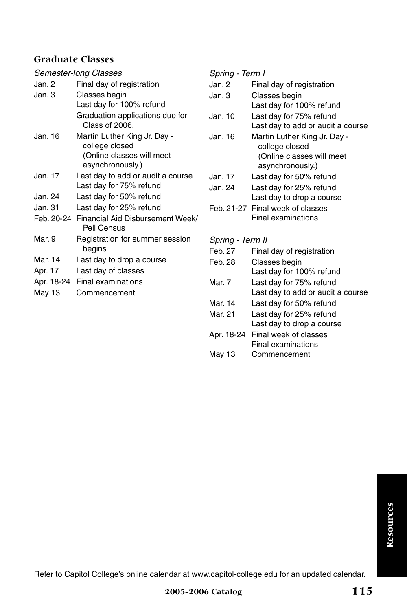| Semester-long Classes |                                                              |  |
|-----------------------|--------------------------------------------------------------|--|
| Jan. 2                | Final day of registration                                    |  |
| Jan. 3                | Classes begin                                                |  |
|                       | Last day for 100% refund                                     |  |
|                       | Graduation applications due for<br>Class of 2006.            |  |
| Jan. 16               | Martin Luther King Jr. Day -<br>college closed               |  |
|                       | (Online classes will meet<br>asynchronously.)                |  |
| Jan. 17               | Last day to add or audit a course<br>Last day for 75% refund |  |
| Jan. 24               | Last day for 50% refund                                      |  |
| Jan. 31               | Last day for 25% refund                                      |  |
|                       | Feb. 20-24 Financial Aid Disbursement Week/<br>Pell Census   |  |
| Mar. 9                | Registration for summer session<br>begins                    |  |
| Mar. 14               | Last day to drop a course                                    |  |
| Apr. 17               | Last day of classes                                          |  |
| Apr. 18-24            | <b>Final examinations</b>                                    |  |
| May 13                | Commencement                                                 |  |
|                       |                                                              |  |

*Spring - Term I*

| Jan. 2           | Final day of registration                                     |
|------------------|---------------------------------------------------------------|
| Jan. 3           | Classes begin                                                 |
|                  | Last day for 100% refund                                      |
| Jan. 10          | Last day for 75% refund                                       |
|                  | Last day to add or audit a course                             |
| Jan. 16          | Martin Luther King Jr. Day -                                  |
|                  | college closed                                                |
|                  | (Online classes will meet                                     |
|                  | asynchronously.)                                              |
| Jan. 17          | Last day for 50% refund                                       |
| Jan. 24          | Last day for 25% refund                                       |
|                  | Last day to drop a course                                     |
|                  | Feb. 21-27 Final week of classes<br><b>Final examinations</b> |
|                  |                                                               |
|                  |                                                               |
| Spring - Term II |                                                               |
| Feb. 27          | Final day of registration                                     |
| Feb. 28          | Classes begin                                                 |
|                  | Last day for 100% refund                                      |
| Mar. 7           | Last day for 75% refund                                       |
|                  | Last day to add or audit a course                             |
| Mar. 14          | Last day for 50% refund                                       |
| Mar. 21          | Last day for 25% refund                                       |
|                  | Last day to drop a course                                     |
| Apr. 18-24       | Final week of classes                                         |
|                  | Final examinations                                            |
| May 13           | Commencement                                                  |

Resources **Resources**

Refer to Capitol College's online calendar at www.capitol-college.edu for an updated calendar.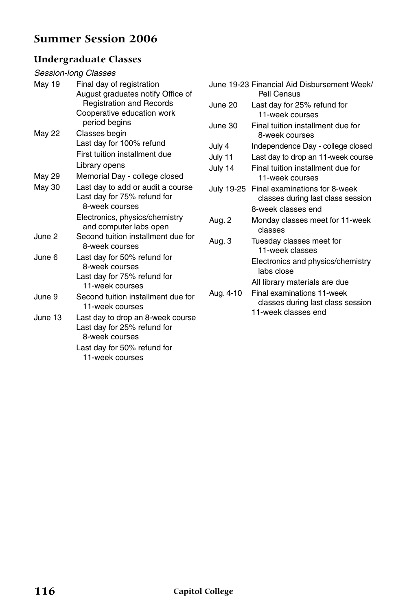### **Summer Session 2006**

### **Undergraduate Classes**

#### *Session-long Classes*

| May 19        | Final day of registration                      |
|---------------|------------------------------------------------|
|               | August graduates notify Office of              |
|               | <b>Registration and Records</b>                |
|               | Cooperative education work<br>period begins    |
| <b>May 22</b> | Classes begin                                  |
|               | Last day for 100% refund                       |
|               | First tuition installment due                  |
|               | Library opens                                  |
| May 29        | Memorial Day - college closed                  |
| May 30        | Last day to add or audit a course              |
|               | Last day for 75% refund for<br>8-week courses  |
|               | Electronics, physics/chemistry                 |
|               | and computer labs open                         |
| June 2        | Second tuition installment due for             |
|               | 8-week courses                                 |
| June 6        | Last day for 50% refund for                    |
|               | 8-week courses                                 |
|               | Last day for 75% refund for<br>11-week courses |
| June 9        | Second tuition installment due for             |
|               | 11-week courses                                |
| June 13       | Last day to drop an 8-week course              |
|               | Last day for 25% refund for                    |
|               | 8-week courses                                 |
|               | Last day for 50% refund for                    |
|               | 11-week courses                                |

|            | June 19-23 Financial Aid Disbursement Week/<br>Pell Census         |
|------------|--------------------------------------------------------------------|
| June 20    | Last day for 25% refund for<br>11-week courses                     |
| June 30    | Final tuition installment due for<br>8-week courses                |
| July 4     | Independence Day - college closed                                  |
| July 11    | Last day to drop an 11-week course                                 |
| July 14    | Final tuition installment due for<br>11-week courses               |
| July 19-25 | Final examinations for 8-week<br>classes during last class session |
|            | 8-week classes end                                                 |
| Aug. 2     | Monday classes meet for 11-week<br>classes                         |
| Aug. 3     | Tuesday classes meet for<br>11-week classes                        |
|            | Electronics and physics/chemistry<br>labs close                    |
|            | All library materials are due                                      |
| Aug. 4-10  | Final examinations 11-week<br>classes during last class session    |
|            | 11-week classes end                                                |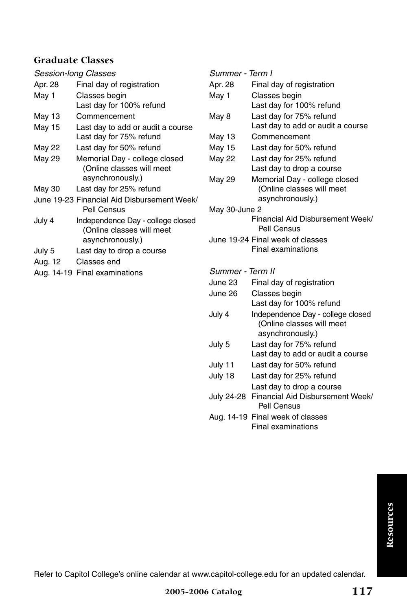| Session-long Classes |                                                                                    |  |
|----------------------|------------------------------------------------------------------------------------|--|
| Apr. 28              | Final day of registration                                                          |  |
| May 1                | Classes begin                                                                      |  |
|                      | Last day for 100% refund                                                           |  |
| May 13               | Commencement                                                                       |  |
| May 15               | Last day to add or audit a course<br>Last day for 75% refund                       |  |
| May 22               | Last day for 50% refund                                                            |  |
| May 29               | Memorial Day - college closed<br>(Online classes will meet<br>asynchronously.)     |  |
| May 30               | Last day for 25% refund                                                            |  |
|                      | June 19-23 Financial Aid Disbursement Week/<br>Pell Census                         |  |
| July 4               | Independence Day - college closed<br>(Online classes will meet<br>asynchronously.) |  |
| July 5               | Last day to drop a course                                                          |  |
| Aug. 12              | Classes end                                                                        |  |

Aug. 14-19 Final examinations

#### *Summer - Term I*

| Apr. 28          | Final day of registration         |
|------------------|-----------------------------------|
| May 1            | Classes begin                     |
|                  | Last day for 100% refund          |
| May 8            | Last day for 75% refund           |
|                  | Last day to add or audit a course |
| May 13           | Commencement                      |
| May 15           | Last day for 50% refund           |
| May 22           | Last day for 25% refund           |
|                  | Last day to drop a course         |
| May 29           | Memorial Day - college closed     |
|                  | (Online classes will meet         |
|                  | asynchronously.)                  |
| May 30-June 2    |                                   |
|                  | Financial Aid Disbursement Week/  |
|                  | Pell Census                       |
|                  | June 19-24 Final week of classes  |
|                  | Final examinations                |
| Summer - Term II |                                   |
|                  |                                   |
| June 23          | Final day of registration         |
| June 26          | Classes begin                     |
|                  | Last day for 100% refund          |
| July 4           | Independence Day - college closed |
|                  | (Online classes will meet         |
|                  | asynchronously.)                  |
| July 5           | Last day for 75% refund           |
|                  | Last day to add or audit a course |

- July 11 Last day for 50% refund July 18 Last day for 25% refund
	- Last day to drop a course
- July 24-28 Financial Aid Disbursement Week/ Pell Census
- Aug. 14-19 Final week of classes Final examinations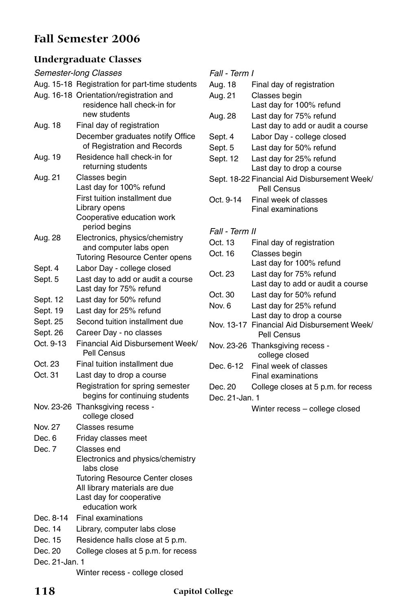### **Fall Semester 2006**

### **Undergraduate Classes**

| Semester-long Classes |                                                                                                   |  |  |
|-----------------------|---------------------------------------------------------------------------------------------------|--|--|
|                       | Aug. 15-18 Registration for part-time students                                                    |  |  |
|                       | Aug. 16-18 Orientation/registration and<br>residence hall check-in for<br>new students            |  |  |
| Aug. 18               | Final day of registration                                                                         |  |  |
|                       | December graduates notify Office<br>of Registration and Records                                   |  |  |
| Aug. 19               | Residence hall check-in for<br>returning students                                                 |  |  |
| Aug. 21               | Classes begin<br>Last day for 100% refund                                                         |  |  |
|                       | First tuition installment due<br>Library opens<br>Cooperative education work<br>period begins     |  |  |
| Aug. 28               | Electronics, physics/chemistry<br>and computer labs open<br><b>Tutoring Resource Center opens</b> |  |  |
| Sept. 4               | Labor Day - college closed                                                                        |  |  |
| Sept. 5               | Last day to add or audit a course<br>Last day for 75% refund                                      |  |  |
| Sept. 12              | Last day for 50% refund                                                                           |  |  |
| Sept. 19              | Last day for 25% refund                                                                           |  |  |
| Sept. 25              | Second tuition installment due                                                                    |  |  |
| Sept. 26              | Career Day - no classes                                                                           |  |  |
| Oct. 9-13             | Financial Aid Disbursement Week/<br>Pell Census                                                   |  |  |
| Oct. 23               | Final tuition installment due                                                                     |  |  |
| Oct. 31               | Last day to drop a course                                                                         |  |  |
|                       | Registration for spring semester<br>begins for continuing students                                |  |  |
| Nov. 23-26            | Thanksgiving recess -<br>college closed                                                           |  |  |
| Nov. 27               | Classes resume                                                                                    |  |  |
| Dec. 6                | Friday classes meet                                                                               |  |  |
| Dec. 7                | Classes end                                                                                       |  |  |
|                       | Electronics and physics/chemistry<br>labs close                                                   |  |  |
|                       | <b>Tutoring Resource Center closes</b>                                                            |  |  |
|                       | All library materials are due                                                                     |  |  |
|                       | Last day for cooperative<br>education work                                                        |  |  |
| Dec. 8-14             | <b>Final examinations</b>                                                                         |  |  |
| Dec. 14               | Library, computer labs close                                                                      |  |  |
| Dec. 15               | Residence halls close at 5 p.m.                                                                   |  |  |
| Dec. 20               | College closes at 5 p.m. for recess                                                               |  |  |
| Dec. 21-Jan. 1        |                                                                                                   |  |  |
|                       |                                                                                                   |  |  |

*Fall - Term I*

| Aug. 18        | Final day of registration                                   |  |
|----------------|-------------------------------------------------------------|--|
| Aug. 21        | Classes begin                                               |  |
|                | Last day for 100% refund                                    |  |
| Aug. 28        | Last day for 75% refund                                     |  |
|                | Last day to add or audit a course                           |  |
| Sept. 4        | Labor Day - college closed                                  |  |
| Sept. 5        | Last day for 50% refund                                     |  |
| Sept. 12       | Last day for 25% refund                                     |  |
|                | Last day to drop a course                                   |  |
|                | Sept. 18-22 Financial Aid Disbursement Week/<br>Pell Census |  |
| Oct. 9-14      | Final week of classes                                       |  |
|                | <b>Final examinations</b>                                   |  |
|                |                                                             |  |
| Fall - Term II |                                                             |  |
| Oct. 13        | Final day of registration                                   |  |
| Oct. 16        | Classes begin                                               |  |
|                | Last day for 100% refund                                    |  |
| Oct. 23        | Last day for 75% refund                                     |  |
|                | Last day to add or audit a course                           |  |
| Oct. 30        | Last day for 50% refund                                     |  |
| Nov. 6         | Last day for 25% refund                                     |  |
|                | Last day to drop a course                                   |  |
| Nov. 13-17     | Financial Aid Disbursement Week/<br>Pell Census             |  |
|                | Nov. 23-26 Thanksgiving recess -<br>college closed          |  |
| Dec. 6-12      | Final week of classes                                       |  |
|                | <b>Final examinations</b>                                   |  |
| Dec. 20        | College closes at 5 p.m. for recess                         |  |
| Dec. 21-Jan. 1 |                                                             |  |
|                | Winter recess - college closed                              |  |
|                |                                                             |  |

Winter recess - college closed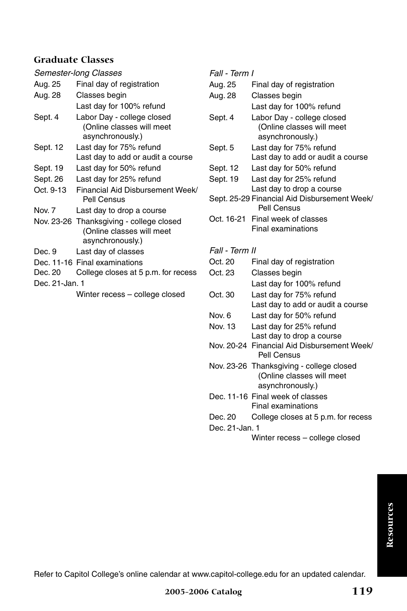| Semester-long Classes |                                                                                           |   |
|-----------------------|-------------------------------------------------------------------------------------------|---|
| Aug. 25               | Final day of registration                                                                 |   |
| Aug. 28               | Classes begin                                                                             |   |
|                       | Last day for 100% refund                                                                  |   |
| Sept. 4               | Labor Day - college closed<br>(Online classes will meet<br>asynchronously.)               | ξ |
| Sept. 12              | Last day for 75% refund                                                                   |   |
|                       | Last day to add or audit a course                                                         |   |
| Sept. 19              | Last day for 50% refund                                                                   | ί |
| Sept. 26              | Last day for 25% refund                                                                   | ξ |
| Oct. 9-13             | Financial Aid Disbursement Week/<br>Pell Census                                           |   |
| Nov. 7                | Last day to drop a course                                                                 |   |
|                       | Nov. 23-26 Thanksgiving - college closed<br>(Online classes will meet<br>asynchronously.) | ( |
| Dec. 9                | Last day of classes                                                                       |   |
|                       | Dec. 11-16 Final examinations                                                             |   |
| Dec. 20               | College closes at 5 p.m. for recess                                                       |   |
| Dec. 21-Jan. 1        |                                                                                           |   |
|                       | Winter recess - college closed                                                            | ( |

*Fall - Term I*

| Aug. 25        | Final day of registration                                                   |
|----------------|-----------------------------------------------------------------------------|
| Aug. 28        | Classes begin                                                               |
|                | Last day for 100% refund                                                    |
| Sept. 4        | Labor Day - college closed<br>(Online classes will meet<br>asynchronously.) |
| Sept. 5        | Last day for 75% refund                                                     |
|                | Last day to add or audit a course                                           |
| Sept. 12       | Last day for 50% refund                                                     |
| Sept. 19       | Last day for 25% refund<br>Last day to drop a course                        |
|                | Sept. 25-29 Financial Aid Disbursement Week/<br>Pell Census                 |
|                | Oct. 16-21 Final week of classes                                            |
|                | Final examinations                                                          |
| Fall - Term II |                                                                             |
|                |                                                                             |

- Oct. 20 Final day of registration
- Oct. 23 Classes begin Last day for 100% refund
- Oct. 30 Last day for 75% refund Last day to add or audit a course
- Nov. 6 Last day for 50% refund
- Nov. 13 Last day for 25% refund Last day to drop a course
- Nov. 20-24 Financial Aid Disbursement Week/ Pell Census
- Nov. 23-26 Thanksgiving college closed (Online classes will meet asynchronously.)
- Dec. 11-16 Final week of classes Final examinations
- Dec. 20 College closes at 5 p.m. for recess
- Dec. 21-Jan. 1

Winter recess – college closed

Refer to Capitol College's online calendar at www.capitol-college.edu for an updated calendar.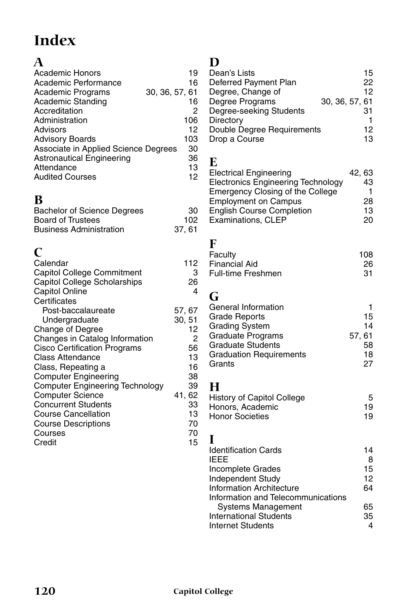# **Index**

# **A**

| <b>Academic Honors</b>                                                                                               | 19                  |
|----------------------------------------------------------------------------------------------------------------------|---------------------|
| Academic Performance                                                                                                 | 16                  |
| Academic Programs                                                                                                    | 30, 36, 57, 61      |
| Academic Standing                                                                                                    | 16                  |
| Accreditation                                                                                                        | 2                   |
| Administration                                                                                                       | 106                 |
| Advisors                                                                                                             | 12                  |
| <b>Advisory Boards</b>                                                                                               | 103                 |
| Associate in Applied Science Degrees                                                                                 | 30                  |
| <b>Astronautical Engineering</b>                                                                                     | 36                  |
| Attendance                                                                                                           | 13                  |
| <b>Audited Courses</b>                                                                                               | 12                  |
| В<br><b>Bachelor of Science Degrees</b><br><b>Board of Trustees</b><br><b>Business Administration</b>                | 30<br>102<br>37, 61 |
| C<br>Calendar<br>Capitol College Commitment<br>Capitol College Scholarships<br><b>Capitol Online</b><br>Certificates | 112<br>3<br>26<br>4 |
| Post-baccalaureate                                                                                                   | 57, 67              |
| Undergraduate                                                                                                        | 30, 51              |
| Change of Degree                                                                                                     | 12                  |
| Changes in Catalog Information                                                                                       | 2                   |
| <b>Cisco Certification Programs</b>                                                                                  | 56                  |
| <b>Class Attendance</b>                                                                                              | 13                  |
| Class, Repeating a                                                                                                   | 16                  |
| <b>Computer Engineering</b>                                                                                          | 38                  |
| <b>Computer Engineering Technology</b>                                                                               | 39                  |
| <b>Computer Science</b>                                                                                              | 41, 62              |
| <b>Concurrent Students</b>                                                                                           | 33                  |
| <b>Course Cancellation</b>                                                                                           | 13                  |
| <b>Course Descriptions</b>                                                                                           | 70                  |
| Courses                                                                                                              | 70                  |
| Credit                                                                                                               | 15                  |

## **D**

| Dean's Lists               |                | 15 |
|----------------------------|----------------|----|
| Deferred Payment Plan      |                | 22 |
| Degree, Change of          |                | 12 |
| Degree Programs            | 30, 36, 57, 61 |    |
| Degree-seeking Students    |                | 31 |
| Directory                  |                |    |
| Double Degree Requirements |                | 12 |
| Drop a Course              |                | 13 |
|                            |                |    |

### **E**

| <b>Electrical Engineering</b>             | 42, 63 |
|-------------------------------------------|--------|
| <b>Electronics Engineering Technology</b> | 43     |
| Emergency Closing of the College          |        |
| <b>Employment on Campus</b>               | 28     |
| <b>English Course Completion</b>          | 13     |
| Examinations, CLEP                        | 20     |
|                                           |        |

### **F**

| Faculty                   | 108 |
|---------------------------|-----|
| <b>Financial Aid</b>      | 26  |
| <b>Full-time Freshmen</b> | 31  |

## **G**

| General Information            |        |
|--------------------------------|--------|
| <b>Grade Reports</b>           | 15     |
| <b>Grading System</b>          | 14     |
| Graduate Programs              | 57, 61 |
| <b>Graduate Students</b>       | 58     |
| <b>Graduation Requirements</b> | 18     |
| Grants                         | 27     |
|                                |        |

### **H**

| History of Capitol College | 5  |
|----------------------------|----|
| Honors, Academic           | 19 |
| <b>Honor Societies</b>     | 19 |

### **I**

| <b>Identification Cards</b>        | 14 |
|------------------------------------|----|
| <b>IFFF</b>                        | 8  |
| Incomplete Grades                  | 15 |
| Independent Study                  | 12 |
| <b>Information Architecture</b>    | 64 |
| Information and Telecommunications |    |
| Systems Management                 | 65 |
| <b>International Students</b>      | 35 |
| <b>Internet Students</b>           |    |
|                                    |    |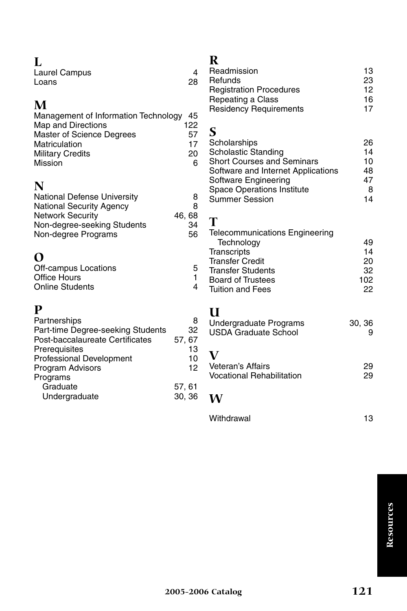| L             |    |
|---------------|----|
| Laurel Campus |    |
| Loans         | 28 |

# **M**

| Management of Information Technology 45 |
|-----------------------------------------|
| 122                                     |
| 57                                      |
| 17                                      |
| 20                                      |
| հ                                       |
|                                         |

# **N**

| 8     |
|-------|
| 8     |
| 46.68 |
| 34    |
| 56    |
|       |

# **O**

| . .                  |   |
|----------------------|---|
| Off-campus Locations | 5 |
| Office Hours         |   |
| Online Students      |   |

# **P**

| 32<br>57, 67 |
|--------------|
|              |
|              |
| 13           |
| 10           |
| 12           |
|              |
| 57, 61       |
| 30, 36       |
|              |

## **R**

| . .                            |    |
|--------------------------------|----|
| Readmission                    | 13 |
| Refunds                        | 23 |
| <b>Registration Procedures</b> | 12 |
| Repeating a Class              | 16 |
| <b>Residency Requirements</b>  | 17 |
|                                |    |

## **S**

| Scholarships                       | 26 |
|------------------------------------|----|
| <b>Scholastic Standing</b>         | 14 |
| <b>Short Courses and Seminars</b>  | 10 |
| Software and Internet Applications | 48 |
| Software Engineering               | 47 |
| <b>Space Operations Institute</b>  | 8  |
| <b>Summer Session</b>              | 14 |
|                                    |    |

### **T**

| <b>Telecommunications Engineering</b> |     |
|---------------------------------------|-----|
| Technology                            | 49  |
| Transcripts                           | 14  |
| <b>Transfer Credit</b>                | 20  |
| <b>Transfer Students</b>              | 32  |
| <b>Board of Trustees</b>              | 102 |
| <b>Tuition and Fees</b>               | 22  |
|                                       |     |

## **U**

| Undergraduate Programs           | 30, 36 |  |
|----------------------------------|--------|--|
| <b>USDA Graduate School</b>      | g      |  |
| Veteran's Affairs                | 29     |  |
| <b>Vocational Rehabilitation</b> | 29     |  |
| <b>BA</b>                        |        |  |

## **W**

| Withdrawal | 13 |
|------------|----|
|            |    |